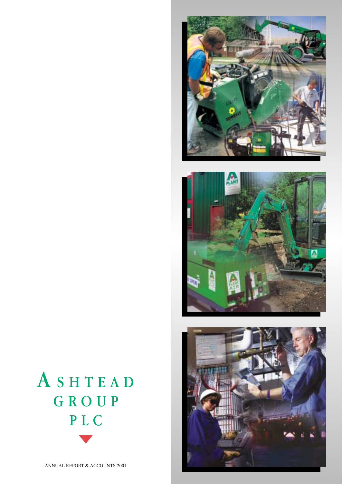





# ASHTEAD GROUP PLC

ANNUAL REPORT & ACCOUNTS 2001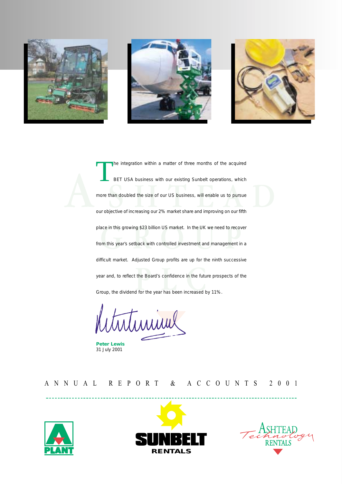





The integration within a matter of three months of the acquired BET USA business with our existing Sunbelt operations, which more than doubled the size of our US business, will enable us to pursue our objective of increasing our 2% market share and improving on our fifth place in this growing \$23 billion US market. In the UK we need to recover from this year's setback with controlled investment and management in a difficult market. Adjusted Group profits are up for the ninth successive year and, to reflect the Board's confidence in the future prospects of the Group, the dividend for the year has been increased by 11%.

itimiul

**Peter Lewis** 31 July 2001

## ANNUAL REPORT & ACCOUNTS 2001





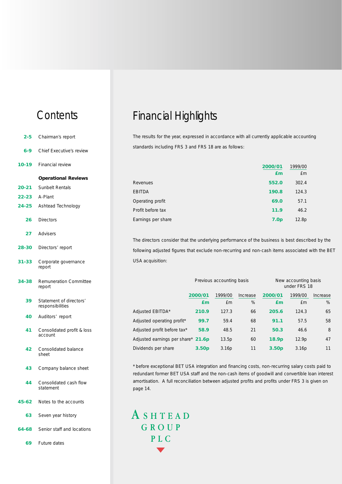## **Contents**

| 2-5     | Chairman's report                           |
|---------|---------------------------------------------|
| 6-9     | Chief Executive's review                    |
| $10-19$ | <b>Financial review</b>                     |
|         | <b>Operational Reviews</b>                  |
| 20-21   | <b>Sunbelt Rentals</b>                      |
| 22-23   | A-Plant                                     |
|         | 24-25 Ashtead Technology                    |
| 26.     | <b>Directors</b>                            |
| 27      | Advisers                                    |
| 28-30   | Directors' report                           |
| 31-33   | Corporate governance<br>report              |
| 34-38   | <b>Remuneration Committee</b><br>report     |
| 39      | Statement of directors'<br>responsibilities |
| 40      | Auditors' report                            |
| 41      | Consolidated profit & loss<br>account       |
| 42      | Consolidated balance<br>sheet               |
| 43      | Company balance sheet                       |
| 44      | Consolidated cash flow<br>statement         |
| 45-62   | Notes to the accounts                       |
| 63      | Seven year history                          |
| 64-68   | Senior staff and locations                  |
| 69      | Future dates                                |

## Financial Highlights

The results for the year, expressed in accordance with all currently applicable accounting standards including FRS 3 and FRS 18 are as follows:

|                    | 2000/01          | 1999/00           |
|--------------------|------------------|-------------------|
|                    | £m               | £m                |
| Revenues           | 552.0            | 302.4             |
| <b>EBITDA</b>      | 190.8            | 124.3             |
| Operating profit   | 69.0             | 57.1              |
| Profit before tax  | 11.9             | 46.2              |
| Earnings per share | 7.0 <sub>p</sub> | 12.8 <sub>p</sub> |

The directors consider that the underlying performance of the business is best described by the following adjusted figures that exclude non-recurring and non-cash items associated with the BET USA acquisition:

|                                    | Previous accounting basis      |       |    | New accounting basis<br>under FRS 18 |                   |          |
|------------------------------------|--------------------------------|-------|----|--------------------------------------|-------------------|----------|
|                                    | 1999/00<br>2000/01<br>Increase |       |    | 2000/01                              | 1999/00           | Increase |
|                                    | £m                             | £m    | %  | £m                                   | £m                | %        |
| Adjusted EBITDA*                   | 210.9                          | 127.3 | 66 | 205.6                                | 124.3             | 65       |
| Adjusted operating profit*         | 99.7                           | 59.4  | 68 | 91.1                                 | 57.5              | 58       |
| Adjusted profit before tax*        | 58.9                           | 48.5  | 21 | 50.3                                 | 46.6              | 8        |
| Adjusted earnings per share* 21.6p |                                | 13.5p | 60 | 18.9p                                | 12.9 <sub>p</sub> | 47       |
| Dividends per share                | 3.50 <sub>p</sub>              | 3.16p | 11 | 3.50 <sub>p</sub>                    | 3.16p             | 11       |

*\* before exceptional BET USA integration and financing costs, non-recurring salary costs paid to redundant former BET USA staff and the non-cash items of goodwill and convertible loan interest amortisation. A full reconciliation between adjusted profits and profits under FRS 3 is given on page 14.*

ASHTEAD GROUP PLC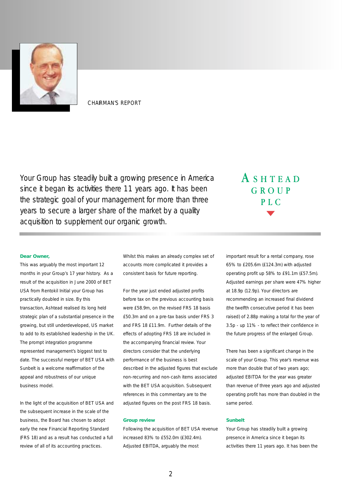

CHAIRMAN'S REPORT

Your Group has steadily built a growing presence in America since it began its activities there 11 years ago. It has been the strategic goal of your management for more than three years to secure a larger share of the market by a quality acquisition to supplement our organic growth.

## ASHTEAD GROUP PLC

#### **Dear Owner,**

This was arguably the most important 12 months in your Group's 17 year history. As a result of the acquisition in June 2000 of BET USA from Rentokil Initial your Group has practically doubled in size. By this transaction, Ashtead realised its long held strategic plan of a substantial presence in the growing, but still underdeveloped, US market to add to its established leadership in the UK. The prompt integration programme represented management's biggest test to date. The successful merger of BET USA with Sunbelt is a welcome reaffirmation of the appeal and robustness of our unique business model.

In the light of the acquisition of BET USA and the subsequent increase in the scale of the business, the Board has chosen to adopt early the new Financial Reporting Standard (FRS 18) and as a result has conducted a full review of all of its accounting practices.

Whilst this makes an already complex set of accounts more complicated it provides a consistent basis for future reporting.

For the year just ended adjusted profits before tax on the previous accounting basis were £58.9m, on the revised FRS 18 basis £50.3m and on a pre-tax basis under FRS 3 and FRS 18 £11.9m. Further details of the effects of adopting FRS 18 are included in the accompanying financial review. Your directors consider that the underlying performance of the business is best described in the adjusted figures that exclude non-recurring and non-cash items associated with the BET USA acquisition. Subsequent references in this commentary are to the adjusted figures on the post FRS 18 basis.

### **Group review**

Following the acquisition of BET USA revenue increased 83% to £552.0m (£302.4m). Adjusted EBITDA, arguably the most

important result for a rental company, rose 65% to £205.6m (£124.3m) with adjusted operating profit up 58% to £91.1m (£57.5m). Adjusted earnings per share were 47% higher at 18.9p (12.9p). Your directors are recommending an increased final dividend (the twelfth consecutive period it has been raised) of 2.88p making a total for the year of 3.5p - up 11% - to reflect their confidence in the future progress of the enlarged Group.

There has been a significant change in the scale of your Group. This year's revenue was more than double that of two years ago; adjusted EBITDA for the year was greater than revenue of three years ago and adjusted operating profit has more than doubled in the same period.

## **Sunbelt**

Your Group has steadily built a growing presence in America since it began its activities there 11 years ago. It has been the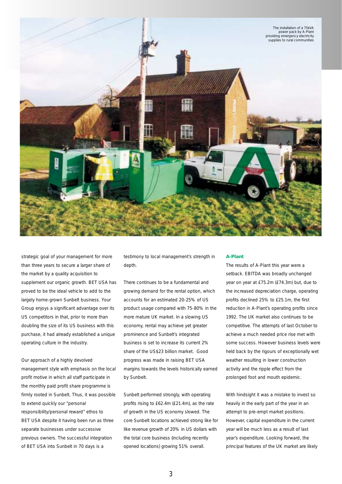

strategic goal of your management for more than three years to secure a larger share of the market by a quality acquisition to supplement our organic growth. BET USA has proved to be the ideal vehicle to add to the largely home-grown Sunbelt business. Your Group enjoys a significant advantage over its US competitors in that, prior to more than doubling the size of its US business with this purchase, it had already established a unique operating culture in the industry.

Our approach of a highly devolved management style with emphasis on the local profit motive in which all staff participate in the monthly paid profit share programme is firmly rooted in Sunbelt. Thus, it was possible to extend quickly our "personal responsibility/personal reward" ethos to BET USA despite it having been run as three separate businesses under successive previous owners. The successful integration of BET USA into Sunbelt in 70 days is a

testimony to local management's strength in depth.

There continues to be a fundamental and growing demand for the rental option, which accounts for an estimated 20-25% of US product usage compared with 75-80% in the more mature UK market. In a slowing US economy, rental may achieve yet greater prominence and Sunbelt's integrated business is set to increase its current 2% share of the US\$23 billion market. Good progress was made in raising BET USA margins towards the levels historically earned by Sunbelt.

Sunbelt performed strongly, with operating profits rising to £62.4m (£21.4m), as the rate of growth in the US economy slowed. The core Sunbelt locations achieved strong like for like revenue growth of 20% in US dollars with the total core business (including recently opened locations) growing 51% overall.

## **A-Plant**

The results of A-Plant this year were a setback. EBITDA was broadly unchanged year on year at £75.2m (£74.3m) but, due to the increased depreciation charge, operating profits declined 25% to £25.1m, the first reduction in A-Plant's operating profits since 1992. The UK market also continues to be competitive. The attempts of last October to achieve a much needed price rise met with some success. However business levels were held back by the rigours of exceptionally wet weather resulting in lower construction activity and the ripple effect from the prolonged foot and mouth epidemic.

With hindsight it was a mistake to invest so heavily in the early part of the year in an attempt to pre-empt market positions. However, capital expenditure in the current year will be much less as a result of last year's expenditure. Looking forward, the principal features of the UK market are likely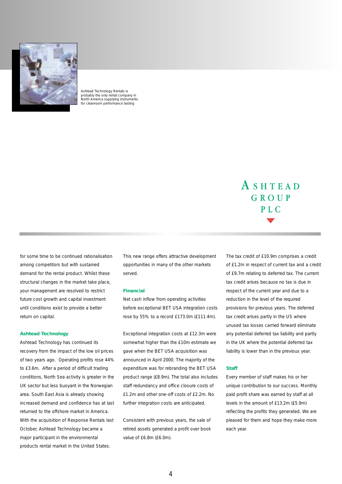

*Ashtead Technology Rentals is probably the only rental company in North America supplying instruments for cleanroom performance testing*

> ASHTEAD GROUP PLC

for some time to be continued rationalisation among competitors but with sustained demand for the rental product. Whilst these structural changes in the market take place, your management are resolved to restrict future cost growth and capital investment until conditions exist to provide a better return on capital.

## **Ashtead Technology**

Ashtead Technology has continued its recovery from the impact of the low oil prices of two years ago. Operating profits rose 44% to £3.6m. After a period of difficult trading conditions, North Sea activity is greater in the UK sector but less buoyant in the Norwegian area. South East Asia is already showing increased demand and confidence has at last returned to the offshore market in America. With the acquisition of Response Rentals last October, Ashtead Technology became a major participant in the environmental products rental market in the United States.

This new range offers attractive development opportunities in many of the other markets served.

## **Financial**

Net cash inflow from operating activities before exceptional BET USA integration costs rose by 55% to a record £173.0m (£111.4m).

Exceptional integration costs at £12.3m were somewhat higher than the £10m estimate we gave when the BET USA acquisition was announced in April 2000. The majority of the expenditure was for rebranding the BET USA product range (£8.9m). The total also includes staff redundancy and office closure costs of £1.2m and other one-off costs of £2.2m. No further integration costs are anticipated.

Consistent with previous years, the sale of retired assets generated a profit over book value of £6.8m (£6.0m).

The tax credit of £10.9m comprises a credit of £1.2m in respect of current tax and a credit of £9.7m relating to deferred tax. The current tax credit arises because no tax is due in respect of the current year and due to a reduction in the level of the required provisions for previous years. The deferred tax credit arises partly in the US where unused tax losses carried forward eliminate any potential deferred tax liability and partly in the UK where the potential deferred tax liability is lower than in the previous year.

## **Staff**

Every member of staff makes his or her unique contribution to our success. Monthly paid profit share was earned by staff at all levels in the amount of £13.2m (£5.9m) reflecting the profits they generated. We are pleased for them and hope they make more each year.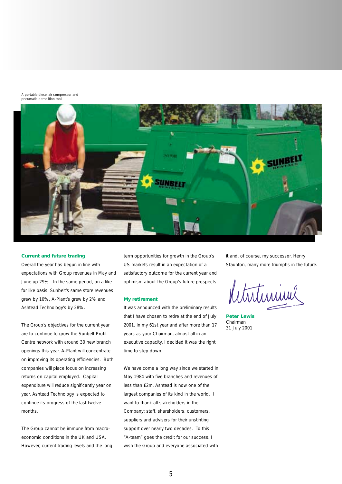*A portable diesel air compressor and pneumatic demolition tool*



## **Current and future trading**

Overall the year has begun in line with expectations with Group revenues in May and June up 29%. In the same period, on a like for like basis, Sunbelt's same store revenues grew by 10%, A-Plant's grew by 2% and Ashtead Technology's by 28%.

The Group's objectives for the current year are to continue to grow the Sunbelt Profit Centre network with around 30 new branch openings this year. A-Plant will concentrate on improving its operating efficiencies. Both companies will place focus on increasing returns on capital employed. Capital expenditure will reduce significantly year on year. Ashtead Technology is expected to continue its progress of the last twelve months.

The Group cannot be immune from macroeconomic conditions in the UK and USA. However, current trading levels and the long term opportunities for growth in the Group's US markets result in an expectation of a satisfactory outcome for the current year and optimism about the Group's future prospects.

## **My retirement**

It was announced with the preliminary results that I have chosen to retire at the end of July 2001. In my 61st year and after more than 17 years as your Chairman, almost all in an executive capacity, I decided it was the right time to step down.

We have come a long way since we started in May 1984 with five branches and revenues of less than £2m. Ashtead is now one of the largest companies of its kind in the world. I want to thank all stakeholders in the Company: staff, shareholders, customers, suppliers and advisers for their unstinting support over nearly two decades. To this "A-team" goes the credit for our success. I wish the Group and everyone associated with

it and, of course, my successor, Henry Staunton, many more triumphs in the future.

itutinin

**Peter Lewis** Chairman 31 July 2001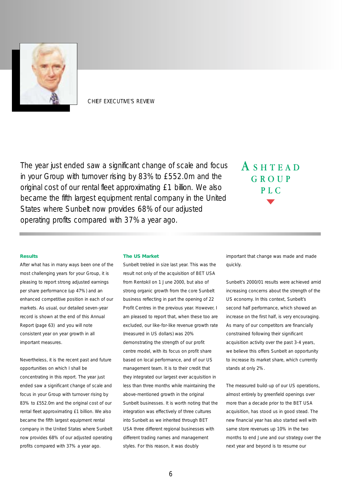

CHIEF EXECUTIVE'S REVIEW

The year just ended saw a significant change of scale and focus in your Group with turnover rising by 83% to £552.0m and the original cost of our rental fleet approximating £1 billion. We also became the fifth largest equipment rental company in the United States where Sunbelt now provides 68% of our adjusted operating profits compared with 37% a year ago.

ASHTEAD GROUP PLC

#### **Results**

After what has in many ways been one of the most challenging years for your Group, it is pleasing to report strong adjusted earnings per share performance (up 47%) and an enhanced competitive position in each of our markets. As usual, our detailed seven-year record is shown at the end of this Annual Report (page 63) and you will note consistent year on year growth in all important measures.

Nevertheless, it is the recent past and future opportunities on which I shall be concentrating in this report. The year just ended saw a significant change of scale and focus in your Group with turnover rising by 83% to £552.0m and the original cost of our rental fleet approximating £1 billion. We also became the fifth largest equipment rental company in the United States where Sunbelt now provides 68% of our adjusted operating profits compared with 37% a year ago.

## **The US Market**

Sunbelt trebled in size last year. This was the result not only of the acquisition of BET USA from Rentokil on 1 June 2000, but also of strong organic growth from the core Sunbelt business reflecting in part the opening of 22 Profit Centres in the previous year. However, I am pleased to report that, when these too are excluded, our like-for-like revenue growth rate (measured in US dollars) was 20% demonstrating the strength of our profit centre model, with its focus on profit share based on local performance, and of our US management team. It is to their credit that they integrated our largest ever acquisition in less than three months while maintaining the above-mentioned growth in the original Sunbelt businesses. It is worth noting that the integration was effectively of three cultures into Sunbelt as we inherited through BET USA three different regional businesses with different trading names and management styles. For this reason, it was doubly

important that change was made and made quickly.

Sunbelt's 2000/01 results were achieved amid increasing concerns about the strength of the US economy. In this context, Sunbelt's second half performance, which showed an increase on the first half, is very encouraging. As many of our competitors are financially constrained following their significant acquisition activity over the past 3-4 years, we believe this offers Sunbelt an opportunity to increase its market share, which currently stands at only 2%.

The measured build-up of our US operations, almost entirely by greenfield openings over more than a decade prior to the BET USA acquisition, has stood us in good stead. The new financial year has also started well with same store revenues up 10% in the two months to end June and our strategy over the next year and beyond is to resume our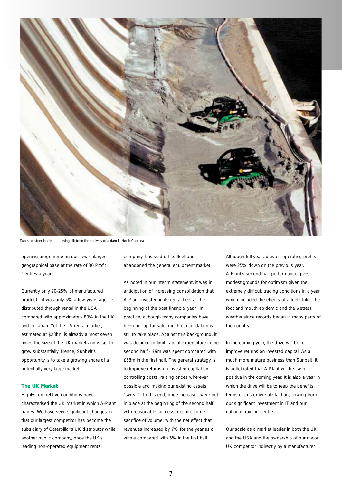

*Two skid-steer loaders removing silt from the spillway of a dam in North Carolina*

opening programme on our new enlarged geographical base at the rate of 30 Profit Centres a year.

Currently only 20-25% of manufactured product - it was only 5% a few years ago - is distributed through rental in the USA compared with approximately 80% in the UK and in Japan. Yet the US rental market, estimated at \$23bn, is already almost seven times the size of the UK market and is set to grow substantially. Hence, Sunbelt's opportunity is to take a growing share of a potentially very large market.

## **The UK Market**

Highly competitive conditions have characterised the UK market in which A-Plant trades. We have seen significant changes in that our largest competitor has become the subsidiary of Caterpillar's UK distributor while another public company, once the UK's leading non-operated equipment rental

company, has sold off its fleet and abandoned the general equipment market.

As noted in our interim statement, it was in anticipation of increasing consolidation that A-Plant invested in its rental fleet at the beginning of the past financial year. In practice, although many companies have been put up for sale, much consolidation is still to take place. Against this background, it was decided to limit capital expenditure in the second half - £9m was spent compared with £58m in the first half. The general strategy is to improve returns on invested capital by controlling costs, raising prices wherever possible and making our existing assets "sweat". To this end, price increases were put in place at the beginning of the second half with reasonable success, despite some sacrifice of volume, with the net effect that revenues increased by 7% for the year as a whole compared with 5% in the first half.

Although full year adjusted operating profits were 25% down on the previous year, A-Plant's second half performance gives modest grounds for optimism given the extremely difficult trading conditions in a year which included the effects of a fuel strike, the foot and mouth epidemic and the wettest weather since records began in many parts of the country.

In the coming year, the drive will be to improve returns on invested capital. As a much more mature business than Sunbelt, it is anticipated that A-Plant will be cash positive in the coming year. It is also a year in which the drive will be to reap the benefits, in terms of customer satisfaction, flowing from our significant investment in IT and our national training centre.

Our scale as a market leader in both the UK and the USA and the ownership of our major UK competitor indirectly by a manufacturer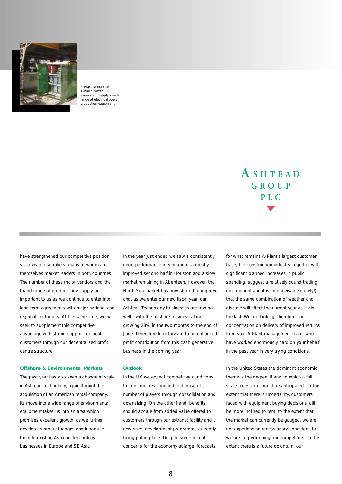

*A-Plant Rentarc and A-Plant Power Generation supply a wide range of electrical power production equipment*

## ASHTEAD GROUP PLC

have strengthened our competitive position vis-a-vis our suppliers, many of whom are themselves market leaders in both countries. The number of these major vendors and the brand range of product they supply are important to us as we continue to enter into long term agreements with major national and regional customers. At the same time, we will seek to supplement this competitive advantage with strong support for local customers through our decentralised profit centre structure.

### **Offshore & Environmental Markets**

The past year has also seen a change of scale in Ashtead Technology, again through the acquisition of an American rental company. Its move into a wide range of environmental equipment takes us into an area which promises excellent growth, as we further develop its product ranges and introduce them to existing Ashtead Technology businesses in Europe and SE Asia.

In the year just ended we saw a consistently good performance in Singapore, a greatly improved second half in Houston and a slow market remaining in Aberdeen. However, the North Sea market has now started to improve and, as we enter our new fiscal year, our Ashtead Technology businesses are trading well - with the offshore business alone growing 28% in the two months to the end of June. I therefore look forward to an enhanced profit contribution from this cash generative business in the coming year.

## **Outlook**

In the UK we expect competitive conditions to continue, resulting in the demise of a number of players through consolidation and downsizing. On the other hand, benefits should accrue from added value offered to customers through our extranet facility and a new sales development programme currently being put in place. Despite some recent concerns for the economy at large, forecasts

for what remains A-Plant's largest customer base, the construction industry, together with significant planned increases in public spending, suggest a relatively sound trading environment and it is inconceivable (surely!) that the same combination of weather and disease will affect the current year as it did the last. We are looking, therefore, for concentration on delivery of improved returns from your A-Plant management team, who have worked enormously hard on your behalf in the past year in very trying conditions.

In the United States the dominant economic theme is the degree, if any, to which a full scale recession should be anticipated. To the extent that there is uncertainty, customers faced with equipment buying decisions will be more inclined to rent; to the extent that the market can currently be gauged, we are not experiencing recessionary conditions but we are outperforming our competitors; to the extent there is a future downturn, our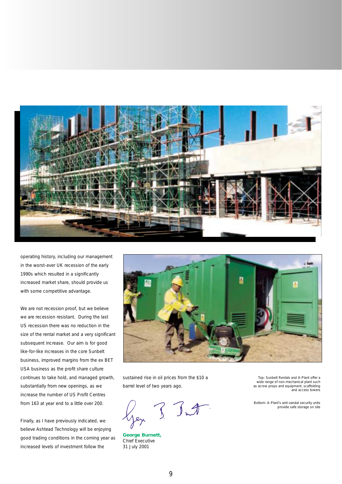

operating history, including our management in the worst-ever UK recession of the early 1990s which resulted in a significantly increased market share, should provide us with some competitive advantage.

We are not recession proof, but we believe we are recession resistant. During the last US recession there was no reduction in the size of the rental market and a very significant subsequent increase. Our aim is for good like-for-like increases in the core Sunbelt business, improved margins from the ex BET USA business as the profit share culture continues to take hold, and managed growth, substantially from new openings, as we increase the number of US Profit Centres from 163 at year end to a little over 200.

Finally, as I have previously indicated, we believe Ashtead Technology will be enjoying good trading conditions in the coming year as increased levels of investment follow the



sustained rise in oil prices from the \$10 a barrel level of two years ago.

Jen 3 Just

**George Burnett,**  Chief Executive 31 July 2001

*Top: Sunbelt Rentals and A-Plant offer a wide range of non-mechanical plant such as acrow props and equipment, scaffolding and access towers*

*Bottom: A-Plant's anti-vandal security units provide safe storage on site*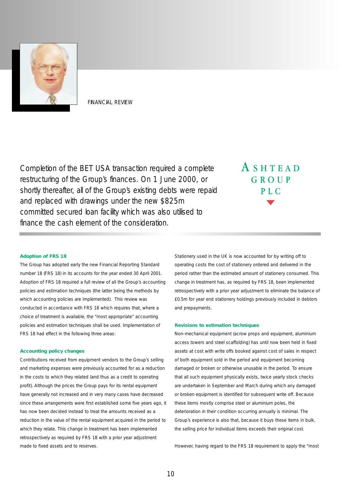

FINANCIAL REVIEW

Completion of the BET USA transaction required a complete restructuring of the Group's finances. On 1 June 2000, or shortly thereafter, all of the Group's existing debts were repaid and replaced with drawings under the new \$825m committed secured loan facility which was also utilised to finance the cash element of the consideration.

## ASHTEAD GROUP PLC

## **Adoption of FRS 18**

The Group has adopted early the new Financial Reporting Standard number 18 (FRS 18) in its accounts for the year ended 30 April 2001. Adoption of FRS 18 required a full review of all the Group's accounting policies and estimation techniques (the latter being the methods by which accounting policies are implemented). This review was conducted in accordance with FRS 18 which requires that, where a choice of treatment is available, the "most appropriate" accounting policies and estimation techniques shall be used. Implementation of FRS 18 had effect in the following three areas:

## **Accounting policy changes**

Contributions received from equipment vendors to the Group's selling and marketing expenses were previously accounted for as a reduction in the costs to which they related (and thus as a credit to operating profit). Although the prices the Group pays for its rental equipment have generally not increased and in very many cases have decreased since these arrangements were first established some five years ago, it has now been decided instead to treat the amounts received as a reduction in the value of the rental equipment acquired in the period to which they relate. This change in treatment has been implemented retrospectively as required by FRS 18 with a prior year adjustment made to fixed assets and to reserves.

Stationery used in the UK is now accounted for by writing off to operating costs the cost of stationery ordered and delivered in the period rather than the estimated amount of stationery consumed. This change in treatment has, as required by FRS 18, been implemented retrospectively with a prior year adjustment to eliminate the balance of £0.5m for year end stationery holdings previously included in debtors and prepayments.

#### **Revisions to estimation techniques**

Non-mechanical equipment (acrow props and equipment, aluminium access towers and steel scaffolding) has until now been held in fixed assets at cost with write offs booked against cost of sales in respect of both equipment sold in the period and equipment becoming damaged or broken or otherwise unusable in the period. To ensure that all such equipment physically exists, twice yearly stock checks are undertaken in September and March during which any damaged or broken equipment is identified for subsequent write off. Because these items mostly comprise steel or aluminium poles, the deterioration in their condition occurring annually is minimal. The Group's experience is also that, because it buys these items in bulk, the selling price for individual items exceeds their original cost.

However, having regard to the FRS 18 requirement to apply the "most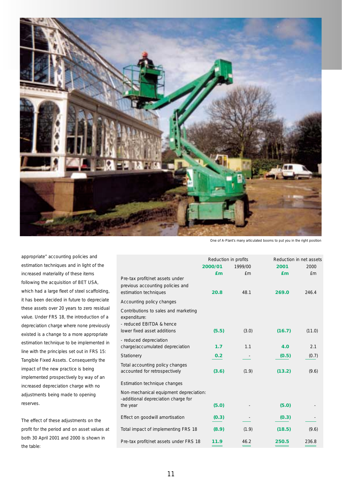

*One of A-Plant's many articulated booms to put you in the right position*

appropriate" accounting policies and estimation techniques and in light of the increased materiality of these items following the acquisition of BET USA, which had a large fleet of steel scaffolding, it has been decided in future to depreciate these assets over 20 years to zero residual value. Under FRS 18, the introduction of a depreciation charge where none previously existed is a change to a more appropriate estimation technique to be implemented in line with the principles set out in FRS 15: Tangible Fixed Assets. Consequently the impact of the new practice is being implemented prospectively by way of an increased depreciation charge with no adjustments being made to opening reserves.

The effect of these adjustments on the profit for the period and on asset values at both 30 April 2001 and 2000 is shown in the table:

|                                                                                                                 | Reduction in profits |                   | Reduction in net assets |             |
|-----------------------------------------------------------------------------------------------------------------|----------------------|-------------------|-------------------------|-------------|
|                                                                                                                 | 2000/01              | 1999/00           | 2001                    | 2000        |
| Pre-tax profit/net assets under<br>previous accounting policies and<br>estimation techniques                    | Em<br>20.8           | <b>£m</b><br>48.1 | Em<br>269.0             | £m<br>246.4 |
| Accounting policy changes                                                                                       |                      |                   |                         |             |
| Contributions to sales and marketing<br>expenditure:<br>- reduced EBITDA & hence<br>lower fixed asset additions | (5.5)                | (3.0)             | (16.7)                  | (11.0)      |
| - reduced depreciation<br>charge/accumulated depreciation                                                       | 1.7                  | 1.1               | 4.0                     | 2.1         |
| Stationery                                                                                                      | 0.2                  |                   | (0.5)                   | (0.7)       |
| Total accounting policy changes<br>accounted for retrospectively                                                | (3.6)                | (1.9)             | (13.2)                  | (9.6)       |
| Estimation technique changes                                                                                    |                      |                   |                         |             |
| Non-mechanical equipment depreciation:<br>-additional depreciation charge for<br>the year                       | (5.0)                |                   | (5.0)                   |             |
| Effect on goodwill amortisation                                                                                 | (0.3)                |                   | (0.3)                   |             |
| Total impact of implementing FRS 18                                                                             | (8.9)                | (1.9)             | (18.5)                  | (9.6)       |
| Pre-tax profit/net assets under FRS 18                                                                          | 11.9                 | 46.2              | 250.5                   | 236.8       |
|                                                                                                                 |                      |                   |                         |             |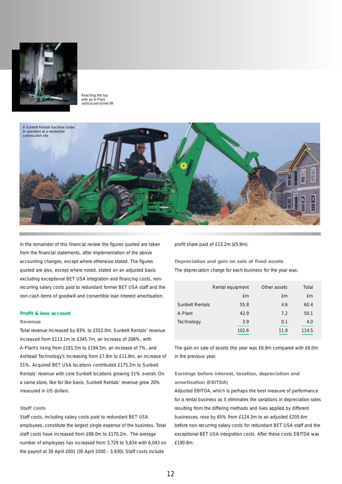

*Reaching the top with an A-Plant vertical personnel lift*



In the remainder of this financial review the figures quoted are taken from the financial statements, after implementation of the above accounting changes, except where otherwise stated. The figures quoted are also, except where noted, stated on an adjusted basis excluding exceptional BET USA integration and financing costs, nonrecurring salary costs paid to redundant former BET USA staff and the non-cash items of goodwill and convertible loan interest amortisation.

## **Profit & loss account**

## *Revenue*

Total revenue increased by 83% to £552.0m. Sunbelt Rentals' revenue increased from £113.1m to £345.7m, an increase of 206%, with A-Plant's rising from £181.5m to £194.5m, an increase of 7%, and Ashtead Technology's increasing from £7.8m to £11.8m, an increase of 51%. Acquired BET USA locations contributed £175.2m to Sunbelt Rentals' revenue with core Sunbelt locations growing 51% overall. On a same store, like for like basis, Sunbelt Rentals' revenue grew 20% measured in US dollars.

## *Staff costs*

Staff costs, including salary costs paid to redundant BET USA employees, constitute the largest single expense of the business. Total staff costs have increased from £88.0m to £170.2m. The average number of employees has increased from 3,729 to 5,834 with 6,043 on the payroll at 30 April 2001 (30 April 2000 - 3,930). Staff costs include

profit share paid of £13.2m (£5.9m).

*Depreciation and gain on sale of fixed assets* The depreciation charge for each business for the year was:

|                        | Rental equipment | Other assets | Total |
|------------------------|------------------|--------------|-------|
|                        | f m              | £m           | f m   |
| <b>Sunbelt Rentals</b> | 55.8             | 4.6          | 60.4  |
| A-Plant                | 42.9             | 7.2          | 50.1  |
| Technology             | 3.9              | 0.1          | 4.0   |
|                        | 102.6            | 11.9         | 114.5 |

The gain on sale of assets this year was £6.8m compared with £6.0m in the previous year.

## *Earnings before interest, taxation, depreciation and amortisation (EBITDA)*

Adjusted EBITDA, which is perhaps the best measure of performance for a rental business as it eliminates the variations in depreciation rates resulting from the differing methods and lives applied by different businesses, rose by 65% from £124.3m to an adjusted £205.6m before non-recurring salary costs for redundant BET USA staff and the exceptional BET USA integration costs. After these costs EBITDA was £190.8m.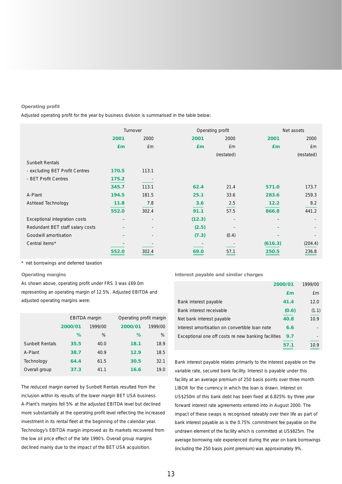## *Operating profit*

Adjusted operating profit for the year by business division is summarised in the table below:

|                                  | Turnover |                          |           | Operating profit         |           | Net assets |
|----------------------------------|----------|--------------------------|-----------|--------------------------|-----------|------------|
|                                  | 2001     | 2000                     | 2001      | 2000                     | 2001      | 2000       |
|                                  | £m       | £m                       | <b>£m</b> | £m                       | <b>£m</b> | £m         |
|                                  |          |                          |           | (restated)               |           | (restated) |
| Sunbelt Rentals                  |          |                          |           |                          |           |            |
| - excluding BET Profit Centres   | 170.5    | 113.1                    |           |                          |           |            |
| - BET Profit Centres             | 175.2    |                          |           |                          |           |            |
|                                  | 345.7    | 113.1                    | 62.4      | 21.4                     | 571.0     | 173.7      |
| A-Plant                          | 194.5    | 181.5                    | 25.1      | 33.6                     | 283.6     | 259.3      |
| Ashtead Technology               | 11.8     | 7.8                      | 3.6       | 2.5                      | 12.2      | 8.2        |
|                                  | 552.0    | 302.4                    | 91.1      | 57.5                     | 866.8     | 441.2      |
| Exceptional integration costs    | ۰        |                          | (12.3)    |                          |           |            |
| Redundant BET staff salary costs | ٠        | $\overline{\phantom{a}}$ | (2.5)     | $\overline{\phantom{a}}$ | ٠         |            |
| Goodwill amortisation            | ۰        |                          | (7.3)     | (0.4)                    | ۰         |            |
| Central items*                   |          |                          |           |                          | (616.3)   | (204.4)    |
|                                  | 552.0    | 302.4                    | 69.0      | 57.1                     | 250.5     | 236.8      |

\* net borrowings and deferred taxation

## *Operating margins*

As shown above, operating profit under FRS 3 was £69.0m representing an operating margin of 12.5%. Adjusted EBITDA and adjusted operating margins were:

|                        | <b>EBITDA</b> margin |      | Operating profit margin |         |
|------------------------|----------------------|------|-------------------------|---------|
|                        | 1999/00<br>2000/01   |      | 2000/01                 | 1999/00 |
|                        | %                    | %    | %                       | %       |
| <b>Sunbelt Rentals</b> | 35.5                 | 40.0 | 18.1                    | 18.9    |
| A-Plant                | 38.7                 | 40.9 | 12.9                    | 18.5    |
| Technology             | 64.4                 | 61.5 | 30.5                    | 32.1    |
| Overall group          | 37.3                 | 41.1 | 16.6                    | 19.0    |

The reduced margin earned by Sunbelt Rentals resulted from the inclusion within its results of the lower margin BET USA business. A-Plant's margins fell 5% at the adjusted EBITDA level but declined more substantially at the operating profit level reflecting the increased investment in its rental fleet at the beginning of the calendar year. Technology's EBITDA margin improved as its markets recovered from the low oil price effect of the late 1990's. Overall group margins declined mainly due to the impact of the BET USA acquisition.

### *Interest payable and similar charges*

|                                                     | 2000/01 | 1999/00 |
|-----------------------------------------------------|---------|---------|
|                                                     | £m      | f m     |
| Bank interest payable                               | 41.4    | 12.0    |
| Bank interest receivable                            | (0.6)   | (1.1)   |
| Net bank interest payable                           | 40.8    | 10.9    |
| Interest amortisation on convertible loan note      | 6.6     |         |
| Exceptional one off costs re new banking facilities | 9.7     |         |
|                                                     |         | 10 9    |

Bank interest payable relates primarily to the interest payable on the variable rate, secured bank facility. Interest is payable under this facility at an average premium of 250 basis points over three month LIBOR for the currency in which the loan is drawn. Interest on US\$250m of this bank debt has been fixed at 6.825% by three year forward interest rate agreements entered into in August 2000. The impact of these swaps is recognised rateably over their life as part of bank interest payable as is the 0.75% commitment fee payable on the undrawn element of the facility which is committed at US\$825m. The average borrowing rate experienced during the year on bank borrowings (including the 250 basis point premium) was approximately 9%.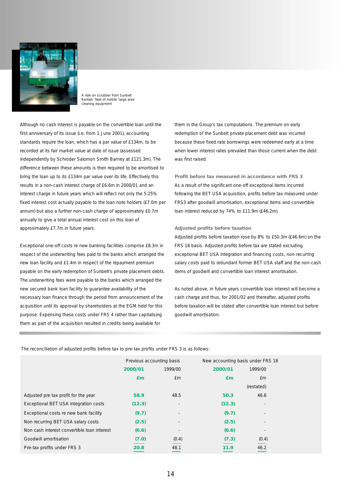

*A ride-on scrubber from Sunbelt Rentals' fleet of mobile 'large area' cleaning equipment*

Although no cash interest is payable on the convertible loan until the first anniversary of its issue (i.e. from 1 June 2001), accounting standards require the loan, which has a par value of £134m, to be recorded at its fair market value at date of issue (assessed independently by Schroder Salomon Smith Barney at £121.3m). The difference between these amounts is then required to be amortised to bring the loan up to its £134m par value over its life. Effectively this results in a non-cash interest charge of £6.6m in 2000/01 and an interest charge in future years which will reflect not only the 5.25% fixed interest cost actually payable to the loan note holders (£7.0m per annum) but also a further non-cash charge of approximately £0.7m annually to give a total annual interest cost on this loan of approximately £7.7m in future years.

Exceptional one-off costs re new banking facilities comprise £8.3m in respect of the underwriting fees paid to the banks which arranged the new loan facility and £1.4m in respect of the repayment premium payable on the early redemption of Sunbelt's private placement debts. The underwriting fees were payable to the banks which arranged the new secured bank loan facility to guarantee availability of the necessary loan finance through the period from announcement of the acquisition until its approval by shareholders at the EGM held for this purpose. Expensing these costs under FRS 4 rather than capitalising them as part of the acquisition resulted in credits being available for

them in the Group's tax computations. The premium on early redemption of the Sunbelt private placement debt was incurred because these fixed rate borrowings were redeemed early at a time when lower interest rates prevailed than those current when the debt was first raised.

*Profit before tax measured in accordance with FRS 3* As a result of the significant one-off exceptional items incurred following the BET USA acquisition, profits before tax measured under FRS3 after goodwill amortisation, exceptional items and convertible loan interest reduced by 74% to £11.9m (£46.2m).

## *Adjusted profits before taxation*

Adjusted profits before taxation rose by 8% to £50.3m (£46.6m) on the FRS 18 basis. Adjusted profits before tax are stated excluding exceptional BET USA integration and financing costs, non-recurring salary costs paid to redundant former BET USA staff and the non-cash items of goodwill and convertible loan interest amortisation.

As noted above, in future years convertible loan interest will become a cash charge and thus, for 2001/02 and thereafter, adjusted profits before taxation will be stated after convertible loan interest but before goodwill amortisation.

The reconciliation of adjusted profits before tax to pre-tax profits under FRS 3 is as follows:

|                                             | Previous accounting basis |                          | New accounting basis under FRS 18 |                          |  |
|---------------------------------------------|---------------------------|--------------------------|-----------------------------------|--------------------------|--|
|                                             | 2000/01                   | 1999/00                  | 2000/01                           | 1999/00                  |  |
|                                             | E <sub>m</sub>            | £m                       | £m                                | £m                       |  |
|                                             |                           |                          |                                   | (restated)               |  |
| Adjusted pre tax profit for the year        | 58.9                      | 48.5                     | 50.3                              | 46.6                     |  |
| Exceptional BET USA integration costs       | (12.3)                    | $\overline{a}$           | (12.3)                            |                          |  |
| Exceptional costs re new bank facility      | (9.7)                     |                          | (9.7)                             |                          |  |
| Non recurring BET USA salary costs          | (2.5)                     | $\overline{\phantom{a}}$ | (2.5)                             | $\overline{\phantom{a}}$ |  |
| Non cash interest convertible loan interest | (6.6)                     | $\overline{\phantom{a}}$ | (6.6)                             | $\overline{\phantom{a}}$ |  |
| Goodwill amortisation                       | (7.0)                     | (0.4)                    | (7.3)                             | (0.4)                    |  |
| Pre-tax profits under FRS 3                 | 20.8                      | 48.1<br>===              | 11.9<br>----                      | 46.2<br>___              |  |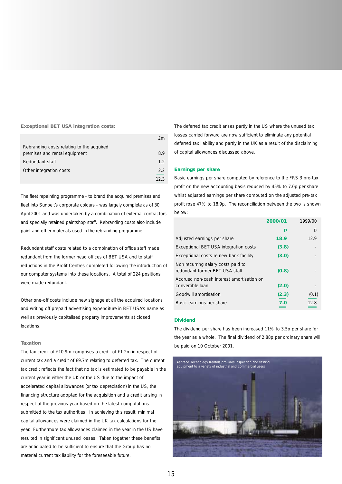#### *Exceptional BET USA integration costs:*

| Rebranding costs relating to the acquired |      |
|-------------------------------------------|------|
| premises and rental equipment             | 8.9  |
| Redundant staff                           | 1.2  |
| Other integration costs                   | 2.2  |
|                                           | 1ว ว |

The fleet repainting programme - to brand the acquired premises and fleet into Sunbelt's corporate colours - was largely complete as of 30 April 2001 and was undertaken by a combination of external contractors and specially retained paintshop staff. Rebranding costs also include paint and other materials used in the rebranding programme.

Redundant staff costs related to a combination of office staff made redundant from the former head offices of BET USA and to staff reductions in the Profit Centres completed following the introduction of our computer systems into these locations. A total of 224 positions were made redundant.

Other one-off costs include new signage at all the acquired locations and writing off prepaid advertising expenditure in BET USA's name as well as previously capitalised property improvements at closed locations.

## *Taxation*

The tax credit of £10.9m comprises a credit of £1.2m in respect of current tax and a credit of £9.7m relating to deferred tax. The current tax credit reflects the fact that no tax is estimated to be payable in the current year in either the UK or the US due to the impact of accelerated capital allowances (or tax depreciation) in the US, the financing structure adopted for the acquisition and a credit arising in respect of the previous year based on the latest computations submitted to the tax authorities. In achieving this result, minimal capital allowances were claimed in the UK tax calculations for the year. Furthermore tax allowances claimed in the year in the US have resulted in significant unused losses. Taken together these benefits are anticipated to be sufficient to ensure that the Group has no material current tax liability for the foreseeable future.

The deferred tax credit arises partly in the US where the unused tax losses carried forward are now sufficient to eliminate any potential deferred tax liability and partly in the UK as a result of the disclaiming of capital allowances discussed above.

## **Earnings per share**

Basic earnings per share computed by reference to the FRS 3 pre-tax profit on the new accounting basis reduced by 45% to 7.0p per share whilst adjusted earnings per share computed on the adjusted pre-tax profit rose 47% to 18.9p. The reconciliation between the two is shown below:

| 2000/01 | 1999/00 |
|---------|---------|
| р       | р       |
| 18.9    | 12.9    |
| (3.8)   |         |
| (3.0)   |         |
| (0.8)   |         |
| (2.0)   |         |
| (2.3)   | (0.1)   |
| 7.0     | 12.8    |
|         |         |

## **Dividend**

The dividend per share has been increased 11% to 3.5p per share for the year as a whole. The final dividend of 2.88p per ordinary share will be paid on 10 October 2001.

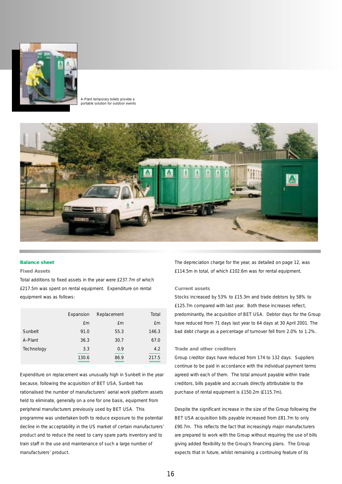

*A-Plant temporary toilets provide a portable solution for outdoor events*



#### **Balance sheet**

## *Fixed Assets*

Total additions to fixed assets in the year were £237.7m of which £217.5m was spent on rental equipment. Expenditure on rental equipment was as follows:

|            | Expansion | Replacement | Total      |
|------------|-----------|-------------|------------|
|            | £m        | £m          | <b>f</b> m |
| Sunbelt    | 91.0      | 55.3        | 146.3      |
| A-Plant    | 36.3      | 30.7        | 67.0       |
| Technology | 3.3       | 0.9         | 4.2        |
|            | 130.6     | 86.9<br>__  | 217.5      |

Expenditure on replacement was unusually high in Sunbelt in the year because, following the acquisition of BET USA, Sunbelt has rationalised the number of manufacturers' aerial work platform assets held to eliminate, generally on a one for one basis, equipment from peripheral manufacturers previously used by BET USA. This programme was undertaken both to reduce exposure to the potential decline in the acceptability in the US market of certain manufacturers' product and to reduce the need to carry spare parts inventory and to train staff in the use and maintenance of such a large number of manufacturers' product.

The depreciation charge for the year, as detailed on page 12, was £114.5m in total, of which £102.6m was for rental equipment.

## *Current assets*

Stocks increased by 53% to £15.3m and trade debtors by 58% to £125.7m compared with last year. Both these increases reflect, predominantly, the acquisition of BET USA. Debtor days for the Group have reduced from 71 days last year to 64 days at 30 April 2001. The bad debt charge as a percentage of turnover fell from 2.0% to 1.2%.

## *Trade and other creditors*

Group creditor days have reduced from 174 to 132 days. Suppliers continue to be paid in accordance with the individual payment terms agreed with each of them. The total amount payable within trade creditors, bills payable and accruals directly attributable to the purchase of rental equipment is £150.2m (£115.7m).

Despite the significant increase in the size of the Group following the BET USA acquisition bills payable increased from £81.7m to only £90.7m. This reflects the fact that increasingly major manufacturers are prepared to work with the Group without requiring the use of bills giving added flexibility to the Group's financing plans. The Group expects that in future, whilst remaining a continuing feature of its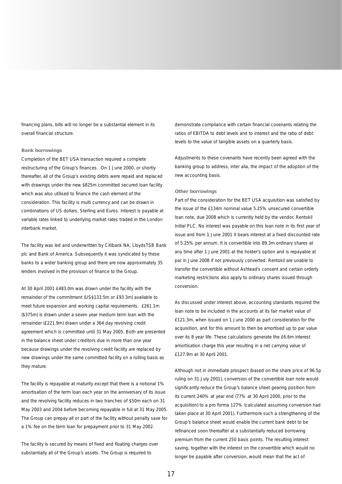financing plans, bills will no longer be a substantial element in its overall financial structure.

## *Bank borrowings*

Completion of the BET USA transaction required a complete restructuring of the Group's finances. On 1 June 2000, or shortly thereafter, all of the Group's existing debts were repaid and replaced with drawings under the new \$825m committed secured loan facility which was also utilised to finance the cash element of the consideration. This facility is multi currency and can be drawn in combinations of US dollars, Sterling and Euros. Interest is payable at variable rates linked to underlying market rates traded in the London interbank market.

The facility was led and underwritten by Citibank NA, LloydsTSB Bank plc and Bank of America. Subsequently it was syndicated by these banks to a wider banking group and there are now approximately 35 lenders involved in the provision of finance to the Group.

At 30 April 2001 £483.0m was drawn under the facility with the remainder of the commitment (US\$133.5m or £93.3m) available to meet future expansion and working capital requirements. £261.1m (\$375m) is drawn under a seven year medium term loan with the remainder (£221.9m) drawn under a 364 day revolving credit agreement which is committed until 31 May 2005. Both are presented in the balance sheet under creditors due in more than one year because drawings under the revolving credit facility are replaced by new drawings under the same committed facility on a rolling basis as they mature.

The facility is repayable at maturity except that there is a notional 1% amortisation of the term loan each year on the anniversary of its issue and the revolving facility reduces in two tranches of \$50m each on 31 May 2003 and 2004 before becoming repayable in full at 31 May 2005. The Group can prepay all or part of the facility without penalty save for a 1% fee on the term loan for prepayment prior to 31 May 2002.

The facility is secured by means of fixed and floating charges over substantially all of the Group's assets. The Group is required to

demonstrate compliance with certain financial covenants relating the ratios of EBITDA to debt levels and to interest and the ratio of debt levels to the value of tangible assets on a quarterly basis.

Adjustments to these covenants have recently been agreed with the banking group to address, inter alia, the impact of the adoption of the new accounting basis.

### *Other borrowings*

Part of the consideration for the BET USA acquisition was satisfied by the issue of the £134m nominal value 5.25% unsecured convertible loan note, due 2008 which is currently held by the vendor, Rentokil Initial PLC. No interest was payable on this loan note in its first year of issue and from 1 June 2001 it bears interest at a fixed discounted rate of 5.25% per annum. It is convertible into 89.3m ordinary shares at any time after 1 June 2001 at the holder's option and is repayable at par in June 2008 if not previously converted. Rentokil are unable to transfer the convertible without Ashtead's consent and certain orderly marketing restrictions also apply to ordinary shares issued through conversion.

As discussed under interest above, accounting standards required the loan note to be included in the accounts at its fair market value of £121.3m, when issued on 1 June 2000 as part consideration for the acquisition, and for this amount to then be amortised up to par value over its 8 year life. These calculations generate the £6.6m interest amortisation charge this year resulting in a net carrying value of £127.9m at 30 April 2001.

Although not in immediate prospect (based on the share price of 96.5p ruling on 31 July 2001), conversion of the convertible loan note would significantly reduce the Group's balance sheet gearing position from its current 240% at year end (77% at 30 April 2000, prior to the acquisition) to a pro forma 127% (calculated assuming conversion had taken place at 30 April 2001). Furthermore such a strengthening of the Group's balance sheet would enable the current bank debt to be refinanced soon thereafter at a substantially reduced borrowing premium from the current 250 basis points. The resulting interest saving, together with the interest on the convertible which would no longer be payable after conversion, would mean that the act of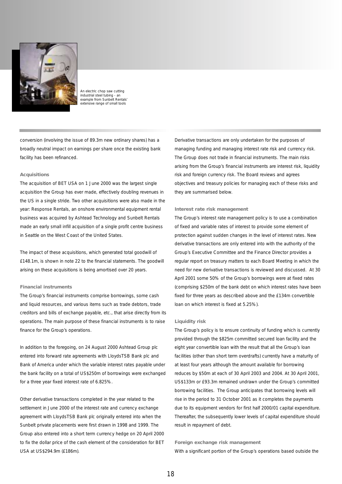

*An electric chop saw cutting industrial steel tubing - an example from Sunbelt Rentals' extensive range of small tools*

conversion (involving the issue of 89.3m new ordinary shares) has a broadly neutral impact on earnings per share once the existing bank facility has been refinanced.

#### *Acquisitions*

The acquisition of BET USA on 1 June 2000 was the largest single acquisition the Group has ever made, effectively doubling revenues in the US in a single stride. Two other acquisitions were also made in the year: Response Rentals, an onshore environmental equipment rental business was acquired by Ashtead Technology and Sunbelt Rentals made an early small infill acquisition of a single profit centre business in Seattle on the West Coast of the United States.

The impact of these acquisitions, which generated total goodwill of £148.1m, is shown in note 22 to the financial statements. The goodwill arising on these acquisitions is being amortised over 20 years.

#### *Financial instruments*

The Group's financial instruments comprise borrowings, some cash and liquid resources, and various items such as trade debtors, trade creditors and bills of exchange payable, etc., that arise directly from its operations. The main purpose of these financial instruments is to raise finance for the Group's operations.

In addition to the foregoing, on 24 August 2000 Ashtead Group plc entered into forward rate agreements with LloydsTSB Bank plc and Bank of America under which the variable interest rates payable under the bank facility on a total of US\$250m of borrowings were exchanged for a three year fixed interest rate of 6.825%.

Other derivative transactions completed in the year related to the settlement in June 2000 of the interest rate and currency exchange agreement with LloydsTSB Bank plc originally entered into when the Sunbelt private placements were first drawn in 1998 and 1999. The Group also entered into a short term currency hedge on 20 April 2000 to fix the dollar price of the cash element of the consideration for BET USA at US\$294.9m (£186m).

Derivative transactions are only undertaken for the purposes of managing funding and managing interest rate risk and currency risk. The Group does not trade in financial instruments. The main risks arising from the Group's financial instruments are interest risk, liquidity risk and foreign currency risk. The Board reviews and agrees objectives and treasury policies for managing each of these risks and they are summarised below.

#### *Interest rate risk management*

The Group's interest rate management policy is to use a combination of fixed and variable rates of interest to provide some element of protection against sudden changes in the level of interest rates. New derivative transactions are only entered into with the authority of the Group's Executive Committee and the Finance Director provides a regular report on treasury matters to each Board Meeting in which the need for new derivative transactions is reviewed and discussed. At 30 April 2001 some 50% of the Group's borrowings were at fixed rates (comprising \$250m of the bank debt on which interest rates have been fixed for three years as described above and the £134m convertible loan on which interest is fixed at 5.25%).

## *Liquidity risk*

The Group's policy is to ensure continuity of funding which is currently provided through the \$825m committed secured loan facility and the eight year convertible loan with the result that all the Group's loan facilities (other than short term overdrafts) currently have a maturity of at least four years although the amount available for borrowing reduces by \$50m at each of 30 April 2003 and 2004. At 30 April 2001, US\$133m or £93.3m remained undrawn under the Group's committed borrowing facilities. The Group anticipates that borrowing levels will rise in the period to 31 October 2001 as it completes the payments due to its equipment vendors for first half 2000/01 capital expenditure. Thereafter, the subsequently lower levels of capital expenditure should result in repayment of debt.

#### *Foreign exchange risk management*

With a significant portion of the Group's operations based outside the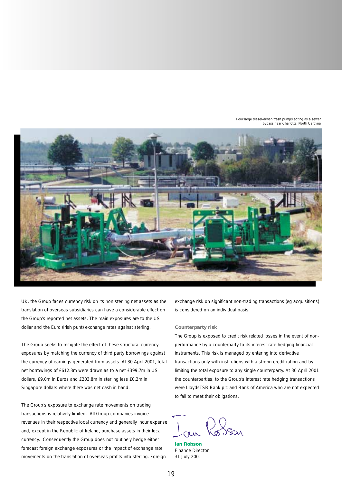*Four large diesel-driven trash pumps acting as a sewer bypass near Charlotte, North Carolina*



UK, the Group faces currency risk on its non sterling net assets as the translation of overseas subsidiaries can have a considerable effect on the Group's reported net assets. The main exposures are to the US dollar and the Euro (Irish punt) exchange rates against sterling.

The Group seeks to mitigate the effect of these structural currency exposures by matching the currency of third party borrowings against the currency of earnings generated from assets. At 30 April 2001, total net borrowings of £612.3m were drawn as to a net £399.7m in US dollars, £9.0m in Euros and £203.8m in sterling less £0.2m in Singapore dollars where there was net cash in hand.

The Group's exposure to exchange rate movements on trading transactions is relatively limited. All Group companies invoice revenues in their respective local currency and generally incur expense and, except in the Republic of Ireland, purchase assets in their local currency. Consequently the Group does not routinely hedge either forecast foreign exchange exposures or the impact of exchange rate movements on the translation of overseas profits into sterling. Foreign

exchange risk on significant non-trading transactions (eg acquisitions) is considered on an individual basis.

### *Counterparty risk*

The Group is exposed to credit risk related losses in the event of nonperformance by a counterparty to its interest rate hedging financial instruments. This risk is managed by entering into derivative transactions only with institutions with a strong credit rating and by limiting the total exposure to any single counterparty. At 30 April 2001 the counterparties, to the Group's interest rate hedging transactions were LloydsTSB Bank plc and Bank of America who are not expected to fail to meet their obligations.

Rossen

**Ian Robson** Finance Director 31 July 2001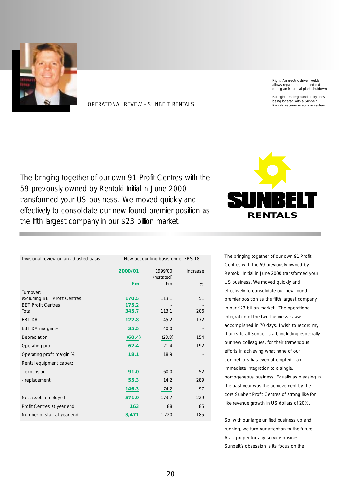

OPERATIONAL REVIEW - SUNBELT RENTALS

*Right: An electric driven welder allows repairs to be carried out during an industrial plant shutdown*

*Far right: Underground utility lines being located with a Sunbelt Rentals vacuum evacuator system*

The bringing together of our own 91 Profit Centres with the 59 previously owned by Rentokil Initial in June 2000 transformed your US business. We moved quickly and effectively to consolidate our new found premier position as the fifth largest company in our \$23 billion market.



| Divisional review on an adjusted basis | New accounting basis under FRS 18 |                       |          |
|----------------------------------------|-----------------------------------|-----------------------|----------|
|                                        | 2000/01                           | 1999/00<br>(restated) | Increase |
|                                        | Em                                | £m                    | %        |
| Turnover:                              |                                   |                       |          |
| excluding BET Profit Centres           | 170.5                             | 113.1                 | 51       |
| <b>BET Profit Centres</b>              | 175.2                             |                       |          |
| Total                                  | 345.7                             | 113.1                 | 206      |
| <b>EBITDA</b>                          | 122.8                             | 45.2                  | 172      |
| EBITDA margin %                        | 35.5                              | 40.0                  |          |
| Depreciation                           | (60.4)                            | (23.8)                | 154      |
| Operating profit                       | 62.4                              | 21.4                  | 192      |
| Operating profit margin %              | 18.1                              | 18.9                  |          |
| Rental equipment capex:                |                                   |                       |          |
| - expansion                            | 91.0                              | 60.0                  | 52       |
| - replacement                          | 55.3                              | 14.2                  | 289      |
|                                        | 146.3                             | 74.2                  | 97       |
| Net assets employed                    | 571.0                             | 173.7                 | 229      |
| Profit Centres at year end             | 163                               | 88                    | 85       |
| Number of staff at year end            | 3,471                             | 1,220                 | 185      |

The bringing together of our own 91 Profit Centres with the 59 previously owned by Rentokil Initial in June 2000 transformed your US business. We moved quickly and effectively to consolidate our new found premier position as the fifth largest company in our \$23 billion market. The operational integration of the two businesses was accomplished in 70 days. I wish to record my thanks to all Sunbelt staff, including especially our new colleagues, for their tremendous efforts in achieving what none of our competitors has even attempted - an immediate integration to a single, homogeneous business. Equally as pleasing in the past year was the achievement by the core Sunbelt Profit Centres of strong like for like revenue growth in US dollars of 20%.

So, with our large unified business up and running, we turn our attention to the future. As is proper for any service business, Sunbelt's obsession is its focus on the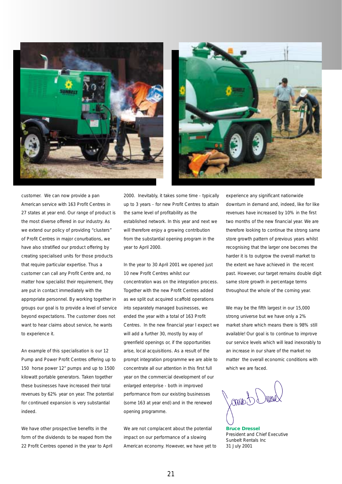



customer. We can now provide a pan American service with 163 Profit Centres in 27 states at year end. Our range of product is the most diverse offered in our industry. As we extend our policy of providing "clusters" of Profit Centres in major conurbations, we have also stratified our product offering by creating specialised units for those products that require particular expertise. Thus a customer can call any Profit Centre and, no matter how specialist their requirement, they are put in contact immediately with the appropriate personnel. By working together in groups our goal is to provide a level of service beyond expectations. The customer does not want to hear claims about service, he wants to experience it.

An example of this specialisation is our 12 Pump and Power Profit Centres offering up to 150 horse power 12" pumps and up to 1500 kilowatt portable generators. Taken together these businesses have increased their total revenues by 62% year on year. The potential for continued expansion is very substantial indeed.

We have other prospective benefits in the form of the dividends to be reaped from the 22 Profit Centres opened in the year to April

2000. Inevitably, it takes some time - typically up to 3 years - for new Profit Centres to attain the same level of profitability as the established network. In this year and next we will therefore enjoy a growing contribution from the substantial opening program in the year to April 2000.

In the year to 30 April 2001 we opened just 10 new Profit Centres whilst our concentration was on the integration process. Together with the new Profit Centres added as we split out acquired scaffold operations into separately managed businesses, we ended the year with a total of 163 Profit Centres. In the new financial year I expect we will add a further 30, mostly by way of greenfield openings or, if the opportunities arise, local acquisitions. As a result of the prompt integration programme we are able to concentrate all our attention in this first full year on the commercial development of our enlarged enterprise - both in improved performance from our existing businesses (some 163 at year end) and in the renewed opening programme.

We are not complacent about the potential impact on our performance of a slowing American economy. However, we have yet to experience any significant nationwide downturn in demand and, indeed, like for like revenues have increased by 10% in the first two months of the new financial year. We are therefore looking to continue the strong same store growth pattern of previous years whilst recognising that the larger one becomes the harder it is to outgrow the overall market to the extent we have achieved in the recent past. However, our target remains double digit same store growth in percentage terms throughout the whole of the coming year.

We may be the fifth largest in our 15,000 strong universe but we have only a 2% market share which means there is 98% still available! Our goal is to continue to improve our service levels which will lead inexorably to an increase in our share of the market no matter the overall economic conditions with which we are faced.

doma

**Bruce Dressel** President and Chief Executive Sunbelt Rentals Inc 31 July 2001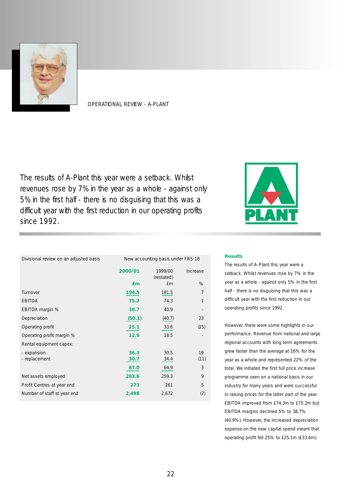

OPERATIONAL REVIEW - A-PLANT

The results of A-Plant this year were a setback. Whilst revenues rose by 7% in the year as a whole - against only 5% in the first half - there is no disguising that this was a difficult year with the first reduction in our operating profits since 1992.



| Divisional review on an adjusted basis | New accounting basis under FRS 18 |                       |          |
|----------------------------------------|-----------------------------------|-----------------------|----------|
|                                        | 2000/01                           | 1999/00<br>(restated) | Increase |
|                                        | Em                                | <b>£m</b>             | %        |
| Turnover                               | 194.5                             | 181.5                 | 7        |
| <b>EBITDA</b>                          | 75.2                              | 74.3                  | 1        |
| EBITDA margin %                        | 38.7                              | 40.9                  |          |
| Depreciation                           | (50.1)                            | (40.7)                | 23       |
| Operating profit                       | 25.1                              | 33.6                  | (25)     |
| Operating profit margin %              | 12.9                              | 18.5                  |          |
| Rental equipment capex:                |                                   |                       |          |
| - expansion                            | 36.3                              | 30.5                  | 19       |
| - replacement                          | 30.7                              | 34.4                  | (11)     |
|                                        | 67.0                              | 64.9                  | 3        |
| Net assets employed                    | 283.6                             | 259.3                 | 9        |
| Profit Centres at year end             | 273                               | 261                   | 5        |
| Number of staff at year end            | 2,498                             | 2,672                 | (7)      |

## **Results**

The results of A-Plant this year were a setback. Whilst revenues rose by 7% in the year as a whole - against only 5% in the first half - there is no disguising that this was a difficult year with the first reduction in our operating profits since 1992.

However, there were some highlights in our performance. Revenue from national and large regional accounts with long term agreements grew faster than the average at 16% for the year as a whole and represented 22% of the total. We initiated the first full price increase programme seen on a national basis in our industry for many years and were successful in raising prices for the latter part of the year. EBITDA improved from £74.3m to £75.2m but EBITDA margins declined 5% to 38.7% (40.9%). However, the increased depreciation expense on the new capital spend meant that operating profit fell 25% to £25.1m (£33.6m).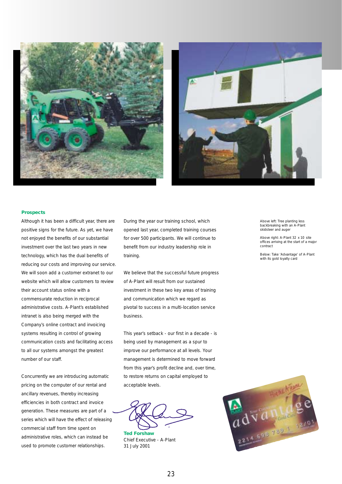



#### **Prospects**

Although it has been a difficult year, there are positive signs for the future. As yet, we have not enjoyed the benefits of our substantial investment over the last two years in new technology, which has the dual benefits of reducing our costs and improving our service. We will soon add a customer extranet to our website which will allow customers to review their account status online with a commensurate reduction in reciprocal administrative costs. A-Plant's established intranet is also being merged with the Company's online contract and invoicing systems resulting in control of growing communication costs and facilitating access to all our systems amongst the greatest number of our staff.

Concurrently we are introducing automatic pricing on the computer of our rental and ancillary revenues, thereby increasing efficiencies in both contract and invoice generation. These measures are part of a series which will have the effect of releasing commercial staff from time spent on administrative roles, which can instead be used to promote customer relationships.

During the year our training school, which opened last year, completed training courses for over 500 participants. We will continue to benefit from our industry leadership role in training.

We believe that the successful future progress of A-Plant will result from our sustained investment in these two key areas of training and communication which we regard as pivotal to success in a multi-location service business.

This year's setback - our first in a decade - is being used by management as a spur to improve our performance at all levels. Your management is determined to move forward from this year's profit decline and, over time, to restore returns on capital employed to acceptable levels.

**Ted Forshaw** Chief Executive - A-Plant 31 July 2001



*Above left: Tree planting less backbreaking with an A-Plant skidsteer and auger*

*Above right: A-Plant 32 x 10 site offices arriving at the start of a major contract*

*Below: Take 'Advantage' of A-Plant with its gold loyalty card*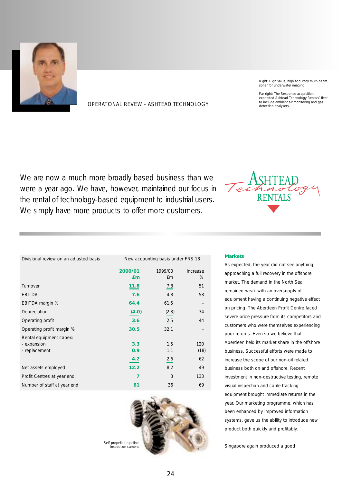

OPERATIONAL REVIEW - ASHTEAD TECHNOLOGY

*Right: High value, high accuracy multi-beam sonar for underwater imaging*

*Far right: The Response acquisition expanded Ashtead Technology Rentals' fleet to include ambient air monitoring and gas detection analysers*

We are now a much more broadly based business than we were a year ago. We have, however, maintained our focus in the rental of technology-based equipment to industrial users. We simply have more products to offer more customers.



| Divisional review on an adjusted basis | New accounting basis under FRS 18 |                 |               |
|----------------------------------------|-----------------------------------|-----------------|---------------|
|                                        | 2000/01<br>£m                     | 1999/00<br>£m   | Increase<br>% |
| Turnover                               | 11.8                              | $\frac{7.8}{2}$ | 51            |
| <b>EBITDA</b>                          | 7.6                               | 4.8             | 58            |
| EBITDA margin %                        | 64.4                              | 61.5            |               |
| Depreciation                           | (4.0)                             | (2.3)           | 74            |
| Operating profit                       | <u>3.6</u>                        | 2.5             | 44            |
| Operating profit margin %              | 30.5                              | 32.1            |               |
| Rental equipment capex:<br>- expansion | 3.3                               | 1.5             | 120           |
| - replacement                          | 0.9                               | 1.1             | (18)          |
|                                        | 4.2                               | $\frac{2.6}{2}$ | 62            |
| Net assets employed                    | 12.2                              | 8.2             | 49            |
| Profit Centres at year end             | $\overline{ }$                    | 3               | 133           |
| Number of staff at year end            | 61                                | 36              | 69            |



*inspection camera*

## **Markets**

As expected, the year did not see anything approaching a full recovery in the offshore market. The demand in the North Sea remained weak with an oversupply of equipment having a continuing negative effect on pricing. The Aberdeen Profit Centre faced severe price pressure from its competitors and customers who were themselves experiencing poor returns. Even so we believe that Aberdeen held its market share in the offshore business. Successful efforts were made to increase the scope of our non-oil related business both on and offshore. Recent investment in non-destructive testing, remote visual inspection and cable tracking equipment brought immediate returns in the year. Our marketing programme, which has been enhanced by improved information systems, gave us the ability to introduce new product both quickly and profitably.

Singapore again produced a good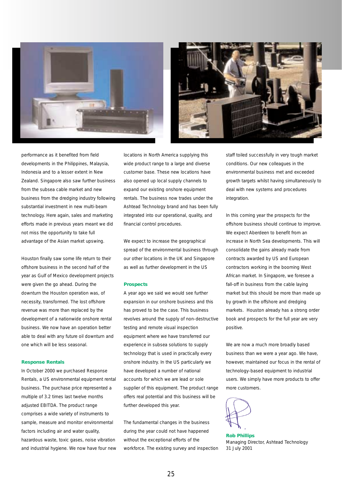



performance as it benefited from field developments in the Philippines, Malaysia, Indonesia and to a lesser extent in New Zealand. Singapore also saw further business from the subsea cable market and new business from the dredging industry following substantial investment in new multi-beam technology. Here again, sales and marketing efforts made in previous years meant we did not miss the opportunity to take full advantage of the Asian market upswing.

Houston finally saw some life return to their offshore business in the second half of the year as Gulf of Mexico development projects were given the go ahead. During the downturn the Houston operation was, of necessity, transformed. The lost offshore revenue was more than replaced by the development of a nationwide onshore rental business. We now have an operation better able to deal with any future oil downturn and one which will be less seasonal.

#### **Response Rentals**

In October 2000 we purchased Response Rentals, a US environmental equipment rental business. The purchase price represented a multiple of 3.2 times last twelve months adjusted EBITDA. The product range comprises a wide variety of instruments to sample, measure and monitor environmental factors including air and water quality, hazardous waste, toxic gases, noise vibration and industrial hygiene. We now have four new

locations in North America supplying this wide product range to a large and diverse customer base. These new locations have also opened up local supply channels to expand our existing onshore equipment rentals. The business now trades under the Ashtead Technology brand and has been fully integrated into our operational, quality, and financial control procedures.

We expect to increase the geographical spread of the environmental business through our other locations in the UK and Singapore as well as further development in the US

## **Prospects**

A year ago we said we would see further expansion in our onshore business and this has proved to be the case. This business revolves around the supply of non-destructive testing and remote visual inspection equipment where we have transferred our experience in subsea solutions to supply technology that is used in practically every onshore industry. In the US particularly we have developed a number of national accounts for which we are lead or sole supplier of this equipment. The product range offers real potential and this business will be further developed this year.

The fundamental changes in the business during the year could not have happened without the exceptional efforts of the workforce. The existing survey and inspection

staff toiled successfully in very tough market conditions. Our new colleagues in the environmental business met and exceeded growth targets whilst having simultaneously to deal with new systems and procedures integration.

In this coming year the prospects for the offshore business should continue to improve. We expect Aberdeen to benefit from an increase in North Sea developments. This will consolidate the gains already made from contracts awarded by US and European contractors working in the booming West African market. In Singapore, we foresee a fall-off in business from the cable laying market but this should be more than made up by growth in the offshore and dredging markets. Houston already has a strong order book and prospects for the full year are very positive.

We are now a much more broadly based business than we were a year ago. We have, however, maintained our focus in the rental of technology-based equipment to industrial users. We simply have more products to offer more customers.

**Rob Phillips** Managing Director, Ashtead Technology 31 July 2001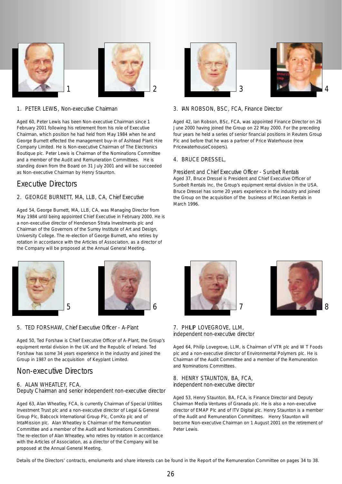



## 1. PETER LEWIS, Non-executive Chairman

Aged 60, Peter Lewis has been Non-executive Chairman since 1 February 2001 following his retirement from his role of Executive Chairman, which position he had held from May 1984 when he and George Burnett effected the management buy-in of Ashtead Plant Hire Company Limited. He is Non-executive Chairman of The Electronics Boutique plc. Peter Lewis is Chairman of the Nominations Committee and a member of the Audit and Remuneration Committees. He is standing down from the Board on 31 July 2001 and will be succeeded as Non-executive Chairman by Henry Staunton.

## Executive Directors

## 2. GEORGE BURNETT, MA, LLB, CA, Chief Executive

Aged 54, George Burnett, MA, LLB, CA, was Managing Director from May 1984 until being appointed Chief Executive in February 2000. He is a non-executive director of Henderson Strata Investments plc and Chairman of the Governors of the Surrey Institute of Art and Design, University College. The re-election of George Burnett, who retires by rotation in accordance with the Articles of Association, as a director of the Company will be proposed at the Annual General Meeting.





5. TED FORSHAW, Chief Executive Officer - A-Plant

Aged 50, Ted Forshaw is Chief Executive Officer of A-Plant, the Group's equipment rental division in the UK and the Republic of Ireland. Ted Forshaw has some 34 years experience in the industry and joined the Group in 1987 on the acquisition of Keyplant Limited.

## Non-executive Directors

6. ALAN WHEATLEY, FCA, Deputy Chairman and senior independent non-executive director

Aged 63, Alan Wheatley, FCA, is currently Chairman of Special Utilities Investment Trust plc and a non-executive director of Legal & General Group Plc, Babcock International Group Plc, ComXo plc and of IntaMission plc. Alan Wheatley is Chairman of the Remuneration Committee and a member of the Audit and Nominations Committees. The re-election of Alan Wheatley, who retires by rotation in accordance with the Articles of Association, as a director of the Company will be proposed at the Annual General Meeting.





## 3. IAN ROBSON, BSC, FCA, Finance Director

Aged 42, Ian Robson, BSc, FCA, was appointed Finance Director on 26 June 2000 having joined the Group on 22 May 2000. For the preceding four years he held a series of senior financial positions in Reuters Group Plc and before that he was a partner of Price Waterhouse (now PricewaterhouseCoopers).

## 4. BRUCE DRESSEL,

## President and Chief Executive Officer - Sunbelt Rentals

Aged 37, Bruce Dressel is President and Chief Executive Officer of Sunbelt Rentals Inc, the Group's equipment rental division in the USA. Bruce Dressel has some 20 years experience in the industry and joined the Group on the acquisition of the business of McLean Rentals in March 1996.





7. PHILIP LOVEGROVE, LLM, independent non-executive director

Aged 64, Philip Lovegrove, LLM, is Chairman of VTR plc and W T Foods plc and a non-executive director of Environmental Polymers plc. He is Chairman of the Audit Committee and a member of the Remuneration and Nominations Committees.

8. HENRY STAUNTON, BA, FCA, independent non-executive director

Aged 53, Henry Staunton, BA, FCA, is Finance Director and Deputy Chairman Media Ventures of Granada plc. He is also a non-executive director of EMAP Plc and of ITV Digital plc. Henry Staunton is a member of the Audit and Remuneration Committees. Henry Staunton will become Non-executive Chairman on 1 August 2001 on the retirement of Peter Lewis.

Details of the Directors' contracts, emoluments and share interests can be found in the Report of the Remuneration Committee on pages 34 to 38.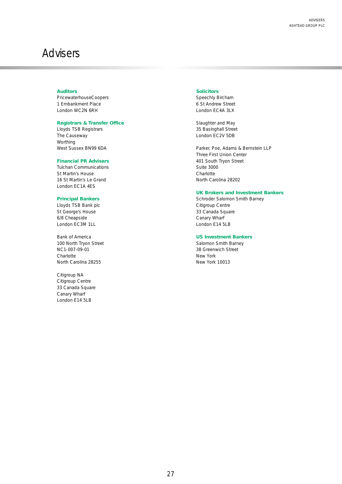## Advisers

## *Auditors*

PricewaterhouseCoopers 1 Embankment Place London WC2N 6RH

## *Registrars & Transfer Office*

Lloyds TSB Registrars The Causeway **Worthing** West Sussex BN99 6DA

## *Financial PR Advisers*

Tulchan Communications St Martin's House 16 St Martin's Le Grand London EC1A 4ES

## *Principal Bankers*

Lloyds TSB Bank plc St George's House 6/8 Cheapside London EC3M 1LL

Bank of America 100 North Tryon Street NC1-007-09-01 **Charlotte** North Carolina 28255

Citigroup NA Citigroup Centre 33 Canada Square Canary Wharf London E14 5LB

## *Solicitors*

Speechly Bircham 6 St Andrew Street London EC4A 3LX

Slaughter and May 35 Basinghall Street London EC2V 5DB

Parker, Poe, Adams & Bernstein LLP Three First Union Center 401 South Tryon Street Suite 3000 **Charlotte** North Carolina 28202

## *UK Brokers and Investment Bankers*

Schroder Salomon Smith Barney Citigroup Centre 33 Canada Square Canary Wharf London E14 5LB

## *US Investment Bankers*

Salomon Smith Barney 38 Greenwich Street New York New York 10013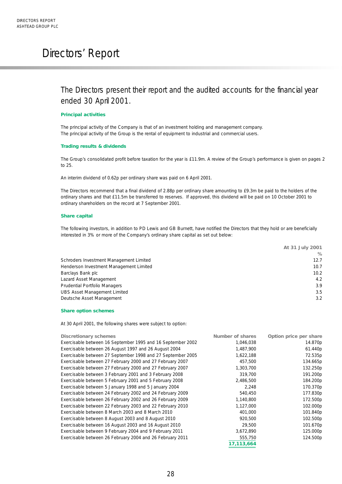## Directors' Report

The Directors present their report and the audited accounts for the financial year ended 30 April 2001.

## *Principal activities*

The principal activity of the Company is that of an investment holding and management company. The principal activity of the Group is the rental of equipment to industrial and commercial users.

## *Trading results & dividends*

The Group's consolidated profit before taxation for the year is £11.9m. A review of the Group's performance is given on pages 2 to 25.

An interim dividend of 0.62p per ordinary share was paid on 6 April 2001.

The Directors recommend that a final dividend of 2.88p per ordinary share amounting to £9.3m be paid to the holders of the ordinary shares and that £11.5m be transferred to reserves. If approved, this dividend will be paid on 10 October 2001 to ordinary shareholders on the record at 7 September 2001.

## *Share capital*

The following investors, in addition to PD Lewis and GB Burnett, have notified the Directors that they hold or are beneficially interested in 3% or more of the Company's ordinary share capital as set out below:

|                                         | At 31 July 2001 |
|-----------------------------------------|-----------------|
|                                         | %               |
| Schroders Investment Management Limited | 12.7            |
| Henderson Investment Management Limited | 10.7            |
| Barclays Bank plc                       | 10.2            |
| Lazard Asset Management                 | 4.2             |
| Prudential Portfolio Managers           | 3.9             |
| <b>UBS Asset Management Limited</b>     | 3.5             |
| Deutsche Asset Management               | 3.2             |

### *Share option schemes*

At 30 April 2001, the following shares were subject to option:

| <b>Discretionary schemes</b>                                | <b>Number of shares</b> | Option price per share |
|-------------------------------------------------------------|-------------------------|------------------------|
| Exercisable between 16 September 1995 and 16 September 2002 | 1,046,038               | 14.870p                |
| Exercisable between 26 August 1997 and 26 August 2004       | 1,487,900               | 61.440p                |
| Exercisable between 27 September 1998 and 27 September 2005 | 1,622,188               | 72.535p                |
| Exercisable between 27 February 2000 and 27 February 2007   | 457,500                 | 134.665p               |
| Exercisable between 27 February 2000 and 27 February 2007   | 1,303,700               | 132.250p               |
| Exercisable between 3 February 2001 and 3 February 2008     | 319,700                 | 191.200p               |
| Exercisable between 5 February 2001 and 5 February 2008     | 2,486,500               | 184.200p               |
| Exercisable between 5 January 1998 and 5 January 2004       | 2,248                   | 170.370p               |
| Exercisable between 24 February 2002 and 24 February 2009   | 540,450                 | 177.830p               |
| Exercisable between 26 February 2002 and 26 February 2009   | 1,140,800               | 172.500p               |
| Exercisable between 22 February 2003 and 22 February 2010   | 1,127,000               | 102.000p               |
| Exercisable between 8 March 2003 and 8 March 2010           | 401,000                 | 101.840p               |
| Exercisable between 8 August 2003 and 8 August 2010         | 920,500                 | 102.500p               |
| Exercisable between 16 August 2003 and 16 August 2010       | 29,500                  | 101.670p               |
| Exercisable between 9 February 2004 and 9 February 2011     | 3,672,890               | 125.000p               |
| Exercisable between 26 February 2004 and 26 February 2011   | 555,750                 | 124.500p               |
|                                                             | 17,113,664              |                        |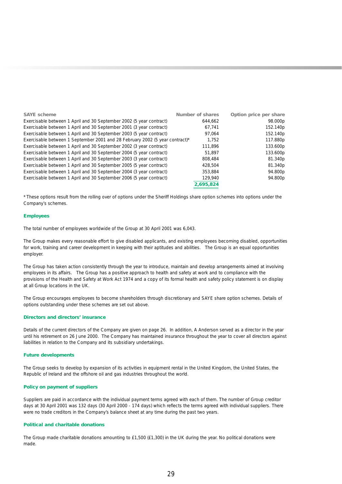| <b>SAYE</b> scheme                                                           | <b>Number of shares</b> | Option price per share |
|------------------------------------------------------------------------------|-------------------------|------------------------|
| Exercisable between 1 April and 30 September 2002 (5 year contract)          | 644,662                 | 98.000p                |
| Exercisable between 1 April and 30 September 2001 (3 year contract)          | 67.741                  | 152.140p               |
| Exercisable between 1 April and 30 September 2003 (5 year contract)          | 97.064                  | 152.140p               |
| Exercisable between 1 September 2001 and 28 February 2002 (5 year contract)* | 1,752                   | 117.880p               |
| Exercisable between 1 April and 30 September 2002 (3 year contract)          | 111.896                 | 133.600p               |
| Exercisable between 1 April and 30 September 2004 (5 year contract)          | 51,897                  | 133.600p               |
| Exercisable between 1 April and 30 September 2003 (3 year contract)          | 808,484                 | 81.340p                |
| Exercisable between 1 April and 30 September 2005 (5 year contract)          | 428.504                 | 81.340p                |
| Exercisable between 1 April and 30 September 2004 (3 year contract)          | 353,884                 | 94.800p                |
| Exercisable between 1 April and 30 September 2006 (5 year contract)          | 129,940                 | 94.800p                |
|                                                                              | 2,695,824               |                        |

*\* These options result from the rolling over of options under the Sheriff Holdings share option schemes into options under the Company's schemes.*

## *Employees*

The total number of employees worldwide of the Group at 30 April 2001 was 6,043.

The Group makes every reasonable effort to give disabled applicants, and existing employees becoming disabled, opportunities for work, training and career development in keeping with their aptitudes and abilities. The Group is an equal opportunities employer.

The Group has taken action consistently through the year to introduce, maintain and develop arrangements aimed at involving employees in its affairs. The Group has a positive approach to health and safety at work and to compliance with the provisions of the Health and Safety at Work Act 1974 and a copy of its formal health and safety policy statement is on display at all Group locations in the UK.

The Group encourages employees to become shareholders through discretionary and SAYE share option schemes. Details of options outstanding under these schemes are set out above.

### *Directors and directors' insurance*

Details of the current directors of the Company are given on page 26. In addition, A Anderson served as a director in the year until his retirement on 26 June 2000. The Company has maintained insurance throughout the year to cover all directors against liabilities in relation to the Company and its subsidiary undertakings.

#### *Future developments*

The Group seeks to develop by expansion of its activities in equipment rental in the United Kingdom, the United States, the Republic of Ireland and the offshore oil and gas industries throughout the world.

## *Policy on payment of suppliers*

Suppliers are paid in accordance with the individual payment terms agreed with each of them. The number of Group creditor days at 30 April 2001 was 132 days (30 April 2000 - 174 days) which reflects the terms agreed with individual suppliers. There were no trade creditors in the Company's balance sheet at any time during the past two years.

## *Political and charitable donations*

The Group made charitable donations amounting to £1,500 (£1,300) in the UK during the year. No political donations were made.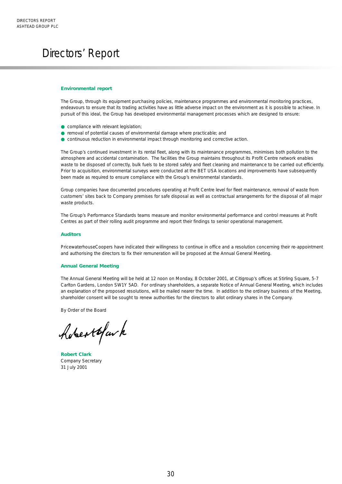## Directors' Report

### *Environmental report*

The Group, through its equipment purchasing policies, maintenance programmes and environmental monitoring practices, endeavours to ensure that its trading activities have as little adverse impact on the environment as it is possible to achieve. In pursuit of this ideal, the Group has developed environmental management processes which are designed to ensure:

- compliance with relevant legislation;
- removal of potential causes of environmental damage where practicable; and
- continuous reduction in environmental impact through monitoring and corrective action.

The Group's continued investment in its rental fleet, along with its maintenance programmes, minimises both pollution to the atmosphere and accidental contamination. The facilities the Group maintains throughout its Profit Centre network enables waste to be disposed of correctly, bulk fuels to be stored safely and fleet cleaning and maintenance to be carried out efficiently. Prior to acquisition, environmental surveys were conducted at the BET USA locations and improvements have subsequently been made as required to ensure compliance with the Group's environmental standards.

Group companies have documented procedures operating at Profit Centre level for fleet maintenance, removal of waste from customers' sites back to Company premises for safe disposal as well as contractual arrangements for the disposal of all major waste products.

The Group's Performance Standards teams measure and monitor environmental performance and control measures at Profit Centres as part of their rolling audit programme and report their findings to senior operational management.

## *Auditors*

PricewaterhouseCoopers have indicated their willingness to continue in office and a resolution concerning their re-appointment and authorising the directors to fix their remuneration will be proposed at the Annual General Meeting.

#### *Annual General Meeting*

The Annual General Meeting will be held at 12 noon on Monday, 8 October 2001, at Citigroup's offices at Stirling Square, 5-7 Carlton Gardens, London SW1Y 5AD. For ordinary shareholders, a separate Notice of Annual General Meeting, which includes an explanation of the proposed resolutions, will be mailed nearer the time. In addition to the ordinary business of the Meeting, shareholder consent will be sought to renew authorities for the directors to allot ordinary shares in the Company.

By Order of the Board

Advertofar k

*Robert Clark*  Company Secretary 31 July 2001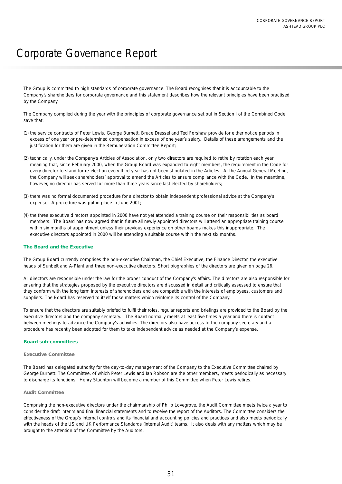## Corporate Governance Report

The Group is committed to high standards of corporate governance. The Board recognises that it is accountable to the Company's shareholders for corporate governance and this statement describes how the relevant principles have been practised by the Company.

The Company complied during the year with the principles of corporate governance set out in Section I of the Combined Code save that:

- (1) the service contracts of Peter Lewis, George Burnett, Bruce Dressel and Ted Forshaw provide for either notice periods in excess of one year or pre-determined compensation in excess of one year's salary. Details of these arrangements and the justification for them are given in the Remuneration Committee Report;
- (2) technically, under the Company's Articles of Association, only two directors are required to retire by rotation each year meaning that, since February 2000, when the Group Board was expanded to eight members, the requirement in the Code for every director to stand for re-election every third year has not been stipulated in the Articles. At the Annual General Meeting, the Company will seek shareholders' approval to amend the Articles to ensure compliance with the Code. In the meantime, however, no director has served for more than three years since last elected by shareholders;
- (3) there was no formal documented procedure for a director to obtain independent professional advice at the Company's expense. A procedure was put in place in June 2001;
- (4) the three executive directors appointed in 2000 have not yet attended a training course on their responsibilities as board members. The Board has now agreed that in future all newly appointed directors will attend an appropriate training course within six months of appointment unless their previous experience on other boards makes this inappropriate. The executive directors appointed in 2000 will be attending a suitable course within the next six months.

## *The Board and the Executive*

The Group Board currently comprises the non-executive Chairman, the Chief Executive, the Finance Director, the executive heads of Sunbelt and A-Plant and three non-executive directors. Short biographies of the directors are given on page 26.

All directors are responsible under the law for the proper conduct of the Company's affairs. The directors are also responsible for ensuring that the strategies proposed by the executive directors are discussed in detail and critically assessed to ensure that they conform with the long term interests of shareholders and are compatible with the interests of employees, customers and suppliers. The Board has reserved to itself those matters which reinforce its control of the Company.

To ensure that the directors are suitably briefed to fulfil their roles, regular reports and briefings are provided to the Board by the executive directors and the company secretary. The Board normally meets at least five times a year and there is contact between meetings to advance the Company's activities. The directors also have access to the company secretary and a procedure has recently been adopted for them to take independent advice as needed at the Company's expense.

## *Board sub-committees*

## *Executive Committee*

The Board has delegated authority for the day-to-day management of the Company to the Executive Committee chaired by George Burnett. The Committee, of which Peter Lewis and Ian Robson are the other members, meets periodically as necessary to discharge its functions. Henry Staunton will become a member of this Committee when Peter Lewis retires.

## *Audit Committee*

Comprising the non-executive directors under the chairmanship of Philip Lovegrove, the Audit Committee meets twice a year to consider the draft interim and final financial statements and to receive the report of the Auditors. The Committee considers the effectiveness of the Group's internal controls and its financial and accounting policies and practices and also meets periodically with the heads of the US and UK Performance Standards (Internal Audit) teams. It also deals with any matters which may be brought to the attention of the Committee by the Auditors.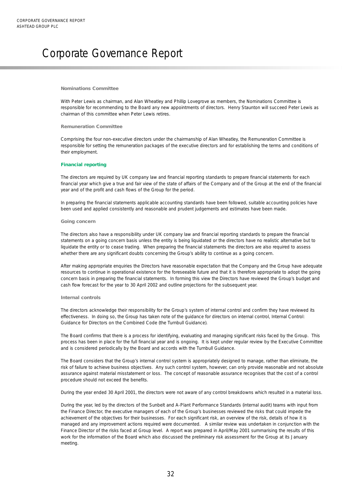## Corporate Governance Report

#### *Nominations Committee*

With Peter Lewis as chairman, and Alan Wheatley and Phillip Lovegrove as members, the Nominations Committee is responsible for recommending to the Board any new appointments of directors. Henry Staunton will succeed Peter Lewis as chairman of this committee when Peter Lewis retires.

### *Remuneration Committee*

Comprising the four non-executive directors under the chairmanship of Alan Wheatley, the Remuneration Committee is responsible for setting the remuneration packages of the executive directors and for establishing the terms and conditions of their employment.

## *Financial reporting*

The directors are required by UK company law and financial reporting standards to prepare financial statements for each financial year which give a true and fair view of the state of affairs of the Company and of the Group at the end of the financial year and of the profit and cash flows of the Group for the period.

In preparing the financial statements applicable accounting standards have been followed, suitable accounting policies have been used and applied consistently and reasonable and prudent judgements and estimates have been made.

## *Going concern*

The directors also have a responsibility under UK company law and financial reporting standards to prepare the financial statements on a going concern basis unless the entity is being liquidated or the directors have no realistic alternative but to liquidate the entity or to cease trading. When preparing the financial statements the directors are also required to assess whether there are any significant doubts concerning the Group's ability to continue as a going concern.

After making appropriate enquiries the Directors have reasonable expectation that the Company and the Group have adequate resources to continue in operational existence for the foreseeable future and that it is therefore appropriate to adopt the going concern basis in preparing the financial statements. In forming this view the Directors have reviewed the Group's budget and cash flow forecast for the year to 30 April 2002 and outline projections for the subsequent year.

## *Internal controls*

The directors acknowledge their responsibility for the Group's system of internal control and confirm they have reviewed its effectiveness. In doing so, the Group has taken note of the guidance for directors on internal control, Internal Control: Guidance for Directors on the Combined Code (the Turnbull Guidance).

The Board confirms that there is a process for identifying, evaluating and managing significant risks faced by the Group. This process has been in place for the full financial year and is ongoing. It is kept under regular review by the Executive Committee and is considered periodically by the Board and accords with the Turnbull Guidance.

The Board considers that the Group's internal control system is appropriately designed to manage, rather than eliminate, the risk of failure to achieve business objectives. Any such control system, however, can only provide reasonable and not absolute assurance against material misstatement or loss. The concept of reasonable assurance recognises that the cost of a control procedure should not exceed the benefits.

During the year ended 30 April 2001, the directors were not aware of any control breakdowns which resulted in a material loss.

During the year, led by the directors of the Sunbelt and A-Plant Performance Standards (internal audit) teams with input from the Finance Director, the executive managers of each of the Group's businesses reviewed the risks that could impede the achievement of the objectives for their businesses. For each significant risk, an overview of the risk, details of how it is managed and any improvement actions required were documented. A similar review was undertaken in conjunction with the Finance Director of the risks faced at Group level. A report was prepared in April/May 2001 summarising the results of this work for the information of the Board which also discussed the preliminary risk assessment for the Group at its January meeting.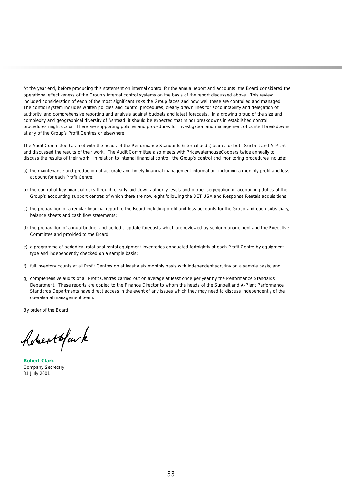At the year end, before producing this statement on internal control for the annual report and accounts, the Board considered the operational effectiveness of the Group's internal control systems on the basis of the report discussed above. This review included consideration of each of the most significant risks the Group faces and how well these are controlled and managed. The control system includes written policies and control procedures, clearly drawn lines for accountability and delegation of authority, and comprehensive reporting and analysis against budgets and latest forecasts. In a growing group of the size and complexity and geographical diversity of Ashtead, it should be expected that minor breakdowns in established control procedures might occur. There are supporting policies and procedures for investigation and management of control breakdowns at any of the Group's Profit Centres or elsewhere.

The Audit Committee has met with the heads of the Performance Standards (internal audit) teams for both Sunbelt and A-Plant and discussed the results of their work. The Audit Committee also meets with PricewaterhouseCoopers twice annually to discuss the results of their work. In relation to internal financial control, the Group's control and monitoring procedures include:

- a) the maintenance and production of accurate and timely financial management information, including a monthly profit and loss account for each Profit Centre;
- b) the control of key financial risks through clearly laid down authority levels and proper segregation of accounting duties at the Group's accounting support centres of which there are now eight following the BET USA and Response Rentals acquisitions;
- c) the preparation of a regular financial report to the Board including profit and loss accounts for the Group and each subsidiary, balance sheets and cash flow statements;
- d) the preparation of annual budget and periodic update forecasts which are reviewed by senior management and the Executive Committee and provided to the Board;
- e) a programme of periodical rotational rental equipment inventories conducted fortnightly at each Profit Centre by equipment type and independently checked on a sample basis;
- f) full inventory counts at all Profit Centres on at least a six monthly basis with independent scrutiny on a sample basis; and
- g) comprehensive audits of all Profit Centres carried out on average at least once per year by the Performance Standards Department. These reports are copied to the Finance Director to whom the heads of the Sunbelt and A-Plant Performance Standards Departments have direct access in the event of any issues which they may need to discuss independently of the operational management team.

By order of the Board

Advertofar k

*Robert Clark* Company Secretary 31 July 2001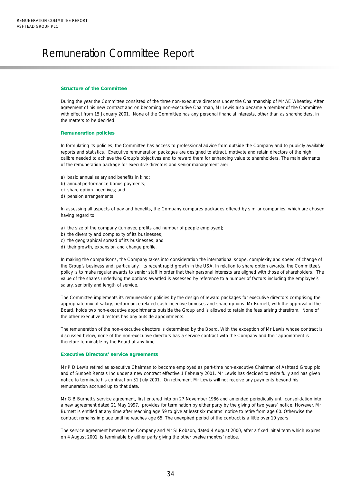## Remuneration Committee Report

### *Structure of the Committee*

During the year the Committee consisted of the three non-executive directors under the Chairmanship of Mr AE Wheatley. After agreement of his new contract and on becoming non-executive Chairman, Mr Lewis also became a member of the Committee with effect from 15 January 2001. None of the Committee has any personal financial interests, other than as shareholders, in the matters to be decided.

## *Remuneration policies*

In formulating its policies, the Committee has access to professional advice from outside the Company and to publicly available reports and statistics. Executive remuneration packages are designed to attract, motivate and retain directors of the high calibre needed to achieve the Group's objectives and to reward them for enhancing value to shareholders. The main elements of the remuneration package for executive directors and senior management are:

- a) basic annual salary and benefits in kind;
- b) annual performance bonus payments;
- c) share option incentives; and
- d) pension arrangements.

In assessing all aspects of pay and benefits, the Company compares packages offered by similar companies, which are chosen having regard to:

- a) the size of the company (turnover, profits and number of people employed);
- b) the diversity and complexity of its businesses;
- c) the geographical spread of its businesses; and
- d) their growth, expansion and change profile.

In making the comparisons, the Company takes into consideration the international scope, complexity and speed of change of the Group's business and, particularly, its recent rapid growth in the USA. In relation to share option awards, the Committee's policy is to make regular awards to senior staff in order that their personal interests are aligned with those of shareholders. The value of the shares underlying the options awarded is assessed by reference to a number of factors including the employee's salary, seniority and length of service.

The Committee implements its remuneration policies by the design of reward packages for executive directors comprising the appropriate mix of salary, performance related cash incentive bonuses and share options. Mr Burnett, with the approval of the Board, holds two non-executive appointments outside the Group and is allowed to retain the fees arising therefrom. None of the other executive directors has any outside appointments.

The remuneration of the non-executive directors is determined by the Board. With the exception of Mr Lewis whose contract is discussed below, none of the non-executive directors has a service contract with the Company and their appointment is therefore terminable by the Board at any time.

#### *Executive Directors' service agreements*

Mr P D Lewis retired as executive Chairman to become employed as part-time non-executive Chairman of Ashtead Group plc and of Sunbelt Rentals Inc under a new contract effective 1 February 2001. Mr Lewis has decided to retire fully and has given notice to terminate his contract on 31 July 2001. On retirement Mr Lewis will not receive any payments beyond his remuneration accrued up to that date.

Mr G B Burnett's service agreement, first entered into on 27 November 1986 and amended periodically until consolidation into a new agreement dated 21 May 1997, provides for termination by either party by the giving of two years' notice. However, Mr Burnett is entitled at any time after reaching age 59 to give at least six months' notice to retire from age 60. Otherwise the contract remains in place until he reaches age 65. The unexpired period of the contract is a little over 10 years.

The service agreement between the Company and Mr SI Robson, dated 4 August 2000, after a fixed initial term which expires on 4 August 2001, is terminable by either party giving the other twelve months' notice.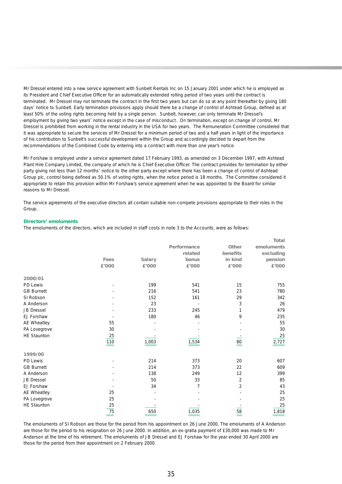Mr Dressel entered into a new service agreement with Sunbelt Rentals Inc on 15 January 2001 under which he is employed as its President and Chief Executive Officer for an automatically extended rolling period of two years until the contract is terminated. Mr Dressel may not terminate the contract in the first two years but can do so at any point thereafter by giving 180 days' notice to Sunbelt. Early termination provisions apply should there be a change of control of Ashtead Group, defined as at least 50% of the voting rights becoming held by a single person. Sunbelt, however, can only terminate Mr Dressel's employment by giving two years' notice except in the case of misconduct. On termination, except on change of control, Mr Dressel is prohibited from working in the rental industry in the USA for two years. The Remuneration Committee considered that it was appropriate to secure the services of Mr Dressel for a minimum period of two and a half years in light of the importance of his contribution to Sunbelt's successful development within the Group and accordingly decided to depart from the recommendations of the Combined Code by entering into a contract with more than one year's notice.

Mr Forshaw is employed under a service agreement dated 17 February 1993, as amended on 3 December 1997, with Ashtead Plant Hire Company Limited, the company of which he is Chief Executive Officer. The contract provides for termination by either party giving not less than 12 months' notice to the other party except where there has been a change of control of Ashtead Group plc, control being defined as 50.1% of voting rights, when the notice period is 18 months. The Committee considered it appropriate to retain this provision within Mr Forshaw's service agreement when he was appointed to the Board for similar reasons to Mr Dressel.

The service agreements of the executive directors all contain suitable non-compete provisions appropriate to their roles in the Group.

### *Directors' emoluments*

The emoluments of the directors, which are included in staff costs in note 3 to the Accounts, were as follows:

|                    |          |        |                |                   | <b>Total</b> |
|--------------------|----------|--------|----------------|-------------------|--------------|
|                    |          |        | Performance    | <b>Other</b>      | emoluments   |
|                    |          |        | related        | benefits          | excluding    |
|                    | Fees     | Salary | bonus          | in kind           | pension      |
|                    | £'000    | £'000  | £'000          | £'000             | £'000        |
| 2000/01            |          |        |                |                   |              |
| PD Lewis           |          | 199    | 541            | 15                | 755          |
| <b>GB Burnett</b>  |          | 216    | 541            | 23                | 780          |
| SI Robson          |          | 152    | 161            | 29                | 342          |
| A Anderson         |          | 23     |                | 3                 | 26           |
| <b>JB Dressel</b>  |          | 233    | 245            | 1                 | 479          |
| EJ Forshaw         |          | 180    | 46             | 9                 | 235          |
| AE Wheatley        | 55       |        |                |                   | 55           |
| PA Lovegrove       | 30       |        |                |                   | 30           |
| <b>HE Staunton</b> | 25       |        |                |                   | 25           |
|                    | $\equiv$ | 1,003  | 1,534          | $\overset{80}{=}$ | 2,727        |
| 1999/00            |          |        |                |                   |              |
| PD Lewis           |          | 214    | 373            | 20                | 607          |
| <b>GB Burnett</b>  |          | 214    | 373            | 22                | 609          |
| A Anderson         |          | 138    | 249            | 12                | 399          |
| <b>JB Dressel</b>  |          | 50     | 33             | 2                 | 85           |
| EJ Forshaw         |          | 34     | $\overline{7}$ | $\overline{2}$    | 43           |
| <b>AE Wheatley</b> | 25       |        |                |                   | 25           |
| PA Lovegrove       | 25       |        |                |                   | 25           |
| <b>HE Staunton</b> | 25       |        |                |                   | 25           |
|                    | 75       | 650    | 1,035          | $\frac{58}{1}$    | 1,818        |

The emoluments of SI Robson are those for the period from his appointment on 26 June 2000. The emoluments of A Anderson are those for the period to his resignation on 26 June 2000. In addition, an ex-gratia payment of £30,000 was made to Mr Anderson at the time of his retirement. The emoluments of JB Dressel and EJ Forshaw for the year ended 30 April 2000 are those for the period from their appointment on 2 February 2000.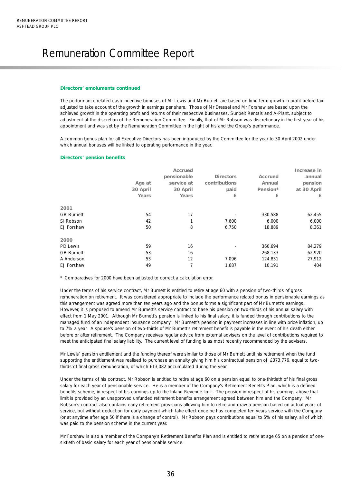## Remuneration Committee Report

### *Directors' emoluments continued*

The performance related cash incentive bonuses of Mr Lewis and Mr Burnett are based on long term growth in profit before tax adjusted to take account of the growth in earnings per share. Those of Mr Dressel and Mr Forshaw are based upon the achieved growth in the operating profit and returns of their respective businesses, Sunbelt Rentals and A-Plant, subject to adjustment at the discretion of the Remuneration Committee. Finally, that of Mr Robson was discretionary in the first year of his appointment and was set by the Remuneration Committee in the light of his and the Group's performance.

A common bonus plan for all Executive Directors has been introduced by the Committee for the year to 30 April 2002 under which annual bonuses will be linked to operating performance in the year.

#### *Directors' pension benefits*

|                   | Age at<br>30 April | <b>Accrued</b><br>pensionable<br>service at<br>30 April | <b>Directors</b><br>contributions<br>paid | Accrued<br><b>Annual</b><br>Pension* | Increase in<br>annual<br>pension<br>at 30 April |
|-------------------|--------------------|---------------------------------------------------------|-------------------------------------------|--------------------------------------|-------------------------------------------------|
|                   | Years              | Years                                                   | £                                         | £                                    | £                                               |
| 2001              |                    |                                                         |                                           |                                      |                                                 |
| <b>GB Burnett</b> | 54                 | 17                                                      |                                           | 330,588                              | 62,455                                          |
| SI Robson         | 42                 |                                                         | 7,600                                     | 6,000                                | 6,000                                           |
| EJ Forshaw        | 50                 | 8                                                       | 6,750                                     | 18,889                               | 8,361                                           |
| 2000              |                    |                                                         |                                           |                                      |                                                 |
| PD Lewis          | 59                 | 16                                                      |                                           | 360,694                              | 84,279                                          |
| <b>GB Burnett</b> | 53                 | 16                                                      |                                           | 268,133                              | 62,920                                          |
| A Anderson        | 53                 | 12                                                      | 7,096                                     | 124,831                              | 27,912                                          |
| EJ Forshaw        | 49                 | 7                                                       | 1,687                                     | 10.191                               | 404                                             |

*\* Comparatives for 2000 have been adjusted to correct a calculation error.*

Under the terms of his service contract, Mr Burnett is entitled to retire at age 60 with a pension of two-thirds of gross remuneration on retirement. It was considered appropriate to include the performance related bonus in pensionable earnings as this arrangement was agreed more than ten years ago and the bonus forms a significant part of Mr Burnett's earnings. However, it is proposed to amend Mr Burnett's service contract to base his pension on two-thirds of his annual salary with effect from 1 May 2001. Although Mr Burnett's pension is linked to his final salary, it is funded through contributions to the managed fund of an independent insurance company. Mr Burnett's pension in payment increases in line with price inflation, up to 7% a year. A spouse's pension of two-thirds of Mr Burnett's retirement benefit is payable in the event of his death either before or after retirement. The Company receives regular advice from external advisers on the level of contributions required to meet the anticipated final salary liability. The current level of funding is as most recently recommended by the advisers.

Mr Lewis' pension entitlement and the funding thereof were similar to those of Mr Burnett until his retirement when the fund supporting the entitlement was realised to purchase an annuity giving him his contractual pension of £373,776, equal to twothirds of final gross remuneration, of which £13,082 accumulated during the year.

Under the terms of his contract, Mr Robson is entitled to retire at age 60 on a pension equal to one-thirtieth of his final gross salary for each year of pensionable service. He is a member of the Company's Retirement Benefits Plan, which is a defined benefits scheme, in respect of his earnings up to the Inland Revenue limit. The pension in respect of his earnings above that limit is provided by an unapproved unfunded retirement benefits arrangement agreed between him and the Company. Mr Robson's contract also contains early retirement provisions allowing him to retire and draw a pension based on actual years of service, but without deduction for early payment which take effect once he has completed ten years service with the Company (or at anytime after age 50 if there is a change of control). Mr Robson pays contributions equal to 5% of his salary, all of which was paid to the pension scheme in the current year.

Mr Forshaw is also a member of the Company's Retirement Benefits Plan and is entitled to retire at age 65 on a pension of onesixtieth of basic salary for each year of pensionable service.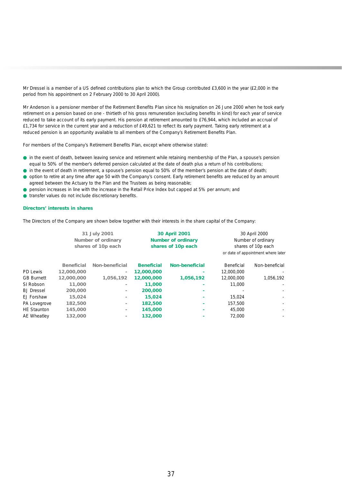Mr Dressel is a member of a US defined contributions plan to which the Group contributed £3,600 in the year (£2,000 in the period from his appointment on 2 February 2000 to 30 April 2000).

Mr Anderson is a pensioner member of the Retirement Benefits Plan since his resignation on 26 June 2000 when he took early retirement on a pension based on one - thirtieth of his gross remuneration (excluding benefits in kind) for each year of service reduced to take account of its early payment. His pension at retirement amounted to £76,944, which included an accrual of £1,734 for service in the current year and a reduction of £49,621 to reflect its early payment. Taking early retirement at a reduced pension is an opportunity available to all members of the Company's Retirement Benefits Plan.

For members of the Company's Retirement Benefits Plan, except where otherwise stated:

- in the event of death, between leaving service and retirement while retaining membership of the Plan, a spouse's pension equal to 50% of the member's deferred pension calculated at the date of death plus a return of his contributions;
- in the event of death in retirement, a spouse's pension equal to 50% of the member's pension at the date of death;
- option to retire at any time after age 50 with the Company's consent. Early retirement benefits are reduced by an amount agreed between the Actuary to the Plan and the Trustees as being reasonable;
- pension increases in line with the increase in the Retail Price Index but capped at 5% per annum; and
- transfer values do not include discretionary benefits.

### *Directors' interests in shares*

The Directors of the Company are shown below together with their interests in the share capital of the Company:

|                    |                   | 31 July 2001<br><b>Number of ordinary</b><br>shares of 10p each |                   | <b>30 April 2001</b><br><b>Number of ordinary</b><br>shares of 10p each |            | 30 April 2000<br>Number of ordinary<br>shares of 10p each<br>or date of appointment where later |
|--------------------|-------------------|-----------------------------------------------------------------|-------------------|-------------------------------------------------------------------------|------------|-------------------------------------------------------------------------------------------------|
|                    | <b>Beneficial</b> | <b>Non-beneficial</b>                                           | <b>Beneficial</b> | <b>Non-beneficial</b>                                                   | Beneficial | Non-beneficial                                                                                  |
| <b>PD Lewis</b>    | 12,000,000        | $\sim$                                                          | 12,000,000        |                                                                         | 12,000,000 |                                                                                                 |
| <b>GB Burnett</b>  | 12,000,000        | 1,056,192                                                       | 12,000,000        | 1,056,192                                                               | 12,000,000 | 1,056,192                                                                                       |
| SI Robson          | 11,000            | ٠                                                               | 11,000            | ۰                                                                       | 11,000     |                                                                                                 |
| <b>BJ</b> Dressel  | 200,000           | $\overline{\phantom{a}}$                                        | 200,000           | ۰                                                                       |            |                                                                                                 |
| EJ Forshaw         | 15,024            | $\overline{\phantom{a}}$                                        | 15,024            | ٠                                                                       | 15,024     |                                                                                                 |
| PA Lovegrove       | 182,500           | $\overline{\phantom{a}}$                                        | 182,500           | ۰                                                                       | 157,500    |                                                                                                 |
| <b>HE Staunton</b> | 145,000           | ٠                                                               | 145,000           | ۰                                                                       | 45,000     |                                                                                                 |
| AE Wheatley        | 132,000           | $\overline{\phantom{a}}$                                        | 132,000           |                                                                         | 72.000     |                                                                                                 |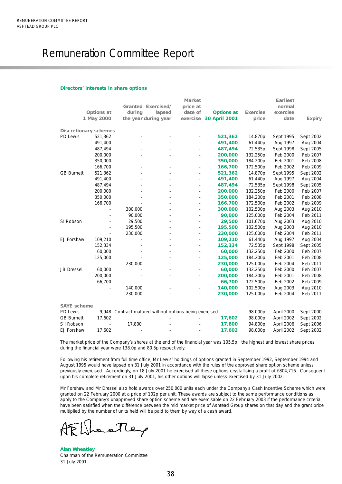## Remuneration Committee Report

#### *Directors' interests in share options*

|                              |                |                                                        | <b>Market</b>                    |                      |                 | <b>Earliest</b> |               |
|------------------------------|----------------|--------------------------------------------------------|----------------------------------|----------------------|-----------------|-----------------|---------------|
|                              |                | <b>Granted Exercised/</b>                              | price at                         |                      |                 | normal          |               |
|                              | Options at     | during<br>lapsed                                       | date of                          | <b>Options at</b>    | <b>Exercise</b> | exercise        |               |
|                              | 1 May 2000     | the year during year                                   | exercise                         | <b>30 April 2001</b> | price           | date            | <b>Expiry</b> |
|                              |                |                                                        |                                  |                      |                 |                 |               |
| <b>Discretionary schemes</b> |                |                                                        |                                  |                      |                 |                 |               |
| PD Lewis                     | 521,362        |                                                        |                                  | 521,362              | 14.870p         | Sept 1995       | Sept 2002     |
|                              | 491,400        |                                                        |                                  | 491,400              | 61.440p         | Aug 1997        | Aug 2004      |
|                              | 487,494        |                                                        |                                  | 487,494              | 72.535p         | Sept 1998       | Sept 2005     |
|                              | 200,000        |                                                        |                                  | 200,000              | 132.250p        | Feb 2000        | Feb 2007      |
|                              | 350,000        |                                                        |                                  | 350,000              | 184.200p        | Feb 2001        | Feb 2008      |
|                              | 166,700        |                                                        |                                  | 166,700              | 172.500p        | Feb 2002        | Feb 2009      |
| <b>GB Burnett</b>            | 521,362        |                                                        |                                  | 521,362              | 14.870p         | Sept 1995       | Sept 2002     |
|                              | 491,400        |                                                        |                                  | 491,400              | 61.440p         | Aug 1997        | Aug 2004      |
|                              | 487,494        |                                                        |                                  | 487,494              | 72.535p         | Sept 1998       | Sept 2005     |
|                              | 200,000        |                                                        | $\overline{a}$<br>$\blacksquare$ | 200,000              | 132.250p        | Feb 2000        | Feb 2007      |
|                              | 350,000        |                                                        | ٠<br>$\equiv$                    | 350,000              | 184.200p        | Feb 2001        | Feb 2008      |
|                              | 166,700        |                                                        |                                  | 166,700              | 172.500p        | Feb 2002        | Feb 2009      |
|                              |                | 300,000                                                | $\overline{a}$                   | 300,000              | 102.500p        | Aug 2003        | Aug 2010      |
|                              |                | 90,000                                                 | ÷.                               | 90,000               | 125.000p        | Feb 2004        | Feb 2011      |
| SI Robson                    |                | 29,500                                                 |                                  | 29,500               | 101.670p        | Aug 2003        | Aug 2010      |
|                              |                | 195,500                                                |                                  | 195,500              | 102.500p        | Aug 2003        | Aug 2010      |
|                              |                | 230,000                                                |                                  | 230,000              | 125.000p        | Feb 2004        | Feb 2011      |
| EJ Forshaw                   | 109,210        |                                                        |                                  | 109,210              | 61.440p         | Aug 1997        | Aug 2004      |
|                              | 152,334        |                                                        |                                  | 152,334              | 72.535p         | Sept 1998       | Sept 2005     |
|                              | 60,000         |                                                        |                                  | 60,000               | 132.250p        | Feb 2000        | Feb 2007      |
|                              | 125,000        |                                                        |                                  | 125,000              | 184.200p        | Feb 2001        | Feb 2008      |
|                              |                | 230,000                                                | L.                               | 230,000              | 125.000p        | Feb 2004        | Feb 2011      |
| <b>JB Dressel</b>            | 60,000         | L,                                                     | ä,                               | 60,000               | 132.250p        | Feb 2000        | Feb 2007      |
|                              | 200,000        |                                                        |                                  | 200,000              | 184.200p        | Feb 2001        | Feb 2008      |
|                              | 66,700         |                                                        |                                  | 66,700               | 172.500p        | Feb 2002        | Feb 2009      |
|                              | $\blacksquare$ | 140,000                                                |                                  | 140,000              | 102.500p        | Aug 2003        | Aug 2010      |
|                              |                | 230,000                                                |                                  | 230,000              | 125.000p        | Feb 2004        | Feb 2011      |
|                              |                |                                                        |                                  |                      |                 |                 |               |
| <b>SAYE</b> scheme           |                |                                                        |                                  |                      |                 |                 |               |
| PD Lewis                     |                | 9,948 Contract matured without options being exercised |                                  | ۰                    | 98.000p         | April 2000      | Sept 2000     |
| <b>GB Burnett</b>            | 17,602         |                                                        |                                  | 17,602               | 98.000p         | April 2002      | Sept 2002     |
| S I Robson                   | ÷,             | 17,800                                                 |                                  | 17,800               | 94.800p         | April 2006      | Sept 2006     |
| EJ Forshaw                   | 17,602         |                                                        |                                  | 17,602               | 98.000p         | April 2002      | Sept 2002     |

The market price of the Company's shares at the end of the financial year was 105.5p; the highest and lowest share prices during the financial year were 138.0p and 80.5p respectively.

Following his retirement from full time office, Mr Lewis' holdings of options granted in September 1992, September 1994 and August 1995 would have lapsed on 31 July 2001 in accordance with the rules of the approved share option scheme unless previously exercised. Accordingly, on 18 July 2001 he exercised all these options crystallising a profit of £804,716. Consequent upon his complete retirement on 31 July 2001, his other options will lapse unless exercised by 31 July 2002.

Mr Forshaw and Mr Dressel also hold awards over 250,000 units each under the Company's Cash Incentive Scheme which were granted on 22 February 2000 at a price of 102p per unit. These awards are subject to the same performance conditions as apply to the Company's unapproved share option scheme and are exercisable on 22 February 2003 if the performance criteria have been satisfied when the difference between the mid market price of Ashtead Group shares on that day and the grant price multiplied by the number of units held will be paid to them by way of a cash award.

actle

*Alan Wheatley* Chairman of the Remuneration Committee 31 July 2001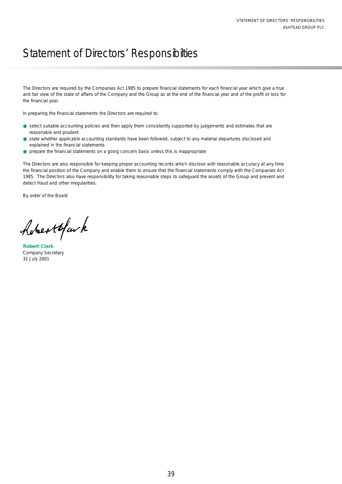## Statement of Directors' Responsibilties

The Directors are required by the Companies Act 1985 to prepare financial statements for each financial year which give a true and fair view of the state of affairs of the Company and the Group as at the end of the financial year and of the profit or loss for the financial year.

In preparing the financial statements the Directors are required to:

- select suitable accounting policies and then apply them consistently supported by judgements and estimates that are reasonable and prudent
- state whether applicable accounting standards have been followed, subject to any material departures disclosed and explained in the financial statements
- prepare the financial statements on a going concern basis unless this is inappropriate

The Directors are also responsible for keeping proper accounting records which disclose with reasonable accuracy at any time the financial position of the Company and enable them to ensure that the financial statements comply with the Companies Act 1985. The Directors also have responsibility for taking reasonable steps to safeguard the assets of the Group and prevent and detect fraud and other irregularities.

By order of the Board

Robertofavk

*Robert Clark* Company Secretary 31 July 2001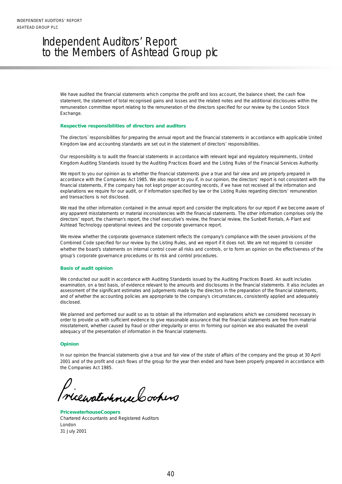### Independent Auditors' Report to the Members of Ashtead Group plc

We have audited the financial statements which comprise the profit and loss account, the balance sheet, the cash flow statement, the statement of total recognised gains and losses and the related notes and the additional disclosures within the remuneration committee report relating to the remuneration of the directors specified for our review by the London Stock **Exchange** 

#### *Respective responsibilities of directors and auditors*

The directors` responsibilities for preparing the annual report and the financial statements in accordance with applicable United Kingdom law and accounting standards are set out in the statement of directors' responsibilities.

Our responsibility is to audit the financial statements in accordance with relevant legal and regulatory requirements, United Kingdom Auditing Standards issued by the Auditing Practices Board and the Listing Rules of the Financial Services Authority.

We report to you our opinion as to whether the financial statements give a true and fair view and are properly prepared in accordance with the Companies Act 1985. We also report to you if, in our opinion, the directors' report is not consistent with the financial statements, if the company has not kept proper accounting records, if we have not received all the information and explanations we require for our audit, or if information specified by law or the Listing Rules regarding directors' remuneration and transactions is not disclosed.

We read the other information contained in the annual report and consider the implications for our report if we become aware of any apparent misstatements or material inconsistencies with the financial statements. The other information comprises only the directors' report, the chairman's report, the chief executive's review, the financial review, the Sunbelt Rentals, A-Plant and Ashtead Technology operational reviews and the corporate governance report.

We review whether the corporate governance statement reflects the company's compliance with the seven provisions of the Combined Code specified for our review by the Listing Rules, and we report if it does not. We are not required to consider whether the board's statements on internal control cover all risks and controls, or to form an opinion on the effectiveness of the group's corporate governance procedures or its risk and control procedures.

#### *Basis of audit opinion*

We conducted our audit in accordance with Auditing Standards issued by the Auditing Practices Board. An audit includes examination, on a test basis, of evidence relevant to the amounts and disclosures in the financial statements. It also includes an assessment of the significant estimates and judgements made by the directors in the preparation of the financial statements, and of whether the accounting policies are appropriate to the company's circumstances, consistently applied and adequately disclosed.

We planned and performed our audit so as to obtain all the information and explanations which we considered necessary in order to provide us with sufficient evidence to give reasonable assurance that the financial statements are free from material misstatement, whether caused by fraud or other irregularity or error. In forming our opinion we also evaluated the overall adequacy of the presentation of information in the financial statements.

#### *Opinion*

In our opinion the financial statements give a true and fair view of the state of affairs of the company and the group at 30 April 2001 and of the profit and cash flows of the group for the year then ended and have been properly prepared in accordance with the Companies Act 1985.

u.<br>Nieuvatenhouse Coopers

*PricewaterhouseCoopers* Chartered Accountants and Registered Auditors London 31 July 2001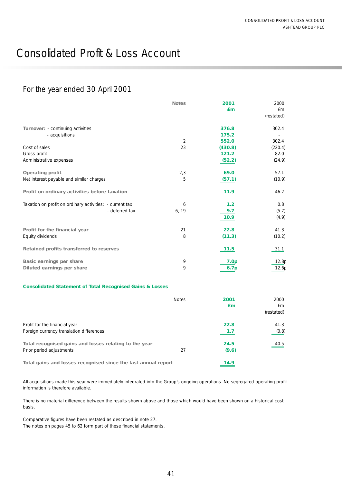## Consolidated Profit & Loss Account

### For the year ended 30 April 2001

|                                                          | <b>Notes</b> | 2001             | 2000       |
|----------------------------------------------------------|--------------|------------------|------------|
|                                                          |              | Em               | £m         |
|                                                          |              |                  | (restated) |
| Turnover: - continuing activities                        |              | 376.8            | 302.4      |
| - acquisitions                                           |              | 175.2            |            |
|                                                          | 2            | 552.0            | 302.4      |
| Cost of sales                                            | 23           | (430.8)          | (220.4)    |
| Gross profit                                             |              | 121.2            | 82.0       |
| Administrative expenses                                  |              | (52.2)           | (24.9)     |
| <b>Operating profit</b>                                  | 2,3          | 69.0             | 57.1       |
| Net interest payable and similar charges                 | 5            | (57.1)           | (10.9)     |
| Profit on ordinary activities before taxation            |              | 11.9             | 46.2       |
| Taxation on profit on ordinary activities: - current tax | 6            | 1.2              | 0.8        |
| - deferred tax                                           | 6, 19        | 9.7              | (5.7)      |
|                                                          |              | 10.9             | (4.9)      |
| Profit for the financial year                            | 21           | 22.8             | 41.3       |
| Equity dividends                                         | 8            | (11.3)           | (10.2)     |
| Retained profits transferred to reserves                 |              | 11.5             | 31.1       |
| <b>Basic earnings per share</b>                          | 9            | 7.0 <sub>p</sub> | 12.8p      |
| <b>Diluted earnings per share</b>                        | 9            | 6.7 <sub>p</sub> | 12.6p      |

### *Consolidated Statement of Total Recognised Gains & Losses*

|                                                                | <b>Notes</b> | 2001<br>£m | 2000<br>£m<br>(restated) |
|----------------------------------------------------------------|--------------|------------|--------------------------|
| Profit for the financial year                                  |              | 22.8       | 41.3                     |
| Foreign currency translation differences                       |              | 1.7        | (0.8)                    |
| Total recognised gains and losses relating to the year         |              | 24.5       | 40.5                     |
| Prior period adjustments                                       | 27           | (9.6)      |                          |
| Total gains and losses recognised since the last annual report |              | 14.9       |                          |

All acquisitions made this year were immediately integrated into the Group's ongoing operations. No segregated operating profit information is therefore available.

There is no material difference between the results shown above and those which would have been shown on a historical cost basis.

Comparative figures have been restated as described in note 27. The notes on pages 45 to 62 form part of these financial statements.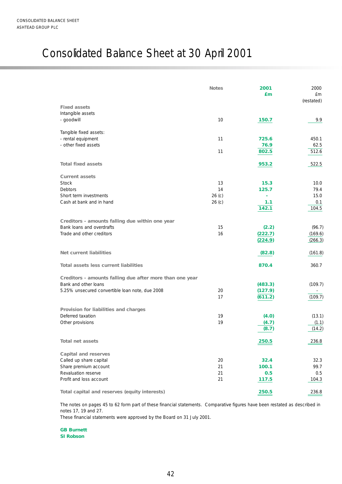## Consolidated Balance Sheet at 30 April 2001

|                                                          | <b>Notes</b>      | 2001<br>£m   | 2000<br>£m<br>(restated) |
|----------------------------------------------------------|-------------------|--------------|--------------------------|
| <b>Fixed assets</b>                                      |                   |              |                          |
| Intangible assets                                        |                   |              |                          |
| - goodwill                                               | 10                | 150.7        | 9.9                      |
| Tangible fixed assets:                                   |                   |              |                          |
| - rental equipment                                       | 11                | 725.6        | 450.1                    |
| - other fixed assets                                     |                   | 76.9         | 62.5                     |
|                                                          | 11                | 802.5        | 512.6                    |
| <b>Total fixed assets</b>                                |                   | 953.2        | 522.5                    |
| <b>Current assets</b>                                    |                   |              |                          |
| <b>Stock</b>                                             | 13                | 15.3         | 10.0                     |
| <b>Debtors</b>                                           | 14                | 125.7        | 79.4                     |
| Short term investments                                   | 26 <sub>(c)</sub> | ٠            | 15.0                     |
| Cash at bank and in hand                                 | 26 <sub>(c)</sub> | 1.1          | 0.1                      |
|                                                          |                   | 142.1        | 104.5                    |
| Creditors - amounts falling due within one year          |                   |              |                          |
| Bank loans and overdrafts                                | 15                | (2.2)        | (96.7)                   |
| Trade and other creditors                                | 16                | (222.7)      | (169.6)                  |
|                                                          |                   | (224.9)      | (266.3)                  |
| <b>Net current liabilities</b>                           |                   | (82.8)       | (161.8)                  |
| <b>Total assets less current liabilities</b>             |                   | 870.4        | 360.7                    |
| Creditors - amounts falling due after more than one year |                   |              |                          |
| Bank and other loans                                     |                   | (483.3)      | (109.7)                  |
| 5.25% unsecured convertible loan note, due 2008          | 20                | (127.9)      |                          |
|                                                          | 17                | (611.2)      | (109.7)                  |
| Provision for liabilities and charges                    |                   |              |                          |
| Deferred taxation                                        | 19                | (4.0)        | (13.1)                   |
| Other provisions                                         | 19                | (4.7)        | (1.1)                    |
|                                                          |                   | (8.7)        | (14.2)                   |
| <b>Total net assets</b>                                  |                   | <b>250.5</b> | 236.8                    |
| <b>Capital and reserves</b>                              |                   |              |                          |
| Called up share capital                                  | 20                | 32.4         | 32.3                     |
| Share premium account                                    | 21                | 100.1        | 99.7                     |
| Revaluation reserve                                      | 21                | 0.5          | 0.5                      |
| Profit and loss account                                  | 21                | 117.5        | 104.3                    |
| Total capital and reserves (equity interests)            |                   | 250.5        | 236.8                    |

The notes on pages 45 to 62 form part of these financial statements. Comparative figures have been restated as described in notes 17, 19 and 27.

These financial statements were approved by the Board on 31 July 2001.

*GB Burnett SI Robson*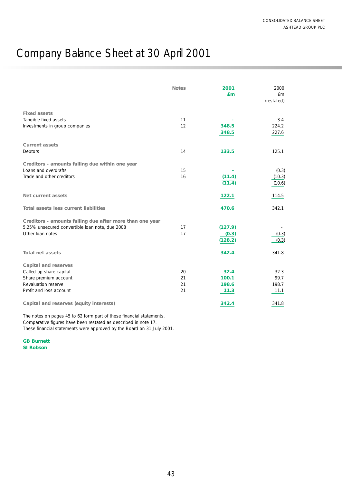## Company Balance Sheet at 30 April 2001

|                                                          | <b>Notes</b> | 2001<br>£m     | 2000<br>£m<br>(restated) |
|----------------------------------------------------------|--------------|----------------|--------------------------|
| <b>Fixed assets</b>                                      |              |                |                          |
| Tangible fixed assets                                    | 11           |                | 3.4                      |
| Investments in group companies                           | 12           | 348.5<br>348.5 | 224.2<br>227.6           |
| <b>Current assets</b>                                    |              |                |                          |
| <b>Debtors</b>                                           | 14           | 133.5          | 125.1                    |
| Creditors - amounts falling due within one year          |              |                |                          |
| Loans and overdrafts                                     | 15           |                | (0.3)                    |
| Trade and other creditors                                | 16           | (11.4)         | (10.3)                   |
|                                                          |              | (11.4)         | (10.6)                   |
| <b>Net current assets</b>                                |              | 122.1          | 114.5                    |
| <b>Total assets less current liabilities</b>             |              | 470.6          | 342.1                    |
| Creditors - amounts falling due after more than one year |              |                |                          |
| 5.25% unsecured convertible loan note, due 2008          | 17           | (127.9)        |                          |
| Other loan notes                                         | 17           | (0.3)          | (0.3)                    |
|                                                          |              | (128.2)        | (0.3)                    |
| <b>Total net assets</b>                                  |              | <u>342.4</u>   | 341.8                    |
| <b>Capital and reserves</b>                              |              |                |                          |
| Called up share capital                                  | 20           | 32.4           | 32.3                     |
| Share premium account                                    | 21           | 100.1          | 99.7                     |
| <b>Revaluation reserve</b>                               | 21           | 198.6          | 198.7                    |
| Profit and loss account                                  | 21           | 11.3           | 11.1                     |
| Capital and reserves (equity interests)                  |              | 342.4          | 341.8                    |

The notes on pages 45 to 62 form part of these financial statements. Comparative figures have been restated as described in note 17. These financial statements were approved by the Board on 31 July 2001.

*GB Burnett SI Robson*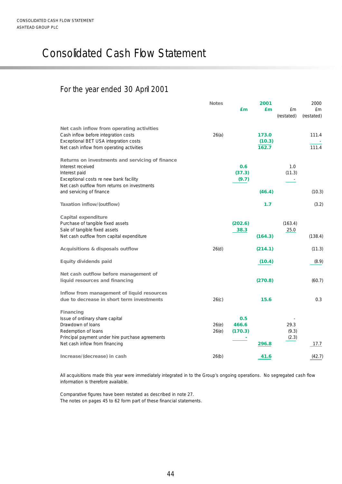## Consolidated Cash Flow Statement

### For the year ended 30 April 2001

|                                                  | <b>Notes</b> |         | 2001    |            | 2000       |
|--------------------------------------------------|--------------|---------|---------|------------|------------|
|                                                  |              | £m      | £m      | £m         | £m         |
|                                                  |              |         |         | (restated) | (restated) |
|                                                  |              |         |         |            |            |
| Net cash inflow from operating activities        |              |         |         |            |            |
| Cash inflow before integration costs             | 26(a)        |         | 173.0   |            | 111.4      |
| Exceptional BET USA integration costs            |              |         | (10.3)  |            |            |
| Net cash inflow from operating activities        |              |         | 162.7   |            | 111.4      |
| Returns on investments and servicing of finance  |              |         |         |            |            |
| Interest received                                |              | 0.6     |         | 1.0        |            |
| Interest paid                                    |              | (37.3)  |         | (11.3)     |            |
| Exceptional costs re new bank facility           |              | (9.7)   |         |            |            |
| Net cash outflow from returns on investments     |              |         |         |            |            |
| and servicing of finance                         |              |         | (46.4)  |            | (10.3)     |
|                                                  |              |         |         |            |            |
| <b>Taxation inflow/(outflow)</b>                 |              |         | 1.7     |            | (3.2)      |
| Capital expenditure                              |              |         |         |            |            |
| Purchase of tangible fixed assets                |              | (202.6) |         | (163.4)    |            |
| Sale of tangible fixed assets                    |              | 38.3    |         | 25.0       |            |
| Net cash outflow from capital expenditure        |              |         | (164.3) |            | (138.4)    |
|                                                  |              |         |         |            |            |
| <b>Acquisitions &amp; disposals outflow</b>      | 26(d)        |         | (214.1) |            | (11.3)     |
|                                                  |              |         |         |            |            |
| <b>Equity dividends paid</b>                     |              |         | (10.4)  |            | (8.9)      |
| Net cash outflow before management of            |              |         |         |            |            |
| liquid resources and financing                   |              |         | (270.8) |            | (60.7)     |
|                                                  |              |         |         |            |            |
| Inflow from management of liquid resources       |              |         |         |            |            |
| due to decrease in short term investments        | 26(c)        |         | 15.6    |            | 0.3        |
| <b>Financing</b>                                 |              |         |         |            |            |
| Issue of ordinary share capital                  |              | 0.5     |         |            |            |
| Drawdown of loans                                | 26(e)        | 466.6   |         | 29.3       |            |
| Redemption of loans                              | 26(e)        | (170.3) |         | (9.3)      |            |
| Principal payment under hire purchase agreements |              |         |         | (2.3)      |            |
| Net cash inflow from financing                   |              |         | 296.8   |            | 17.7       |
|                                                  |              |         |         |            |            |
| Increase/(decrease) in cash                      | 26(b)        |         | 41.6    |            | (42.7)     |

All acquisitions made this year were immediately integrated in to the Group's ongoing operations. No segregated cash flow information is therefore available.

Comparative figures have been restated as described in note 27. The notes on pages 45 to 62 form part of these financial statements.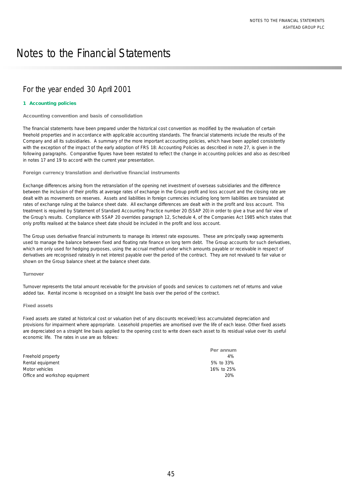### For the year ended 30 April 2001

### *1 Accounting policies*

### *Accounting convention and basis of consolidation*

The financial statements have been prepared under the historical cost convention as modified by the revaluation of certain freehold properties and in accordance with applicable accounting standards. The financial statements include the results of the Company and all its subsidiaries. A summary of the more important accounting policies, which have been applied consistently with the exception of the impact of the early adoption of FRS 18: Accounting Policies as described in note 27, is given in the following paragraphs. Comparative figures have been restated to reflect the change in accounting policies and also as described in notes 17 and 19 to accord with the current year presentation.

### *Foreign currency translation and derivative financial instruments*

Exchange differences arising from the retranslation of the opening net investment of overseas subsidiaries and the difference between the inclusion of their profits at average rates of exchange in the Group profit and loss account and the closing rate are dealt with as movements on reserves. Assets and liabilities in foreign currencies including long term liabilities are translated at rates of exchange ruling at the balance sheet date. All exchange differences are dealt with in the profit and loss account. This treatment is required by Statement of Standard Accounting Practice number 20 (SSAP 20) in order to give a true and fair view of the Group's results. Compliance with SSAP 20 overrides paragraph 12, Schedule 4, of the Companies Act 1985 which states that only profits realised at the balance sheet date should be included in the profit and loss account.

The Group uses derivative financial instruments to manage its interest rate exposures. These are principally swap agreements used to manage the balance between fixed and floating rate finance on long term debt. The Group accounts for such derivatives, which are only used for hedging purposes, using the accrual method under which amounts payable or receivable in respect of derivatives are recognised rateably in net interest payable over the period of the contract. They are not revalued to fair value or shown on the Group balance sheet at the balance sheet date.

#### *Turnover*

Turnover represents the total amount receivable for the provision of goods and services to customers net of returns and value added tax. Rental income is recognised on a straight line basis over the period of the contract.

#### *Fixed assets*

Fixed assets are stated at historical cost or valuation (net of any discounts received) less accumulated depreciation and provisions for impairment where appropriate. Leasehold properties are amortised over the life of each lease. Other fixed assets are depreciated on a straight line basis applied to the opening cost to write down each asset to its residual value over its useful economic life. The rates in use are as follows:

| Freehold property             | 4%         |
|-------------------------------|------------|
| Rental equipment              | 5% to 33%  |
| Motor vehicles                | 16% to 25% |
| Office and workshop equipment | 20%        |

*Per annum* 5% to 33%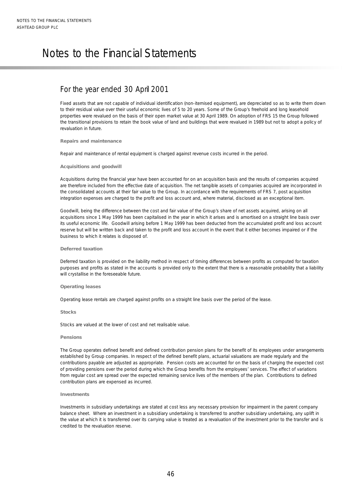### For the year ended 30 April 2001

Fixed assets that are not capable of individual identification (non-itemised equipment), are depreciated so as to write them down to their residual value over their useful economic lives of 5 to 20 years. Some of the Group's freehold and long leasehold properties were revalued on the basis of their open market value at 30 April 1989. On adoption of FRS 15 the Group followed the transitional provisions to retain the book value of land and buildings that were revalued in 1989 but not to adopt a policy of revaluation in future.

#### *Repairs and maintenance*

Repair and maintenance of rental equipment is charged against revenue costs incurred in the period.

#### *Acquisitions and goodwill*

Acquisitions during the financial year have been accounted for on an acquisition basis and the results of companies acquired are therefore included from the effective date of acquisition. The net tangible assets of companies acquired are incorporated in the consolidated accounts at their fair value to the Group. In accordance with the requirements of FRS 7, post acquisition integration expenses are charged to the profit and loss account and, where material, disclosed as an exceptional item.

Goodwill, being the difference between the cost and fair value of the Group's share of net assets acquired, arising on all acquisitions since 1 May 1999 has been capitalised in the year in which it arises and is amortised on a straight line basis over its useful economic life. Goodwill arising before 1 May 1999 has been deducted from the accumulated profit and loss account reserve but will be written back and taken to the profit and loss account in the event that it either becomes impaired or if the business to which it relates is disposed of.

### *Deferred taxation*

Deferred taxation is provided on the liability method in respect of timing differences between profits as computed for taxation purposes and profits as stated in the accounts is provided only to the extent that there is a reasonable probability that a liability will crystallise in the foreseeable future.

#### *Operating leases*

Operating lease rentals are charged against profits on a straight line basis over the period of the lease.

#### *Stocks*

Stocks are valued at the lower of cost and net realisable value.

#### *Pensions*

The Group operates defined benefit and defined contribution pension plans for the benefit of its employees under arrangements established by Group companies. In respect of the defined benefit plans, actuarial valuations are made regularly and the contributions payable are adjusted as appropriate. Pension costs are accounted for on the basis of charging the expected cost of providing pensions over the period during which the Group benefits from the employees' services. The effect of variations from regular cost are spread over the expected remaining service lives of the members of the plan. Contributions to defined contribution plans are expensed as incurred.

### *Investments*

Investments in subsidiary undertakings are stated at cost less any necessary provision for impairment in the parent company balance sheet. Where an investment in a subsidiary undertaking is transferred to another subsidiary undertaking, any uplift in the value at which it is transferred over its carrying value is treated as a revaluation of the investment prior to the transfer and is credited to the revaluation reserve.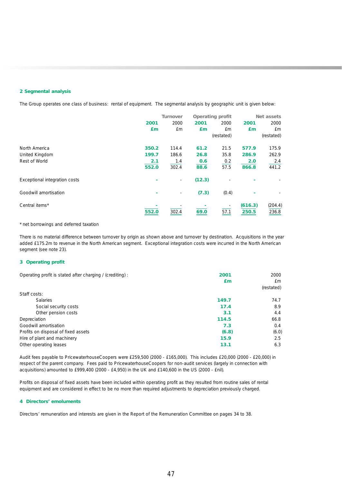### *2 Segmental analysis*

The Group operates one class of business: rental of equipment. The segmental analysis by geographic unit is given below:

|                               |       | <b>Turnover</b> |        | <b>Operating profit</b> |                  | Net assets       |
|-------------------------------|-------|-----------------|--------|-------------------------|------------------|------------------|
|                               | 2001  | 2000            | 2001   | 2000                    | 2001             | 2000             |
|                               | £m    | £m              | £m     | £m                      | £m               | £m               |
|                               |       |                 |        | (restated)              |                  | (restated)       |
| North America                 | 350.2 | 114.4           | 61.2   | 21.5                    | 577.9            | 175.9            |
| United Kingdom                | 199.7 | 186.6           | 26.8   | 35.8                    | 286.9            | 262.9            |
| Rest of World                 | 2.1   | 1.4             | 0.6    | 0.2                     | 2.0              | 2.4              |
|                               | 552.0 | 302.4           | 88.6   | 57.5                    | 866.8            | 441.2            |
| Exceptional integration costs |       | ۰.              | (12.3) |                         |                  |                  |
| Goodwill amortisation         |       | $\frac{1}{2}$   | (7.3)  | (0.4)                   |                  |                  |
| Central items*                | 552.0 | 302.4           | 69.0   | 57.1                    | (616.3)<br>250.5 | (204.4)<br>236.8 |

### *\* net borrowings and deferred taxation*

There is no material difference between turnover by origin as shown above and turnover by destination. Acquisitions in the year added £175.2m to revenue in the North American segment. Exceptional integration costs were incurred in the North American segment (see note 23).

### *3 Operating profit*

| Operating profit is stated after charging / (crediting) : | 2001  | 2000       |
|-----------------------------------------------------------|-------|------------|
|                                                           | £m    | £m         |
|                                                           |       | (restated) |
| Staff costs:                                              |       |            |
| <b>Salaries</b>                                           | 149.7 | 74.7       |
| Social security costs                                     | 17.4  | 8.9        |
| Other pension costs                                       | 3.1   | 4.4        |
| Depreciation                                              | 114.5 | 66.8       |
| Goodwill amortisation                                     | 7.3   | 0.4        |
| Profits on disposal of fixed assets                       | (6.8) | (6.0)      |
| Hire of plant and machinery                               | 15.9  | 2.5        |
| Other operating leases                                    | 13.1  | 6.3        |

Audit fees payable to PricewaterhouseCoopers were £259,500 (2000 - £165,000). This includes £20,000 (2000 - £20,000) in respect of the parent company. Fees paid to PricewaterhouseCoopers for non-audit services (largely in connection with acquisitions) amounted to £999,400 (2000 - £4,950) in the UK and £140,600 in the US (2000 - £nil).

Profits on disposal of fixed assets have been included within operating profit as they resulted from routine sales of rental equipment and are considered in effect to be no more than required adjustments to depreciation previously charged.

### *4 Directors' emoluments*

Directors' remuneration and interests are given in the Report of the Remuneration Committee on pages 34 to 38.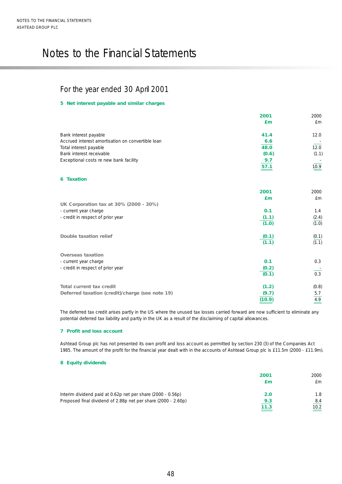### For the year ended 30 April 2001

### *5 Net interest payable and similar charges*

|                                                   | 2001  | 2000                     |
|---------------------------------------------------|-------|--------------------------|
|                                                   | £m    | £m                       |
| Bank interest payable                             | 41.4  | 12.0                     |
| Accrued interest amortisation on convertible loan | 6.6   |                          |
| Total interest payable                            | 48.0  | 12.0                     |
| Bank interest receivable                          | (0.6) | (1.1)                    |
| Exceptional costs re new bank facility            | 9.7   | $\overline{\phantom{a}}$ |
|                                                   | 57.1  | 10.9 <sup>°</sup>        |
|                                                   |       |                          |

### *6 Taxation*

|                                                 | 2001   | 2000              |
|-------------------------------------------------|--------|-------------------|
|                                                 | £m     | £m                |
| UK Corporation tax at 30% (2000 - 30%)          |        |                   |
| - current year charge                           | 0.1    | 1.4               |
| - credit in respect of prior year               | (1.1)  | (2.4)             |
|                                                 | (1.0)  | (1.0)             |
| <b>Double taxation relief</b>                   | (0.1)  | (0.1)             |
|                                                 | (1.1)  | (1.1)             |
| <b>Overseas taxation</b>                        |        |                   |
| - current year charge                           | 0.1    | 0.3               |
| - credit in respect of prior year               | (0.2)  |                   |
|                                                 | (0.1)  | 0.3               |
| <b>Total current tax credit</b>                 | (1.2)  | (0.8)             |
| Deferred taxation (credit)/charge (see note 19) | (9.7)  | $\underline{5.7}$ |
|                                                 | (10.9) | $\frac{4.9}{4.6}$ |

The deferred tax credit arises partly in the US where the unused tax losses carried forward are now sufficient to eliminate any potential deferred tax liability and partly in the UK as a result of the disclaiming of capital allowances.

### *7 Profit and loss account*

Ashtead Group plc has not presented its own profit and loss account as permitted by section 230 (3) of the Companies Act 1985. The amount of the profit for the financial year dealt with in the accounts of Ashtead Group plc is £11.5m (2000 - £11.9m).

### *8 Equity dividends*

|                                                               | 2001 | 2000 |
|---------------------------------------------------------------|------|------|
|                                                               | £m   | £m.  |
| Interim dividend paid at 0.62p net per share (2000 - 0.56p)   | 2.0  | 1.8  |
| Proposed final dividend of 2.88p net per share (2000 - 2.60p) | 9.3  | 8.4  |
|                                                               | 11.3 | 10.2 |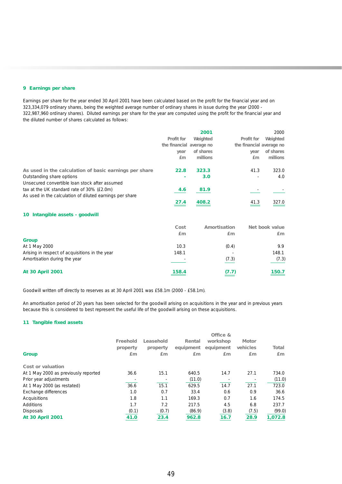### *9 Earnings per share*

Earnings per share for the year ended 30 April 2001 have been calculated based on the profit for the financial year and on 323,334,079 ordinary shares, being the weighted average number of ordinary shares in issue during the year (2000 - 322,987,960 ordinary shares). Diluted earnings per share for the year are computed using the profit for the financial year and the diluted number of shares calculated as follows:

|                                                          |                          | 2001      |                   |      | 2000                     |
|----------------------------------------------------------|--------------------------|-----------|-------------------|------|--------------------------|
|                                                          | <b>Profit for</b>        | Weighted  | <b>Profit for</b> |      | Weighted                 |
|                                                          | the financial average no |           |                   |      | the financial average no |
|                                                          | year                     | of shares |                   | year | of shares                |
|                                                          | Em                       | millions  |                   | £m   | millions                 |
| As used in the calculation of basic earnings per share   | 22.8                     | 323.3     |                   | 41.3 | 323.0                    |
| Outstanding share options                                |                          | 3.0       |                   |      | 4.0                      |
| Unsecured convertible loan stock after assumed           |                          |           |                   |      |                          |
| tax at the UK standard rate of 30% (£2.0m)               | 4.6                      | 81.9      |                   |      |                          |
| As used in the calculation of diluted earnings per share |                          |           |                   |      |                          |
|                                                          | 27.4                     | 408.2     |                   | 41.3 | 327.0                    |
| Intangible assets - goodwill<br>10                       |                          |           |                   |      |                          |
|                                                          | Cost                     |           | Amortisation      |      | Net book value           |
|                                                          | Em                       |           | Em                |      | Em                       |
| <b>Group</b>                                             |                          |           |                   |      |                          |
| At 1 May 2000                                            | 10.3                     |           | (0.4)             |      | 9.9                      |
| Arising in respect of acquisitions in the year           | 148.1                    |           |                   |      | 148.1                    |
| Amortisation during the year                             |                          |           | (7.3)             |      | (7.3)                    |
| <b>At 30 April 2001</b>                                  | 158.                     |           | (7.7)             |      | 150.7                    |

Goodwill written off directly to reserves as at 30 April 2001 was £58.1m (2000 - £58.1m).

An amortisation period of 20 years has been selected for the goodwill arising on acquisitions in the year and in previous years because this is considered to best represent the useful life of the goodwill arising on these acquisitions.

### *11 Tangible fixed assets*

|          |           |           | Office &  |              |              |
|----------|-----------|-----------|-----------|--------------|--------------|
| Freehold | Leasehold | Rental    | workshop  | <b>Motor</b> |              |
| property | property  | equipment | equipment | vehicles     | <b>Total</b> |
| Em       | Em        | Em        | Em        | £m           | Em           |
|          |           |           |           |              |              |
| 36.6     | 15.1      | 640.5     | 14.7      | 27.1         | 734.0        |
|          |           | (11.0)    |           |              | (11.0)       |
| 36.6     | 15.1      | 629.5     | 14.7      | 27.1         | 723.0        |
| 1.0      | 0.7       | 33.4      | 0.6       | 0.9          | 36.6         |
| 1.8      | 1.1       | 169.3     | 0.7       | 1.6          | 174.5        |
| 1.7      | 7.2       | 217.5     | 4.5       | 6.8          | 237.7        |
| (0.1)    | (0.7)     | (86.9)    | (3.8)     | (7.5)        | (99.0)       |
| 41.0     | 23.4      | 962.8     | 16.7      | 28.9         | 1,072.8      |
|          |           |           |           |              |              |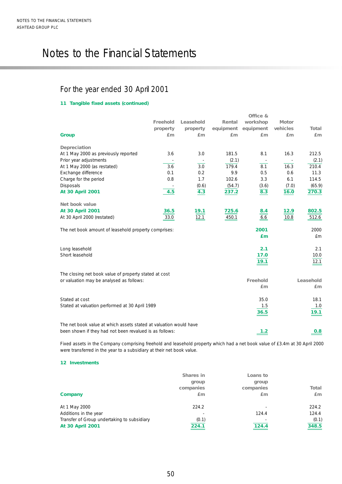### For the year ended 30 April 2001

### *11 Tangible fixed assets (continued)*

|                                                                   |                          |             |           | Office &                 |              |              |
|-------------------------------------------------------------------|--------------------------|-------------|-----------|--------------------------|--------------|--------------|
|                                                                   | <b>Freehold</b>          | Leasehold   | Rental    | workshop                 | <b>Motor</b> |              |
|                                                                   | property                 | property    | equipment | equipment                | vehicles     | <b>Total</b> |
| <b>Group</b>                                                      | Em                       | Em          | Em        | £m                       | Em           | £m           |
| <b>Depreciation</b>                                               |                          |             |           |                          |              |              |
| At 1 May 2000 as previously reported                              | 3.6                      | 3.0         | 181.5     | 8.1                      | 16.3         | 212.5        |
| Prior year adjustments                                            |                          |             | (2.1)     | $\overline{\phantom{a}}$ |              | (2.1)        |
| At 1 May 2000 (as restated)                                       | 3.6                      | 3.0         | 179.4     | 8.1                      | 16.3         | 210.4        |
| Exchange difference                                               | 0.1                      | 0.2         | 9.9       | 0.5                      | 0.6          | 11.3         |
| Charge for the period                                             | 0.8                      | 1.7         | 102.6     | 3.3                      | 6.1          | 114.5        |
| <b>Disposals</b>                                                  | $\overline{\phantom{a}}$ | (0.6)       | (54.7)    | (3.6)                    | (7.0)        | (65.9)       |
| <b>At 30 April 2001</b>                                           | 4.5                      | 4.3         | 237.2     | 8.3                      | 16.0         | 270.3        |
| <b>Net book value</b>                                             |                          |             |           |                          |              |              |
| At 30 April 2001                                                  | 36.5                     | <u>19.1</u> | 725.6     | $\frac{8.4}{5}$          | 12.9         | 802.5        |
| At 30 April 2000 (restated)                                       | 33.0                     | 12.1        | 450.1     | 6.6                      | 10.8         | 512.6        |
| The net book amount of leasehold property comprises:              |                          |             |           | 2001                     |              | 2000         |
|                                                                   |                          |             |           | £m                       |              | £m           |
| Long leasehold                                                    |                          |             |           | 2.1                      |              | 2.1          |
| Short leasehold                                                   |                          |             |           | 17.0                     |              | 10.0         |
|                                                                   |                          |             |           | 19.1                     |              | 12.1         |
| The closing net book value of property stated at cost             |                          |             |           |                          |              |              |
| or valuation may be analysed as follows:                          |                          |             |           | Freehold                 |              | Leasehold    |
|                                                                   |                          |             |           | Em                       |              | Em           |
| Stated at cost                                                    |                          |             |           | 35.0                     |              | 18.1         |
| Stated at valuation performed at 30 April 1989                    |                          |             |           | 1.5                      |              | 1.0          |
|                                                                   |                          |             |           | 36.5                     |              | 19.1         |
| The net book value at which assets stated at valuation would have |                          |             |           |                          |              |              |
| been shown if they had not been revalued is as follows:           |                          |             |           |                          |              | 0.8          |
|                                                                   |                          |             |           | 1.2                      |              |              |

Fixed assets in the Company comprising freehold and leasehold property which had a net book value of £3.4m at 30 April 2000 were transferred in the year to a subsidiary at their net book value.

### *12 Investments*

|                                             | Shares in | Loans to                 |              |
|---------------------------------------------|-----------|--------------------------|--------------|
|                                             | group     | group                    |              |
|                                             | companies | companies                | <b>Total</b> |
| Company                                     | £m        | £m                       | Em           |
| At 1 May 2000                               | 224.2     | $\overline{\phantom{a}}$ | 224.2        |
| Additions in the year                       |           | 124.4                    | 124.4        |
| Transfer of Group undertaking to subsidiary | (0.1)     |                          | (0.1)        |
| <b>At 30 April 2001</b>                     | 224.1     | 124.4                    | 348.5        |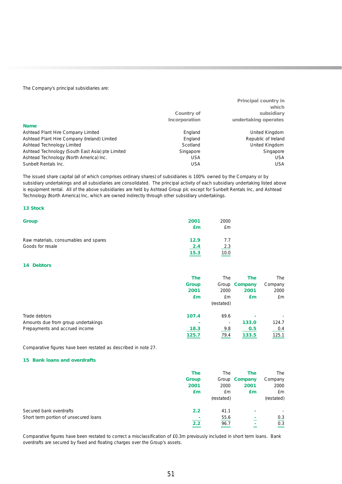### The Company's principal subsidiaries are:

|                                                  |                   | <b>Principal country in</b><br>which |
|--------------------------------------------------|-------------------|--------------------------------------|
|                                                  | <b>Country of</b> | subsidiary                           |
|                                                  | Incorporation     | undertaking operates                 |
| <b>Name</b>                                      |                   |                                      |
| Ashtead Plant Hire Company Limited               | England           | United Kingdom                       |
| Ashtead Plant Hire Company (Ireland) Limited     | England           | Republic of Ireland                  |
| Ashtead Technology Limited                       | Scotland          | United Kingdom                       |
| Ashtead Technology (South East Asia) pte Limited | Singapore         | Singapore                            |
| Ashtead Technology (North America) Inc.          | <b>USA</b>        | <b>USA</b>                           |
| Sunbelt Rentals Inc.                             | <b>USA</b>        | <b>USA</b>                           |

The issued share capital (all of which comprises ordinary shares) of subsidiaries is 100% owned by the Company or by subsidiary undertakings and all subsidiaries are consolidated. The principal activity of each subsidiary undertaking listed above is equipment rental. All of the above subsidiaries are held by Ashtead Group plc except for Sunbelt Rentals Inc, and Ashtead Technology (North America) Inc, which are owned indirectly through other subsidiary undertakings.

### *13 Stock*

| <b>Group</b>                          | 2001<br>£т            | 2000<br>£m         |
|---------------------------------------|-----------------------|--------------------|
| Raw materials, consumables and spares | 12.9                  | 7.7                |
| Goods for resale                      | 2.4                   | 2.3                |
|                                       | 15.3<br>$\sim$ $\sim$ | $\underline{10.0}$ |

### *14 Debtors*

|                                     | <b>The</b>   | The                      | <b>The</b>           | The     |
|-------------------------------------|--------------|--------------------------|----------------------|---------|
|                                     | <b>Group</b> |                          | Group <b>Company</b> | Company |
|                                     | 2001         | 2000                     | 2001                 | 2000    |
|                                     | £m           | £m                       | £m                   | £m      |
|                                     |              | (restated)               |                      |         |
| Trade debtors                       | 107.4        | 69.6                     |                      |         |
| Amounts due from group undertakings |              | $\overline{\phantom{a}}$ | 133.0                | 124.7   |
| Prepayments and accrued income      | 18.3         | 9.8                      | 0.5                  | 0.4     |
|                                     | 125.7        | 79.4                     | 133.5                | 125.1   |

Comparative figures have been restated as described in note 27.

### *15 Bank loans and overdrafts*

|                                       | <b>The</b>   | The        | <b>The</b>           | The        |
|---------------------------------------|--------------|------------|----------------------|------------|
|                                       | <b>Group</b> |            | Group <b>Company</b> | Company    |
|                                       | 2001         | 2000       | 2001                 | 2000       |
|                                       | £m           | £m         | £m                   | £m         |
|                                       |              | (restated) |                      | (restated) |
| Secured bank overdrafts               | 2.2          | 41.1       | ۰                    |            |
| Short term portion of unsecured loans | ٠            | 55.6       | ۰                    | 0.3        |
|                                       | 2.2          | 96.7       |                      | 0.3        |

Comparative figures have been restated to correct a misclassification of £0.3m previously included in short term loans. Bank overdrafts are secured by fixed and floating charges over the Group's assets.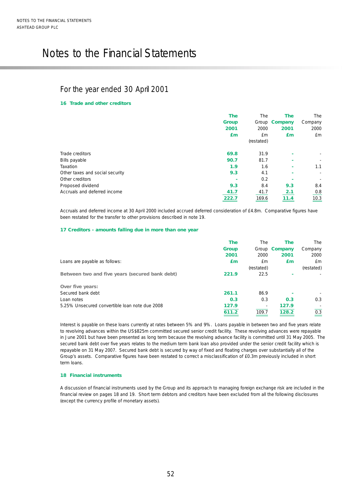### For the year ended 30 April 2001

### *16 Trade and other creditors*

|                                 | The<br><b>Group</b><br>2001<br>£m | The<br>Group<br>2000<br>£m | The<br><b>Company</b><br>2001<br>£m | The<br>Company<br>2000<br>£m |
|---------------------------------|-----------------------------------|----------------------------|-------------------------------------|------------------------------|
|                                 |                                   | (restated)                 |                                     |                              |
| Trade creditors                 | 69.8                              | 31.9                       | ۰                                   |                              |
| Bills payable                   | 90.7                              | 81.7                       | ۰                                   |                              |
| Taxation                        | 1.9                               | 1.6                        | ۰                                   | 1.1                          |
| Other taxes and social security | 9.3                               | 4.1                        | ۰                                   | ۰                            |
| Other creditors                 | ۰                                 | 0.2                        | ۰                                   |                              |
| Proposed dividend               | 9.3                               | 8.4                        | 9.3                                 | 8.4                          |
| Accruals and deferred income    | 41.7                              | 41.7                       | 2.1                                 | 0.8                          |
|                                 | 222.7                             | 169.6                      | 11.4                                | 10.3                         |

Accruals and deferred income at 30 April 2000 included accrued deferred consideration of £4.8m. Comparative figures have been restated for the transfer to other provisions described in note 19.

#### *17 Creditors - amounts falling due in more than one year*

|                                                | <b>The</b>   | The        | <b>The</b>           | The        |
|------------------------------------------------|--------------|------------|----------------------|------------|
|                                                | <b>Group</b> |            | Group <b>Company</b> | Company    |
|                                                | 2001         | 2000       | 2001                 | 2000       |
| Loans are payable as follows:                  | £m           | £m         | £m                   | £m         |
|                                                |              | (restated) |                      | (restated) |
| Between two and five years (secured bank debt) | 221.9        | 22.5       | ۰                    |            |
| Over five years:                               |              |            |                      |            |
| Secured bank debt                              | 261.1        | 86.9       | ۰                    |            |
| Loan notes                                     | 0.3          | 0.3        | 0.3                  | 0.3        |
| 5.25% Unsecured convertible loan note due 2008 | 127.9        |            | 127.9                |            |
|                                                | 611.2        | 109.7      | 128.2                | 0.3        |

Interest is payable on these loans currently at rates between 5% and 9%. Loans payable in between two and five years relate to revolving advances within the US\$825m committed secured senior credit facility. These revolving advances were repayable in June 2001 but have been presented as long term because the revolving advance facility is committed until 31 May 2005. The secured bank debt over five years relates to the medium term bank loan also provided under the senior credit facility which is repayable on 31 May 2007. Secured bank debt is secured by way of fixed and floating charges over substantially all of the Group's assets. Comparative figures have been restated to correct a misclassification of £0.3m previously included in short term loans.

### *18 Financial instruments*

A discussion of financial instruments used by the Group and its approach to managing foreign exchange risk are included in the financial review on pages 18 and 19. Short term debtors and creditors have been excluded from all the following disclosures (except the currency profile of monetary assets).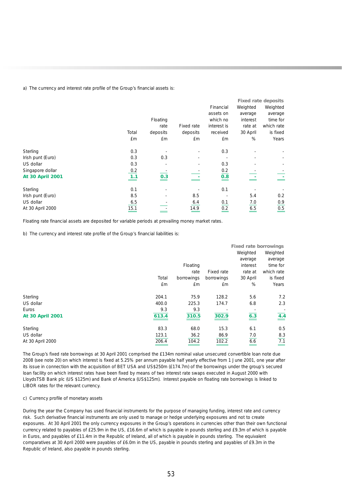*a) The currency and interest rate profile of the Group's financial assets is:*

|                         |               |                          |            |                                 |                 | <b>Fixed rate deposits</b> |
|-------------------------|---------------|--------------------------|------------|---------------------------------|-----------------|----------------------------|
|                         |               |                          |            | Financial                       | Weighted        | Weighted                   |
|                         |               |                          |            | assets on                       | average         | average                    |
|                         |               | Floating                 |            | which no                        | interest        | time for                   |
|                         |               | rate                     | Fixed rate | interest is                     | rate at         | which rate                 |
|                         | Total         | deposits                 | deposits   | received                        | 30 April        | is fixed                   |
|                         | £m            | £m                       | £m         | £m                              | %               | Years                      |
| Sterling                | 0.3           |                          |            | 0.3                             |                 |                            |
| Irish punt (Euro)       | 0.3           | 0.3                      |            |                                 |                 |                            |
| US dollar               | 0.3           |                          |            | 0.3                             |                 |                            |
| Singapore dollar        | 0.2           |                          |            | 0.2                             |                 |                            |
| <b>At 30 April 2001</b> | 1.1<br>$\sim$ | $\frac{\mathbf{0.3}}{4}$ |            | $\underline{\overset{0.8}{}}{}$ |                 |                            |
| Sterling                | 0.1           |                          |            | 0.1                             |                 |                            |
| Irish punt (Euro)       | 8.5           |                          | 8.5        |                                 | 5.4             | 0.2                        |
| US dollar               | 6.5           |                          | 6.4        | 0.1                             | 7.0             | 0.9                        |
| At 30 April 2000        | 15.1          |                          | 14.9       | 0.2                             | 6.5<br>$\equiv$ | 0.5<br>$\equiv$            |

Floating rate financial assets are deposited for variable periods at prevailing money market rates.

*b) The currency and interest rate profile of the Group's financial liabilities is:*

|                         |       |            |            | <b>Fixed rate borrowings</b> |                 |
|-------------------------|-------|------------|------------|------------------------------|-----------------|
|                         |       |            |            | Weighted                     | Weighted        |
|                         |       |            |            | average                      | average         |
|                         |       | Floating   |            | interest                     | time for        |
|                         |       | rate       | Fixed rate | rate at                      | which rate      |
|                         | Total | borrowings | borrowings | 30 April                     | is fixed        |
|                         | £m    | £m         | £m         | %                            | Years           |
| Sterling                | 204.1 | 75.9       | 128.2      | 5.6                          | 7.2             |
| US dollar               | 400.0 | 225.3      | 174.7      | 6.8                          | 2.3             |
| Euros                   | 9.3   | 9.3        |            |                              |                 |
| <b>At 30 April 2001</b> | 613.4 | 310.5      | 302.9      | 6.3                          | $\frac{4.4}{ }$ |
| Sterling                | 83.3  | 68.0       | 15.3       | 6.1                          | 0.5             |
| US dollar               | 123.1 | 36.2       | 86.9       | 7.0                          | 8.3             |
| At 30 April 2000        | 206.4 | 104.2      | 102.2      | $\underline{6.6}$            | 7.1<br>$\equiv$ |

The Group's fixed rate borrowings at 30 April 2001 comprised the £134m nominal value unsecured convertible loan note due 2008 (see note 20) on which interest is fixed at 5.25% per annum payable half yearly effective from 1 June 2001, one year after its issue in connection with the acquisition of BET USA and US\$250m (£174.7m) of the borrowings under the group's secured loan facility on which interest rates have been fixed by means of two interest rate swaps executed in August 2000 with LloydsTSB Bank plc (US \$125m) and Bank of America (US\$125m). Interest payable on floating rate borrowings is linked to LIBOR rates for the relevant currency.

#### *c) Currency profile of monetary assets*

During the year the Company has used financial instruments for the purpose of managing funding, interest rate and currency risk. Such derivative financial instruments are only used to manage or hedge underlying exposures and not to create exposures. At 30 April 2001 the only currency exposures in the Group's operations in currencies other than their own functional currency related to payables of £25.9m in the US, £16.6m of which is payable in pounds sterling and £9.3m of which is payable in Euros, and payables of £11.4m in the Republic of Ireland, all of which is payable in pounds sterling. The equivalent comparatives at 30 April 2000 were payables of £6.0m in the US, payable in pounds sterling and payables of £9.3m in the Republic of Ireland, also payable in pounds sterling.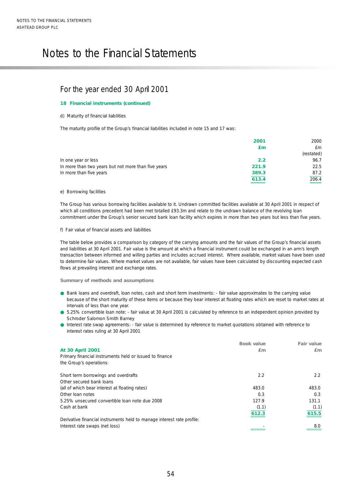### For the year ended 30 April 2001

### *18 Financial instruments (continued)*

### *d) Maturity of financial liabilities*

The maturity profile of the Group's financial liabilities included in note 15 and 17 was:

|                                                     | 2001  | 2000               |
|-----------------------------------------------------|-------|--------------------|
|                                                     | £m    | £m                 |
|                                                     |       | (restated)         |
| In one year or less                                 | 2.2   | 96.7               |
| In more than two years but not more than five years | 221.9 | 22.5               |
| In more than five years                             | 389.3 | 87.2               |
|                                                     | 613.4 | $\overline{206.4}$ |
|                                                     |       |                    |

#### *e) Borrowing facilities*

The Group has various borrowing facilities available to it. Undrawn committed facilities available at 30 April 2001 in respect of which all conditions precedent had been met totalled £93.3m and relate to the undrawn balance of the revolving loan commitment under the Group's senior secured bank loan facility which expires in more than two years but less than five years.

### *f) Fair value of financial assets and liabilities*

The table below provides a comparison by category of the carrying amounts and the fair values of the Group's financial assets and liabilities at 30 April 2001. Fair value is the amount at which a financial instrument could be exchanged in an arm's length transaction between informed and willing parties and includes accrued interest. Where available, market values have been used to determine fair values. Where market values are not available, fair values have been calculated by discounting expected cash flows at prevailing interest and exchange rates.

### *Summary of methods and assumptions*

- Bank loans and overdraft, loan notes, cash and short term investments: fair value approximates to the carrying value because of the short maturity of these items or because they bear interest at floating rates which are reset to market rates at intervals of less than one year.
- 5.25% convertible loan note: fair value at 30 April 2001 is calculated by reference to an independent opinion provided by Schroder Salomon Smith Barney
- Interest rate swap agreements: fair value is determined by reference to market quotations obtained with reference to interest rates ruling at 30 April 2001

|                                                                        | <b>Book value</b> | <b>Fair value</b> |
|------------------------------------------------------------------------|-------------------|-------------------|
| <b>At 30 April 2001</b>                                                | £m                | £m                |
| Primary financial instruments held or issued to finance                |                   |                   |
| the Group's operations:                                                |                   |                   |
| Short term borrowings and overdrafts                                   | 2.2               | 2.2               |
| Other secured bank loans                                               |                   |                   |
| (all of which bear interest at floating rates)                         | 483.0             | 483.0             |
| Other Ioan notes                                                       | 0.3               | 0.3               |
| 5.25% unsecured convertible loan note due 2008                         | 127.9             | 131.1             |
| Cash at bank                                                           | (1.1)             | (1.1)             |
|                                                                        | 612.3             | 615.5             |
| Derivative financial instruments held to manage interest rate profile: |                   |                   |
| Interest rate swaps (net loss)                                         |                   | 8.0               |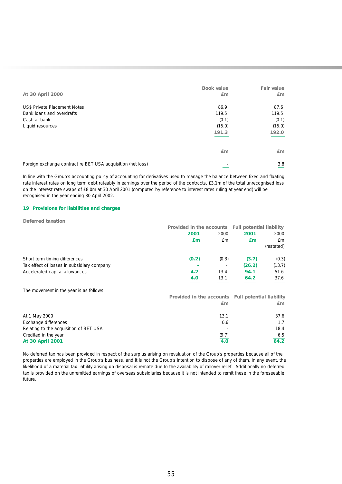| At 30 April 2000                                                                              | <b>Book value</b><br>£m                   | <b>Fair value</b><br>Em                   |
|-----------------------------------------------------------------------------------------------|-------------------------------------------|-------------------------------------------|
| US\$ Private Placement Notes<br>Bank loans and overdrafts<br>Cash at bank<br>Liquid resources | 86.9<br>119.5<br>(0.1)<br>(15.0)<br>191.3 | 87.6<br>119.5<br>(0.1)<br>(15.0)<br>192.0 |
|                                                                                               | £m                                        | Em                                        |
| Foreign exchange contract re BET USA acquisition (net loss)                                   |                                           | 3.8                                       |

In line with the Group's accounting policy of accounting for derivatives used to manage the balance between fixed and floating rate interest rates on long term debt rateably in earnings over the period of the contracts, £3.1m of the total unrecognised loss on the interest rate swaps of £8.0m at 30 April 2001 (computed by reference to interest rates ruling at year end) will be recognised in the year ending 30 April 2002.

### *19 Provisions for liabilities and charges*

*Deferred taxation*

|                                            | Provided in the accounts Full potential liability |                          |        |            |  |
|--------------------------------------------|---------------------------------------------------|--------------------------|--------|------------|--|
|                                            | 2001                                              | 2000                     |        | 2000       |  |
|                                            | £m                                                | £m                       | £m     | £m         |  |
|                                            |                                                   |                          |        | (restated) |  |
| Short term timing differences              | (0.2)                                             | (0.3)                    | (3.7)  | (0.3)      |  |
| Tax effect of losses in subsidiary company |                                                   | $\overline{\phantom{0}}$ | (26.2) | (13.7)     |  |
| Accelerated capital allowances             | 4.2                                               | 13.4                     | 94.1   | 51.6       |  |
|                                            | 4.0                                               | 13.1                     | 64.2   | 37.6       |  |
|                                            | ----                                              |                          |        | $\sim$     |  |

| The movement in the year is as follows: |                                                   |      |
|-----------------------------------------|---------------------------------------------------|------|
|                                         | Provided in the accounts Full potential liability |      |
|                                         | £m                                                | £m   |
| At 1 May 2000                           | 13.1                                              | 37.6 |
| Exchange differences                    | 0.6                                               | 1.7  |
| Relating to the acquisition of BET USA  |                                                   | 18.4 |
| Credited in the year                    | (9.7)                                             | 6.5  |
| <b>At 30 April 2001</b>                 | 4.0                                               | 64.2 |

No deferred tax has been provided in respect of the surplus arising on revaluation of the Group's properties because all of the properties are employed in the Group's business, and it is not the Group's intention to dispose of any of them. In any event, the likelihood of a material tax liability arising on disposal is remote due to the availability of rollover relief. Additionally no deferred tax is provided on the unremitted earnings of overseas subsidiaries because it is not intended to remit these in the foreseeable future.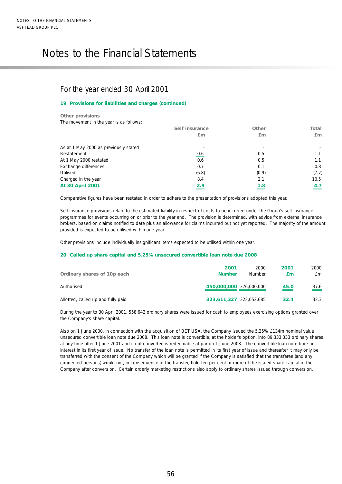### For the year ended 30 April 2001

### *19 Provisions for liabilities and charges (continued)*

#### *Other provisions*

The movement in the year is as follows:

|                                       | <b>Self insurance</b> | <b>Other</b> | <b>Total</b> |  |
|---------------------------------------|-----------------------|--------------|--------------|--|
|                                       | £m                    | £m           | Em           |  |
| As at 1 May 2000 as previously stated |                       |              |              |  |
| Restatement                           | 0.6                   | 0.5          | 1.1          |  |
| At 1 May 2000 restated                | 0.6                   | 0.5          | 1.1          |  |
| Exchange differences                  | 0.7                   | 0.1          | 0.8          |  |
| Utilised                              | (6.8)                 | (0.9)        | (7.7)        |  |
| Charged in the year                   | 8.4                   | 2.1          | 10.5         |  |
| <b>At 30 April 2001</b>               | 2.9                   | 1.8          | 4.7          |  |

Comparative figures have been restated in order to adhere to the presentation of provisions adopted this year.

Self insurance provisions relate to the estimated liability in respect of costs to be incurred under the Group's self insurance programmes for events occurring on or prior to the year end. The provision is determined, with advice from external insurance brokers, based on claims notified to date plus an allowance for claims incurred but not yet reported. The majority of the amount provided is expected to be utilised within one year.

Other provisions include individually insignificant items expected to be utilised within one year.

#### *20 Called up share capital and 5.25% unsecured convertible loan note due 2008*

| Ordinary shares of 10p each        | 2001<br><b>Number</b>   | 2000<br>Number | 2001<br>£m         | 2000<br>£m |
|------------------------------------|-------------------------|----------------|--------------------|------------|
| Authorised                         | 450,000,000 376,000,000 |                | <b>45.0</b><br>___ | 37.6       |
| Allotted, called up and fully paid | 323,611,327 323,052,685 |                | 32.4               | 32.3       |

During the year to 30 April 2001, 558,642 ordinary shares were issued for cash to employees exercising options granted over the Company's share capital.

Also on 1 June 2000, in connection with the acquisition of BET USA, the Company issued the 5.25% £134m nominal value unsecured convertible loan note due 2008. This loan note is convertible, at the holder's option, into 89,333,333 ordinary shares at any time after 1 June 2001 and if not converted is redeemable at par on 1 June 2008. The convertible loan note bore no interest in its first year of issue. No transfer of the loan note is permitted in its first year of issue and thereafter it may only be transferred with the consent of the Company which will be granted if the Company is satisfied that the transferee (and any connected persons) would not, in consequence of the transfer, hold ten per cent or more of the issued share capital of the Company after conversion. Certain orderly marketing restrictions also apply to ordinary shares issued through conversion.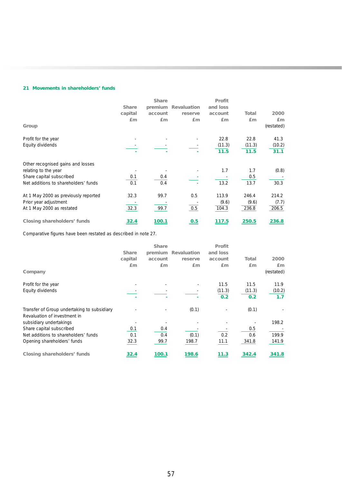### *21 Movements in shareholders' funds*

|                                      |              | <b>Share</b> |                    | Profit   |              |            |
|--------------------------------------|--------------|--------------|--------------------|----------|--------------|------------|
|                                      | <b>Share</b> | premium      | <b>Revaluation</b> | and loss |              |            |
|                                      | capital      | account      | reserve            | account  | <b>Total</b> | 2000       |
|                                      | Em           | Em           | Em                 | Em       | Em           | Em         |
| Group                                |              |              |                    |          |              | (restated) |
| Profit for the year                  |              |              |                    | 22.8     | 22.8         | 41.3       |
| Equity dividends                     |              |              |                    | (11.3)   | (11.3)       | (10.2)     |
|                                      |              |              |                    | 11.5     | 11.5         | 31.1       |
| Other recognised gains and losses    |              |              |                    |          |              |            |
| relating to the year                 |              |              |                    | 1.7      | 1.7          | (0.8)      |
| Share capital subscribed             | 0.1          | 0.4          |                    |          | 0.5          |            |
| Net additions to shareholders' funds | 0.1          | 0.4          |                    | 13.2     | 13.7         | 30.3       |
| At 1 May 2000 as previously reported | 32.3         | 99.7         | 0.5                | 113.9    | 246.4        | 214.2      |
| Prior year adjustment                |              |              |                    | (9.6)    | (9.6)        | (7.7)      |
| At 1 May 2000 as restated            | 32.3         | 99.7         | 0.5                | 104.3    | 236.8        | 206.5      |
| Closing shareholders' funds          | 32.4         | 100.1        | 0.5                | 117.5    | 250.5        | 236.8      |

Comparative figures have been restated as described in note 27.

|                                             |              | <b>Share</b> |                    | Profit   |        |            |
|---------------------------------------------|--------------|--------------|--------------------|----------|--------|------------|
|                                             | <b>Share</b> | premium      | <b>Revaluation</b> | and loss |        |            |
|                                             | capital      | account      | reserve            | account  | Total  | 2000       |
|                                             | Em           | Em           | £m                 | Em       | Em     | £m         |
| Company                                     |              |              |                    |          |        | (restated) |
| Profit for the year                         |              |              |                    | 11.5     | 11.5   | 11.9       |
| Equity dividends                            |              |              |                    | (11.3)   | (11.3) | (10.2)     |
|                                             |              |              |                    | 0.2      | 0.2    | 1.7        |
| Transfer of Group undertaking to subsidiary |              |              | (0.1)              |          | (0.1)  |            |
| Revaluation of investment in                |              |              |                    |          |        |            |
| subsidiary undertakings                     |              |              |                    |          |        | 198.2      |
| Share capital subscribed                    | 0.1          | 0.4          |                    |          | 0.5    |            |
| Net additions to shareholders' funds        | 0.1          | 0.4          | (0.1)              | 0.2      | 0.6    | 199.9      |
| Opening shareholders' funds                 | 32.3         | 99.7         | 198.7              | 11.1     | 341.8  | 141.9      |
| Closing shareholders' funds                 | 32.4         | 100.1        | 198.6              | 11.3     | 342.4  | 341.8      |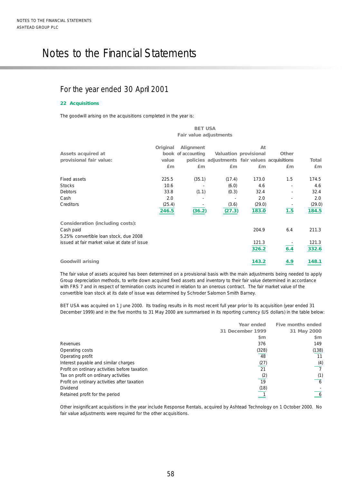### For the year ended 30 April 2001

### *22 Acquisitions*

The goodwill arising on the acquisitions completed in the year is:

*BET USA Fair value adjustments*

|                                              | Original | <b>Alignment</b>   |                                               | At                    |              |        |
|----------------------------------------------|----------|--------------------|-----------------------------------------------|-----------------------|--------------|--------|
| Assets acquired at                           |          | book of accounting |                                               | Valuation provisional | <b>Other</b> |        |
| provisional fair value:                      | value    |                    | policies adjustments fair values acquisitions |                       |              | Total  |
|                                              | Em       | Em                 | Em                                            | £m                    | Em           | Em     |
| <b>Fixed assets</b>                          | 225.5    | (35.1)             | (17.4)                                        | 173.0                 | 1.5          | 174.5  |
| <b>Stocks</b>                                | 10.6     |                    | (6.0)                                         | 4.6                   |              | 4.6    |
| <b>Debtors</b>                               | 33.8     | (1.1)              | (0.3)                                         | 32.4                  |              | 32.4   |
| Cash                                         | 2.0      |                    |                                               | 2.0                   |              | 2.0    |
| Creditors                                    | (25.4)   |                    | (3.6)                                         | (29.0)                |              | (29.0) |
|                                              | 246.5    | (36.2)             | (27.3)                                        | 183.0                 | 1.5          | 184.5  |
| Consideration (including costs):             |          |                    |                                               |                       |              |        |
| Cash paid                                    |          |                    |                                               | 204.9                 | 6.4          | 211.3  |
| 5.25% convertible loan stock, due 2008       |          |                    |                                               |                       |              |        |
| issued at fair market value at date of issue |          |                    |                                               | 121.3                 |              | 121.3  |
|                                              |          |                    |                                               | 326.2                 | 6.4          | 332.6  |
| <b>Goodwill arising</b>                      |          |                    |                                               | 143.2                 | 4.9          | 148.1  |

The fair value of assets acquired has been determined on a provisional basis with the main adjustments being needed to apply Group depreciation methods, to write down acquired fixed assets and inventory to their fair value determined in accordance with FRS 7 and in respect of termination costs incurred in relation to an onerous contract. The fair market value of the convertible loan stock at its date of issue was determined by Schroder Salomon Smith Barney.

BET USA was acquired on 1 June 2000. Its trading results in its most recent full year prior to its acquisition (year ended 31 December 1999) and in the five months to 31 May 2000 are summarised in its reporting currency (US dollars) in the table below:

|                                               | Year ended       | <b>Five months ended</b> |
|-----------------------------------------------|------------------|--------------------------|
|                                               | 31 December 1999 | 31 May 2000              |
|                                               | $\mathsf{sm}$    | $\mathfrak{sm}$          |
| Revenues                                      | 376              | 149                      |
| Operating costs                               | (328)            | (138)                    |
| Operating profit                              | 48               | 11                       |
| Interest payable and similar charges          | (27)             | (4)                      |
| Profit on ordinary activities before taxation | 21               |                          |
| Tax on profit on ordinary activities          | (2)              | (1)                      |
| Profit on ordinary activities after taxation  | 19               | - 6                      |
| Dividend                                      | (18)             |                          |
| Retained profit for the period                |                  | 6                        |

Other insignificant acquisitions in the year include Response Rentals, acquired by Ashtead Technology on 1 October 2000. No fair value adjustments were required for the other acquisitions.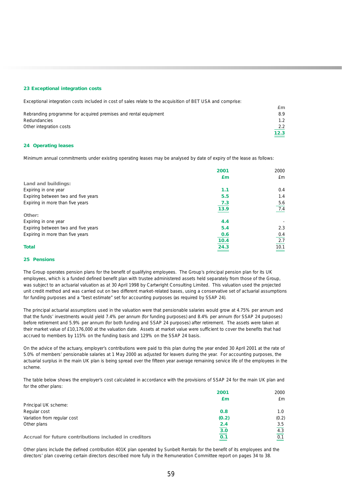### *23 Exceptional integration costs*

| Exceptional integration costs included in cost of sales relate to the acquisition of BET USA and comprise: |               |
|------------------------------------------------------------------------------------------------------------|---------------|
|                                                                                                            | £m.           |
| Rebranding programme for acquired premises and rental equipment                                            | 89            |
| <b>Redundancies</b>                                                                                        | 1.2           |
| Other integration costs                                                                                    | $2.2^{\circ}$ |
|                                                                                                            | 12.3          |

### *24 Operating leases*

Minimum annual commitments under existing operating leases may be analysed by date of expiry of the lease as follows:

|                                     | 2001 | 2000 |
|-------------------------------------|------|------|
|                                     | £m   | £m   |
| Land and buildings:                 |      |      |
| Expiring in one year                | 1.1  | 0.4  |
| Expiring between two and five years | 5.5  | 1.4  |
| Expiring in more than five years    | 7.3  | 5.6  |
|                                     | 13.9 | 7.4  |
| Other:                              |      |      |
| Expiring in one year                | 4.4  |      |
| Expiring between two and five years | 5.4  | 2.3  |
| Expiring in more than five years    | 0.6  | 0.4  |
|                                     | 10.4 | 2.7  |
| <b>Total</b>                        | 24.3 | 10.1 |

### *25 Pensions*

The Group operates pension plans for the benefit of qualifying employees. The Group's principal pension plan for its UK employees, which is a funded defined benefit plan with trustee administered assets held separately from those of the Group, was subject to an actuarial valuation as at 30 April 1998 by Cartwright Consulting Limited. This valuation used the projected unit credit method and was carried out on two different market-related bases, using a conservative set of actuarial assumptions for funding purposes and a "best estimate" set for accounting purposes (as required by SSAP 24).

The principal actuarial assumptions used in the valuation were that pensionable salaries would grow at 4.75% per annum and that the funds' investments would yield 7.4% per annum (for funding purposes) and 8.4% per annum (for SSAP 24 purposes) before retirement and 5.9% per annum (for both funding and SSAP 24 purposes) after retirement. The assets were taken at their market value of £10,176,000 at the valuation date. Assets at market value were sufficient to cover the benefits that had accrued to members by 115% on the funding basis and 129% on the SSAP 24 basis.

On the advice of the actuary, employer's contributions were paid to this plan during the year ended 30 April 2001 at the rate of 5.0% of members' pensionable salaries at 1 May 2000 as adjusted for leavers during the year. For accounting purposes, the actuarial surplus in the main UK plan is being spread over the fifteen year average remaining service life of the employees in the scheme.

The table below shows the employer's cost calculated in accordance with the provisions of SSAP 24 for the main UK plan and for the other plans:

|                                                        | 2001  | 2000  |
|--------------------------------------------------------|-------|-------|
|                                                        | £m    | £m    |
| Principal UK scheme:                                   |       |       |
| Regular cost                                           | 0.8   | 1.0   |
| Variation from regular cost                            | (0.2) | (0.2) |
| Other plans                                            | 2.4   | 3.5   |
|                                                        | 3.0   | 4.3   |
| Accrual for future contributions included in creditors | 0.1   | 0.1   |

Other plans include the defined contribution 401K plan operated by Sunbelt Rentals for the benefit of its employees and the directors' plan covering certain directors described more fully in the Remuneration Committee report on pages 34 to 38.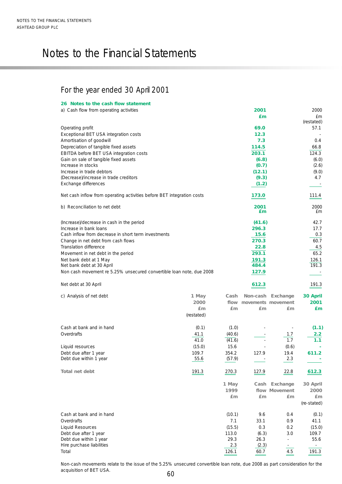### For the year ended 30 April 2001

### *26 Notes to the cash flow statement*

| a) Cash flow from operating activities                                 |            |        | 2001                    |                          | 2000            |
|------------------------------------------------------------------------|------------|--------|-------------------------|--------------------------|-----------------|
|                                                                        |            |        | £m                      |                          | £m              |
|                                                                        |            |        |                         |                          | (restated)      |
| Operating profit                                                       |            |        | 69.0                    |                          | 57.1            |
| Exceptional BET USA integration costs                                  |            |        | 12.3                    |                          |                 |
| Amortisation of goodwill                                               |            |        | 7.3                     |                          | 0.4             |
| Depreciation of tangible fixed assets                                  |            |        | 114.5                   |                          | 66.8            |
| EBITDA before BET USA integration costs                                |            |        | 203.1                   |                          | 124.3           |
| Gain on sale of tangible fixed assets                                  |            |        | (6.8)                   |                          | (6.0)           |
| Increase in stocks                                                     |            |        | (0.7)                   |                          | (2.6)           |
| Increase in trade debtors                                              |            |        | (12.1)                  |                          | (9.0)           |
| (Decrease)/increase in trade creditors                                 |            |        | (9.3)                   |                          | 4.7             |
| Exchange differences                                                   |            |        | (1.2)                   |                          |                 |
| Net cash inflow from operating activities before BET integration costs |            |        | 173.0                   |                          | 111.4           |
| b) Reconciliation to net debt                                          |            |        | 2001                    |                          | 2000            |
|                                                                        |            |        | £m                      |                          | £m              |
| (Increase)/decrease in cash in the period                              |            |        | (41.6)                  |                          | 42.7            |
| Increase in bank loans                                                 |            |        | 296.3                   |                          | 17.7            |
| Cash inflow from decrease in short term investments                    |            |        | 15.6                    |                          | 0.3             |
| Change in net debt from cash flows                                     |            |        | 270.3                   |                          | 60.7            |
| <b>Translation difference</b>                                          |            |        | 22.8                    |                          | 4.5             |
| Movement in net debt in the period                                     |            |        | 293.1                   |                          | 65.2            |
| Net bank debt at 1 May                                                 |            |        | 191.3                   |                          | 126.1           |
| Net bank debt at 30 April                                              |            |        | 484.4                   |                          | 191.3           |
| Non cash movement re 5.25% unsecured convertible loan note, due 2008   |            |        | 127.9                   |                          |                 |
| Net debt at 30 April                                                   |            |        | 612.3                   |                          | 191.3           |
| c) Analysis of net debt                                                | 1 May      | Cash   | Non-cash                | Exchange                 | <b>30 April</b> |
|                                                                        | 2000       |        | flow movements movement |                          | 2001            |
|                                                                        | Em         | £m     | £m                      | £m                       | £m              |
|                                                                        | (restated) |        |                         |                          |                 |
| Cash at bank and in hand                                               | (0.1)      | (1.0)  |                         | $\overline{\phantom{m}}$ | (1.1)           |
| Overdrafts                                                             | 41.1       | (40.6) |                         | 1.7                      | 2.2             |
|                                                                        | 41.0       | (41.6) |                         | 1.7                      | 1.1             |
| Liquid resources                                                       | (15.0)     | 15.6   |                         | (0.6)                    |                 |
| Debt due after 1 year                                                  | 109.7      | 354.2  | 127.9                   | 19.4                     | 611.2           |
| Debt due within 1 year                                                 | 55.6       | (57.9) |                         | 2.3                      |                 |
|                                                                        |            |        |                         |                          |                 |
| Total net debt                                                         | 191.3      | 270.3  | 127.9                   | 22.8                     | 612.3           |
|                                                                        |            | 1 May  | Cash                    | Exchange                 | 30 April        |
|                                                                        |            | 1999   |                         | flow Movement            | 2000            |
|                                                                        |            | £m     | £m                      | Em                       | Em              |
|                                                                        |            |        |                         |                          | (re-stated)     |
| Cash at bank and in hand                                               |            | (10.1) | 9.6                     | 0.4                      | (0.1)           |
| Overdrafts                                                             |            | 7.1    | 33.1                    | 0.9                      | 41.1            |
| <b>Liquid Resources</b>                                                |            | (15.5) | 0.3                     | 0.2                      | (15.0)          |
| Debt due after 1 year                                                  |            | 113.0  | (6.3)                   | 3.0                      | 109.7           |
| Debt due within 1 year                                                 |            | 29.3   | 26.3                    | ÷,                       | 55.6            |
| Hire purchase liabilities                                              |            | 2.3    | (2.3)                   | $\sim$                   | $\sim$          |
| Total                                                                  |            | 126.1  | 60.7                    | 4.5                      | 191.3           |

Non-cash movements relate to the issue of the 5.25% unsecured convertible loan note, due 2008 as part consideration for the acquisition of BET USA.  $60$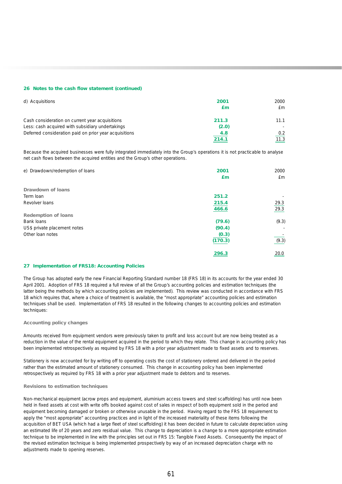#### *26 Notes to the cash flow statement (continued)*

| d) Acquisitions                                        | 2001  | 2000 |
|--------------------------------------------------------|-------|------|
|                                                        | Εm    | £m.  |
| Cash consideration on current year acquisitions        | 211.3 | 11.1 |
| Less: cash acquired with subsidiary undertakings       | (2.0) |      |
| Deferred consideration paid on prior year acquisitions | 4.8   | 0.2  |
|                                                        | 214.1 | 11.3 |

Because the acquired businesses were fully integrated immediately into the Group's operations it is not practicable to analyse net cash flows between the acquired entities and the Group's other operations.

| e) Drawdown/redemption of loans | 2001    | 2000                     |
|---------------------------------|---------|--------------------------|
|                                 | £m      | £m                       |
| <b>Drawdown of loans</b>        |         |                          |
| Term Ioan                       | 251.2   |                          |
| Revolver loans                  | 215.4   | 29.3                     |
|                                 | 466.6   | 29.3                     |
| <b>Redemption of loans</b>      |         |                          |
| Bank loans                      | (79.6)  | (9.3)                    |
| US\$ private placement notes    | (90.4)  | $\overline{\phantom{a}}$ |
| Other loan notes                | (0.3)   |                          |
|                                 | (170.3) | (9.3)                    |
|                                 | 296.3   | 20.0                     |

#### *27 Implementation of FRS18: Accounting Policies*

The Group has adopted early the new Financial Reporting Standard number 18 (FRS 18) in its accounts for the year ended 30 April 2001. Adoption of FRS 18 required a full review of all the Group's accounting policies and estimation techniques (the latter being the methods by which accounting policies are implemented). This review was conducted in accordance with FRS 18 which requires that, where a choice of treatment is available, the "most appropriate" accounting policies and estimation techniques shall be used. Implementation of FRS 18 resulted in the following changes to accounting policies and estimation techniques:

#### *Accounting policy changes*

Amounts received from equipment vendors were previously taken to profit and loss account but are now being treated as a reduction in the value of the rental equipment acquired in the period to which they relate. This change in accounting policy has been implemented retrospectively as required by FRS 18 with a prior year adjustment made to fixed assets and to reserves.

Stationery is now accounted for by writing off to operating costs the cost of stationery ordered and delivered in the period rather than the estimated amount of stationery consumed. This change in accounting policy has been implemented retrospectively as required by FRS 18 with a prior year adjustment made to debtors and to reserves.

#### *Revisions to estimation techniques*

Non-mechanical equipment (acrow props and equipment, aluminium access towers and steel scaffolding) has until now been held in fixed assets at cost with write offs booked against cost of sales in respect of both equipment sold in the period and equipment becoming damaged or broken or otherwise unusable in the period. Having regard to the FRS 18 requirement to apply the "most appropriate" accounting practices and in light of the increased materiality of these items following the acquisition of BET USA (which had a large fleet of steel scaffolding) it has been decided in future to calculate depreciation using an estimated life of 20 years and zero residual value. This change to depreciation is a change to a more appropriate estimation technique to be implemented in line with the principles set out in FRS 15: Tangible Fixed Assets. Consequently the impact of the revised estimation technique is being implemented prospectively by way of an increased depreciation charge with no adjustments made to opening reserves.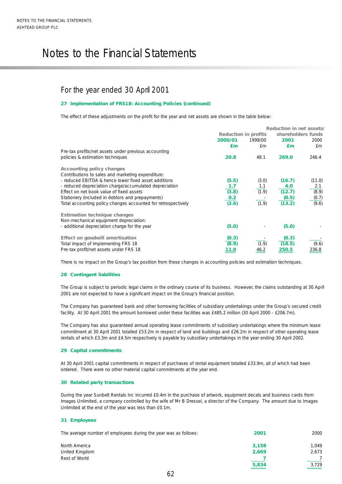### For the year ended 30 April 2001

### *27 Implementation of FRS18: Accounting Policies (continued)*

The effect of these adjustments on the profit for the year and net assets are shown in the table below:

|                                                               | Reduction in net assets/    |         |                    |        |
|---------------------------------------------------------------|-----------------------------|---------|--------------------|--------|
|                                                               | <b>Reduction in profits</b> |         | shareholders funds |        |
|                                                               | 2000/01                     | 1999/00 | 2001               | 2000   |
|                                                               | £m                          | £m      | £m                 | £m     |
| Pre-tax profits/net assets under previous accounting          |                             |         |                    |        |
| policies & estimation techniques                              | 20.8                        | 48.1    | 269.0              | 246.4  |
| <b>Accounting policy changes</b>                              |                             |         |                    |        |
| Contributions to sales and marketing expenditure:             |                             |         |                    |        |
| - reduced EBITDA & hence lower fixed asset additions          | (5.5)                       | (3.0)   | (16.7)             | (11.0) |
| - reduced depreciation charge/accumulated depreciation        | 1.7                         | 1.1     | 4.0                | 2.1    |
| Effect on net book value of fixed assets                      | (3.8)                       | (1.9)   | (12.7)             | (8.9)  |
| Stationery (included in debtors and prepayments)              | 0.2                         |         | (0.5)              | (0.7)  |
| Total accounting policy changes accounted for retrospectively | (3.6)                       | (1.9)   | (13.2)             | (9.6)  |
| <b>Estimation technique changes</b>                           |                             |         |                    |        |
| Non-mechanical equipment depreciation:                        |                             |         |                    |        |
| - additional depreciation charge for the year                 | (5.0)                       |         | (5.0)              |        |
| <b>Effect on goodwill amortisation</b>                        | (0.3)                       |         | (0.3)              |        |
| Total impact of implementing FRS 18                           | (8.9)                       | (1.9)   | (18.5)             | (9.6)  |
| Pre-tax profit/net assets under FRS 18                        | 11.9                        | 46.2    | 250.5              | 236.8  |
|                                                               |                             |         |                    |        |

There is no impact on the Group's tax position from these changes in accounting policies and estimation techniques.

### *28 Contingent liabilities*

The Group is subject to periodic legal claims in the ordinary course of its business. However, the claims outstanding at 30 April 2001 are not expected to have a significant impact on the Group's financial position.

The Company has guaranteed bank and other borrowing facilities of subsidiary undertakings under the Group's secured credit facility. At 30 April 2001 the amount borrowed under these facilities was £485.2 million (30 April 2000 - £206.7m).

The Company has also guaranteed annual operating lease commitments of subsidiary undertakings where the minimum lease commitment at 30 April 2001 totalled £53.2m in respect of land and buildings and £26.2m in respect of other operating lease rentals of which £3.3m and £4.5m respectively is payable by subsidiary undertakings in the year ending 30 April 2002.

### *29 Capital commitments*

At 30 April 2001 capital commitments in respect of purchases of rental equipment totalled £33.9m, all of which had been ordered. There were no other material capital commitments at the year end.

### *30 Related party transactions*

During the year Sunbelt Rentals Inc incurred £0.4m in the purchase of artwork, equipment decals and business cards from Images Unlimited, a company controlled by the wife of Mr B Dressel, a director of the Company. The amount due to Images Unlimited at the end of the year was less than £0.1m.

### *31 Employees*

| The average number of employees during the year was as follows: | 2001  | 2000  |
|-----------------------------------------------------------------|-------|-------|
| North America                                                   | 3,158 | 1.049 |
| United Kingdom                                                  | 2,669 | 2,673 |
| Rest of World                                                   |       |       |
|                                                                 | 5,834 | 3.729 |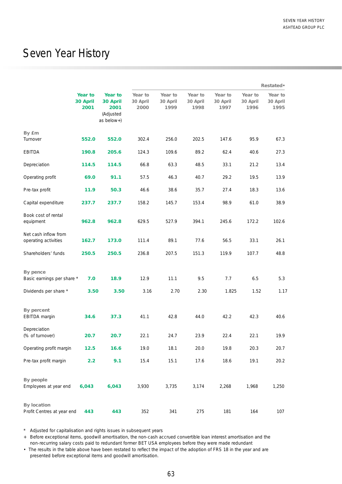## Seven Year History

|                                                  |                                    |                                                               |                             |                             |                             |                             |                             | Restated•                   |
|--------------------------------------------------|------------------------------------|---------------------------------------------------------------|-----------------------------|-----------------------------|-----------------------------|-----------------------------|-----------------------------|-----------------------------|
|                                                  | Year to<br><b>30 April</b><br>2001 | Year to<br><b>30 April</b><br>2001<br>(Adjusted<br>as below+) | Year to<br>30 April<br>2000 | Year to<br>30 April<br>1999 | Year to<br>30 April<br>1998 | Year to<br>30 April<br>1997 | Year to<br>30 April<br>1996 | Year to<br>30 April<br>1995 |
| By £m                                            |                                    |                                                               |                             | 256.0                       |                             | 147.6                       | 95.9                        | 67.3                        |
| Turnover                                         | 552.0                              | 552.0                                                         | 302.4                       |                             | 202.5                       |                             |                             |                             |
| <b>EBITDA</b>                                    | 190.8                              | 205.6                                                         | 124.3                       | 109.6                       | 89.2                        | 62.4                        | 40.6                        | 27.3                        |
| Depreciation                                     | 114.5                              | 114.5                                                         | 66.8                        | 63.3                        | 48.5                        | 33.1                        | 21.2                        | 13.4                        |
| Operating profit                                 | 69.0                               | 91.1                                                          | 57.5                        | 46.3                        | 40.7                        | 29.2                        | 19.5                        | 13.9                        |
| Pre-tax profit                                   | 11.9                               | 50.3                                                          | 46.6                        | 38.6                        | 35.7                        | 27.4                        | 18.3                        | 13.6                        |
| Capital expenditure                              | 237.7                              | 237.7                                                         | 158.2                       | 145.7                       | 153.4                       | 98.9                        | 61.0                        | 38.9                        |
| Book cost of rental<br>equipment                 | 962.8                              | 962.8                                                         | 629.5                       | 527.9                       | 394.1                       | 245.6                       | 172.2                       | 102.6                       |
| Net cash inflow from<br>operating activities     | 162.7                              | 173.0                                                         | 111.4                       | 89.1                        | 77.6                        | 56.5                        | 33.1                        | 26.1                        |
| Shareholders' funds                              | 250.5                              | 250.5                                                         | 236.8                       | 207.5                       | 151.3                       | 119.9                       | 107.7                       | 48.8                        |
| By pence<br>Basic earnings per share *           | 7.0                                | 18.9                                                          | 12.9                        | 11.1                        | 9.5                         | 7.7                         | 6.5                         | 5.3                         |
| Dividends per share *                            | 3.50                               | 3.50                                                          | 3.16                        | 2.70                        | 2.30                        | 1.825                       | 1.52                        | 1.17                        |
| <b>By percent</b><br>EBITDA margin               | 34.6                               | 37.3                                                          | 41.1                        | 42.8                        | 44.0                        | 42.2                        | 42.3                        | 40.6                        |
| Depreciation<br>(% of turnover)                  | 20.7                               | 20.7                                                          | 22.1                        | 24.7                        | 23.9                        | 22.4                        | 22.1                        | 19.9                        |
| Operating profit margin                          | 12.5                               | 16.6                                                          | 19.0                        | 18.1                        | 20.0                        | 19.8                        | 20.3                        | 20.7                        |
| Pre-tax profit margin                            | 2.2                                | 9.1                                                           | 15.4                        | 15.1                        | 17.6                        | 18.6                        | 19.1                        | 20.2                        |
| <b>By people</b><br>Employees at year end        | 6,043                              | 6,043                                                         | 3,930                       | 3,735                       | 3,174                       | 2,268                       | 1,968                       | 1,250                       |
| <b>By location</b><br>Profit Centres at year end | 443                                | 443                                                           | 352                         | 341                         | 275                         | 181                         | 164                         | 107                         |

\* Adjusted for capitalisation and rights issues in subsequent years

+ Before exceptional items, goodwill amortisation, the non-cash accrued convertible loan interest amortisation and the non-recurring salary costs paid to redundant former BET USA employees before they were made redundant

• The results in the table above have been restated to reflect the impact of the adoption of FRS 18 in the year and are presented before exceptional items and goodwill amortisation.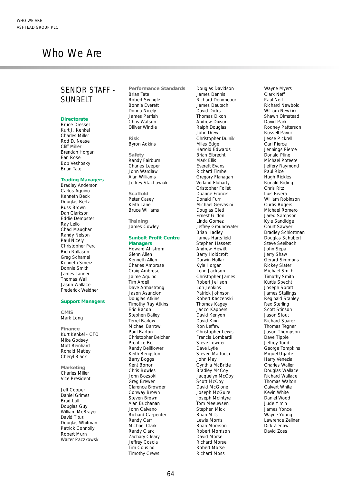### Who We Are

### SENIOR STAFF - **SUNBELT**

### *Directorate*

Bruce Dressel Kurt J. Kenkel Charles Miller Rod D. Nease Cliff Miller Brendan Horgan Earl Rose Bob Veshosky Brian Tate

### *Trading Managers*

Bradley Anderson Carlos Aquino Kenneth Beck Douglas Bertz Russ Brown Dan Clarkson Eddie Dempster Ray Lello Chad Maughan Randy Nelson Paul Nicely Christopher Pera Rich Rollason Greg Schamel Kenneth Smerz Donnie Smith James Tanner Thomas Wall Jason Wallace Frederick Weidner

### *Support Managers*

*CMIS* Mark Long

*Finance* Kurt Kenkel - CFO Mike Godsey Matt Reinhard Ronald Matley Cheryl Black

*Marketing* Charles Miller *Vice President*

Jeff Cooper Daniel Grimes Brad Lull Douglas Guy William McBrayer David Titus Douglas Whitman Patrick Connolly Robert Murn Walter Paczkowski

*Performance Standards* Brian Tate Robert Swingle Bonnie Everett Donna Nicely James Parrish Chris Watson Olliver Windle

*Risk* Byron Adkins

*Safety* Randy Fairburn Charles Leeper John Wardlaw Alan Williams Jeffrey Stachowiak

*Scaffold* Peter Casey Keith Lane Bruce Williams

*Training* James Cowley

### *Sunbelt Profit Centre Managers*

Howard Ahlstrom Glenn Allen Kenneth Allen Charles Ambrose Craig Ambrose Jaime Aquino Tim Ardell Dave Armastrong Jason Asuncion Douglas Atkins Timothy Ray Atkins Eric Bacon Stephen Bailey Terrel Barlow Michael Barrow Paul Barton Christopher Belcher Prentice Bell Randy Bellflower Keith Bengston Barry Boggs Kent Borror Chris Bowles John Bozsoki Greg Brewer Clarence Browder Conway Brown Steven Brown Alan Buchanan John Calvano Richard Carpenter Randy Carr Michael Clark Randy Clark Zachary Cleary Jeffrey Coscia Tim Cousino Timothy Crews

Douglas Davidson James Dennis Richard Denoncour James Deutsch David Dicks Thomas Dixon Andrew Dixson Ralph Douglas John Drew Christopher Dulnik Miles Edge Harrold Edwards Brian Elbrecht Mark Ellis Everett Evans Richard Fimbel Gregory Flanagan Verland Fluharty Cristopher Follet Duanne Francis Donald Furr Michael Gervasini Douglas Gietl Ernest Gildon Linda Gomez Jeffrey Groundwater Brian Hadley James Hartsfield Stephen Hassett Andrew Hewitt Barry Holdcroft Darwin Hollar Kyle Horgan Lenn Jackson Christopher James Robert Jellison Lon Jenkins Patrick Johnson Robert Kaczenski Thomas Kagey Jacco Kappers David Kenyon David King Ron Leffew Christopher Lewis Francis Lombardi Steve Lowder Dave Lytle Steven Martucci John May Cynthia McBride Bradley McCoy Jacquelyn McCoy Scott McCoy David McGlone Joseph McGuire Joseph McIntyre Tom Meeuwsen Stephen Mick Brian Mills Lewis Morris Brian Morrison Robert Morrison David Morse Richard Morse Robert Morse Richard Moss

Wayne Myers Clark Neff Paul Neff Richard Newbold William Newkirk Shawn Olmstead David Park Rodney Patterson Russell Pavur Jesse Pickrell Carl Pierce Jennings Pierce Donald Pline Michael Poteete Jeffery Raymond Paul Rice Hugh Rickles Ronald Riding Chris Ritz Luis Rivera William Robinson Curtis Rogers Michael Romero Jared Sampson Kyle Sandidge Court Sawyer Bradley Schlottman Douglas Schubert Steve Seelbach John Sepa Jerry Shaw Gerard Simmons Rickey Slater Michael Smith Timothy Smith Kurtis Specht Joseph Spratt James Stallings Reginald Stanley Rex Sterling Scott Stinson Jason Stout Richard Suarez Thomas Tegner Jason Thompson Dave Tippie Jeffrey Todd George Tompkins Miguel Ugarte Harry Venezia Charles Waller Douglas Wallace Richard Wallace Thomas Walton Calvert White Kevin White Daniel Wood Jude Yimin James Yonce Wayne Young Lawrence Zellner Dirk Zienow David Zoss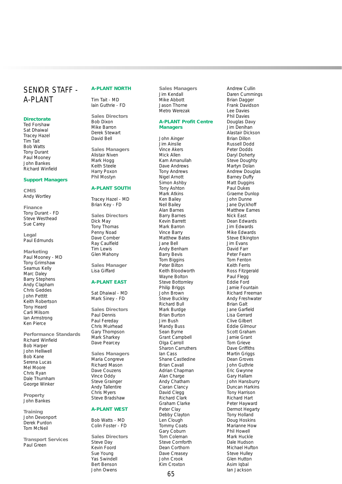### SENIOR STAFF - A-PLANT

### *Directorate*

Ted Forshaw Sat Dhaiwal Tracey Hazel Tim Tait Bob Watts Tony Durant Paul Mooney John Bankes Richard Winfield

### *Support Managers*

*CMIS* Andy Wortley

*Finance* Tony Durant - FD Steve Westhead Sue Carey

*Legal* Paul Edmunds

*Marketing* Paul Mooney - MD Tony Grimshaw Seamus Kelly Marc Daley Barry Stephens Andy Clapham Chris Geddes John Pettitt Keith Robertson Tony Heard Carli Milsom Ian Armstrong Ken Pierce

*Performance Standards* Richard Winfield Bob Harper John Helliwell Bob Kane Serena Lucas Mel Moore Chris Ryan Dale Thurnham George Winker

*Property* John Bankes

*Training* John Devonport Derek Purdon Tom McNeil

*Transport Services*  Paul Green

### *A-PLANT NORTH*

Tim Tait - MD Iain Guthrie - FD

*Sales Directors* Bob Dixon Mike Barron Derek Stewart David Bell

*Sales Managers* Alistair Niven Mark Hogg Keith Steele Harry Poxon Phil Mostyn

#### *A-PLANT SOUTH*

Tracey Hazel - MD Brian Key - FD

*Sales Directors* Dick May Tony Thomas Penny Noad Dave Comber Ray Caulfield Tim Lewis Glen Mahony

*Sales Manager* Lisa Giffard

### *A-PLANT EAST*

Sat Dhaiwal - MD Mark Siney - FD

*Sales Directors* Paul Dennis Paul Fereday Chris Muirhead Gary Thompson Mark Sharkey Dave Pearcey

*Sales Managers* Maria Congreve Richard Mason Dave Couzens Vince Oddy Steve Grainger Andy Tallentire Chris Myers Steve Bradshaw

### *A-PLANT WEST*

Bob Watts - MD Colin Foster - FD *Sales Directors* Steve Day

Kevin Foord Sue Young Yas Swindell Bert Benson John Owens

*Sales Managers* Jim Kendall Mike Abbott Jason Thorne Metro Werezak

### *A-PLANT Profit Centre Managers*

John Ainger Jim Ainslie Vince Akers Mick Allen Kam Amanullah Dave Andrews Tony Andrews Nigel Arnott Simon Ashby Tony Ashton Mark Atkins Ken Bailey Neil Bailey Alan Barnes Barry Barnes Kevin Barrett Mark Barron Vince Barry Matthew Bates Jane Bell Andy Benham Barry Bevis Tom Biggins Peter Bilton Keith Bloodworth Wayne Bolton Steve Bottomley Philip Briggs John Brown Steve Buckley Richard Bull Mark Burdge Brian Burton Jim Bush Mandy Buss Sean Byrne Grant Campbell Olga Carroll Sharon Carruthers Ian Cass Shane Castledine Brian Cavall Adrian Chapman Alan Charge Andy Chatham Ciaran Clancy David Clegg Richard Clark Graham Clarke Peter Clay Debby Clayton Len Clough Tommy Coats Gary Coburn Tom Coleman Steve Cornforth Dean Corthorn Dave Creasey John Crook

Andrew Cullin Daren Cummings Brian Dagger Frank Davidson Lee Davies Phil Davies Douglas Davy Jim Denihan Alastair Dickson Brian Dillon Russell Dodd Peter Dodds Daryl Doherty Steve Doughty Martyn Dolan Andrew Douglas Barney Duffy Matt Duggins Paul Dukes Graeme Dunlop John Dunne Jane Dyckhoff Matthew Eames Nick East Dean Edwards Jim Edwards Mike Edwards Steve Elkington Jim Evans David Farr Peter Fearn Tom Fenton Keith Ferris Ross Fitzgerald Paul Flegg Eddie Ford Jamie Fountain Richard Freeman Andy Freshwater Brian Galt Jane Garfield Lisa Gerrard Clive Gilbert Eddie Gilmour Scott Graham Jamie Grant Tom Grieve Dave Griffiths Martin Griggs Dean Groves John Guthrie Eric Gwynne Gary Hallam John Hansburry Duncan Harkins Tony Harrison Richard Hart Peter Hayward Dermot Hegarty Tony Holland Doug Hoskins Marianne How Phil Howell Mark Huckle Dale Hudson Michael Hufton Steve Hulley Glen Hutton Asim Iqbal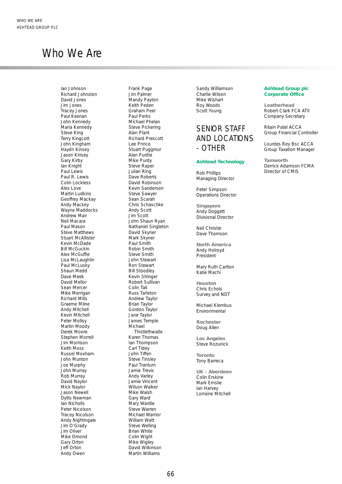### Who We Are

Ian Johnson Richard Johnston David Jones Jim Jones Tracey Jones Paul Keenan John Kennedy Maria Kennedy Steve King Terry Kingcott John Kingham Haydn Kinsey Jason Kinsey Gary Kirby Ian Knight Paul Lewis Paul R. Lewis Colin Lockless Alex Love Martin Ludkins Geoffrey Mackay Andy Mackey Wayne Maddocks Andrew Mair Neil Macara Paul Mason Steve Matthews Stuart McAllister Kevin McDade Bill McGuckin Alex McGuffie Lisa McLaughlin Paul McLusky Shaun Medd Dave Meek David Mellor Sean Mercer Mike Merrigan Richard Mills Graeme Milne Andy Mitchell Kevin Mitchell Peter Molloy Martin Moody Derek Moore Stephen Morrell Jim Morrison Keith Moss Russel Moxham John Munton Joe Murphy John Murray Rob Murray David Naylor Mick Naylor Jason Newell Dyllis Newman Ian Nicholls Peter Nicolson Tracey Nicolson Andy Nightingale Jim O'Grady Jim Oliver Mike Omond Gary Orton Jeff Orton Andy Owen

Frank Page Jim Palmer Mandy Payton Keith Peden Graham Peel Paul Perks Michael Phelan Steve Pickering Alan Plant Richard Prescott Lee Prince Stuart Puggmur Alan Purdie Mike Purdy Steve Raper Julian Ring Dave Roberts David Robinson Kevin Sanderson Steve Sawyer Sean Scarah Chris Schaschke Andy Scott Jim Scott John Shaun Ryan Nathaniel Singleton David Skyner Mark Skyner Paul Smith Robin Smith Steve Smith John Stewart Ron Stewart Bill Stoodley Kevin Stringer Robert Sullivan Colin Tall Russ Tarleton Andrew Taylor Brian Taylor Gordon Taylor Jane Taylor James Temple Michael **Thistlethwaite** Karen Thomas Ian Thompson Carl Tidey John Tiffen Steve Tinsley Paul Trantum Jamie Trevis Andy Varley Jamie Vincent Wilson Walker Mike Walsh Gary Ward Mary Wardle Steve Warren Michael Warrior William Watt Steve Welling Brian White Colin Wight Mike Wigley David Wilkinson Martin Williams

Sandy Williamson Charlie Wilson Mike Wishart Roy Woods Scott Young

### SENIOR STAFF AND LOCATIONS - OTHER

### *Ashtead Technology*

Rob Phillips *Managing Director*

Peter Simpson *Operations Director*

*Singapore* Andy Doggett *Divisional Director*

Neil Christie Dave Thomson

*North America* Andy Holroyd *President*

Mary Ruth Carlton Katie Machi

*Houston*  Chris Echols *Survey and NDT*

Michael Klembus *Environmental* 

*Rochester* Doug Allen

*Los Angeles* Steve Rozunick

*Toronto* Tony Barreca

*UK - Aberdeen* Colin Erskine Mark Emslie Ian Harvey Lorraine Mitchell

#### *Ashtead Group plc Corporate Office*

*Leatherhead* Robert Clark FCA ATII *Company Secretary*

Ritain Patel ACCA *Group Financial Controller*

Lourdes Rey Bsc ACCA *Group Taxation Manager*

*Tamworth* Derrick Adamson FCMA *Director of CMIS*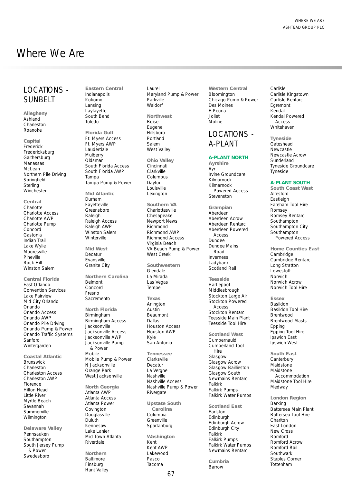## Where We Are

### LOCATIONS - **SUNBELT**

*Allegheny* Ashland Charleston Roanoke

- *Capital* Frederick Fredericksburg **Gaithersburg** Manassas McLean Northern Pile Driving Springfield **Sterling Winchester**
- *Central* **Charlotte** Charlotte Access Charlotte AWP Charlotte Pump Concord Gastonia Indian Trail Lake Wylie Mooresville Pineville Rock Hill Winston Salem
- *Central Florida* East Orlando Convention Services Lake Fairview Mid City Orlando Orlando Orlando Access Orlando AWP Orlando Pile Driving Orlando Pump & Power Orlando Traffic Systems Sanford **Wintergarden**
- *Coastal Atlantic* Brunswick Charleston Charleston Access Charleston AWP Florence Hilton Head Little River Myrtle Beach Savannah **Summerville** Wilmington

*Delaware Valley* Pennsauken Southampton South Jersey Pump & Power Swedesboro

*Eastern Central* Indianapolis Kokomo Lansing Layfayette South Bend Toledo

*Florida Gulf* Ft. Myers Access Ft. Myers AWP Lauderdale Mulberry Oldsmar South Florida Access South Florida AWP Tampa Tampa Pump & Power

*Mid Altantic* Durham Fayetteville Greensboro Raleigh Raleigh Access Raleigh AWP Winston Salem Winterville

*Mid West* Decatur Evansville Granite City

*Northern Carolina* Belmont Concord Fresno Sacremento

*North Florida* Birmingham Birmingham Access **Jacksonville** Jacksonville Access Jacksonville AWP Jacksonville Pump & Power Mobile Mobile Pump & Power N Jacksonville Orange Park West Jacksonville

*North Georgia* Atlanta AWP Atlanta Access Atlanta Power Covington Douglasville Duluth Kennesaw Lake Lanier Mid Town Atlanta Riverdale

*Northern* Baltimore Finsburg Hunt Valley Laurel Maryland Pump & Power Parkville Waldorf

*Northwest* Boise Eugene Hillsboro Portland Salem West Valley

*Ohio Valley* **Cincinnati Clarkville** Columbus Dayton Louisville Lexington

*Southern VA* **Charlottesville** Chesapeake Newport News Richmond Richmond AWP Richmond Access Virginia Beach VA Beach Pump & Power West Creek

*Southwestern* Glendale La Mirada Las Vegas **Tempe** 

*Texas* Arlington Austin Beaumont Dallas Houston Access Houston AWP Kyle San Antonio

*Tennessee* Clarksville Decatur La Vergne **Nashville** Nashville Access Nashville Pump & Power Rivergate

*Upstate South Carolina* Columbia Greenville Spartanburg

*Washington* Kent Kent AWP Lakewood Pasco Tacoma

*Western Central* Bloomington Chicago Pump & Power Des Moines E Peoria Joliet Moline

### LOCATIONS - A-PLANT

### *A-PLANT NORTH*

*Ayrshire* Ayr Irvine Groundcare Kilmarnock Kilmarnock Powered Access Stevenston

*Grampian* Aberdeen Aberdeen Acrow Aberdeen Rentarc Aberdeen Powered **Access** Dundee Dundee Mains Road Inverness Ladybank Scotland Rail

*Teesside* Hartlepool Middlesbrough Stockton Large Air Stockton Powered Access Stockton Rentarc Teesside Main Plant Teesside Tool Hire

*Scotland West* Cumbernauld Cumberland Tool Hire Glasgow Glasgow Acrow Glasgow Baillieston Glasgow South Newmains Rentarc Falkirk Falkirk Pumps Falkirk Water Pumps

*Scotland East* Earlston Edinburgh Edinburgh Acrow Edinburgh City Falkirk Falkirk Pumps Falkirk Water Pumps Newmains Rentarc

*Cumbria* Barrow

Carlisle Carlisle Kingstown Carlisle Rentarc **E**gremont Kendal Kendal Powered Access Whitehaven

*Tyneside* Gateshead Newcastle Newcastle Acrow Sunderland Tyneside Groundcare **Tyneside** 

### *A-PLANT SOUTH*

*South Coast West* Alresford Eastleigh Fareham Tool Hire Romsey Romsey Rentarc Southampton Southampton City Southampton Powered Access

*Home Counties East* Cambridge Cambridge Rentarc Long Stratton Lowestoft Norwich Norwich Acrow Norwich Tool Hire

*Essex* Basildon Basildon Tool Hire Brentwood Brentwood Masts Epping Epping Tool Hire Ipswich East Ipswich West

*South East* **Canterbury Maidstone** Maidstone Accommodation Maidstone Tool Hire Medway

*London Region* Barking Battersea Main Plant Battersea Tool Hire **Charlton** East London New Cross Romford Romford Acrow Romford Rail **Southwark** Staples Corner Tottenham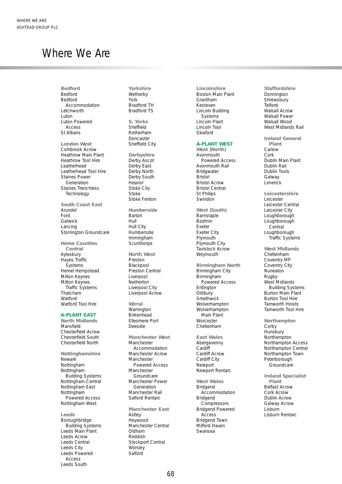### Where We Are

*Bedford*

Bedford Bedford Accommodation Letchworth Luton Luton Powered Access St Albans *London West* Colnbrook Acrow Heathrow Main Plant Heathrow Tool Hire Leatherhead Leatherhead Tool Hire Staines Power Generation Staines Trenchless **Technology** *South Coast East* Arundel Ford Gatwick Lancing Storrington Groundcare *Home Counties Central* Aylesbury Hayes Traffic Systems Hemel Hempstead Milton Keynes Milton Keynes Traffic Systems Thatcham Watford Watford Tool Hire *A-PLANT EAST North Midlands* Mansfield Chesterfield Acrow Chesterfield South

*Nottinghamshire* Newark Nottingham Nottingham Building Systems Nottingham Central Nottingham East Nottingham Powered Access Nottingham West

Chesterfield North

*Leeds* Boroughbridge Building Systems Leeds Main Plant Leeds Acrow Leeds Central Leeds City Leeds Powered Access Leeds South

*Yorkshire* Wetherby York Bradford TH Bradford TS

*S. Yorks* Sheffield Rotherham Doncaster Sheffield City

*Derbyshire* Derby Ascot Derby East Derby North Derby South **Heanor** Stoke City Stoke Stoke Fenton

*Humberside* Barton Hull Hull City **Humberside** Immingham **Scunthorpe** 

*North West* Preston Blackpool Preston Central Liverpool Netherton Liverpool City Liverpool Acrow

*Wirral* **Warrington Birkenhead** Ellesmere Port Deeside

*Manchester West* **Manchester** Accommodation Manchester Acrow Manchester Powered Access **Manchester Groundcare** Manchester Power Generation Manchester Rail Salford Rentarc

*Manchester East* Astley Heywood Manchester Central Oldham Reddish Stockport Central **Worsley** Salford

*Lincolnshire* Boston Main Plant Grantham Kesteven Lincoln Building **Systems** Lincoln Plant Lincoln Tool Sleaford

### *A-PLANT WEST*

*West (North)* Avonmouth Powered Access Avonmouth Rail **Bridgwater** Bristol Bristol Acrow Bristol Central St Philips Swindon

*West (South)* Barnstaple **Bodmin** Exeter Exeter City Plymouth Plymouth City Tavistock Acrow Weymouth

*Birmingham North* Birmingham City Birmingham Powered Access Erdington **Oldbury Smethwick** Wolverhampton Wolverhampton Main Plant **Worcester** Cheltenham

*East Wales* Abergavenny **Cardiff** Cardiff Acrow Cardiff City Newport Newport Rentarc

*West Wales* Bridgend Accommodation Bridgend **Compressors** Bridgend Powered **Access** Bridgend Town Milford Haven Swansea

*Staffordshire* Donnington **Shrewsbury Telford** Walsall Acrow Walsall Power Walsall Wood West Midlands Rail

*Ireland General Plant* Carlow Cork Dublin Main Plant Dublin Rail Dublin Tools Galway Limerick

*Leicestershire* Leicester Leicester Central Leicester City Loughborough Loughborough **Central** Loughborough Traffic Systems

*West Midlands* Cheltenham Coventry MP Coventry City **Nuneaton** Rugby West Midlands Building Systems Burton Main Plant Burton Tool Hire Tamworth Hoists Tamworth Tool Hire

*Northampton* Corby **Hunsbury Northampton** Northampton Access Northampton Central Northampton Town Peterborough **Groundcare** 

*Ireland Specialist Plant* Belfast Acrow Cork Acrow Dublin Acrow Galway Acrow Lisburn Lisburn Rentarc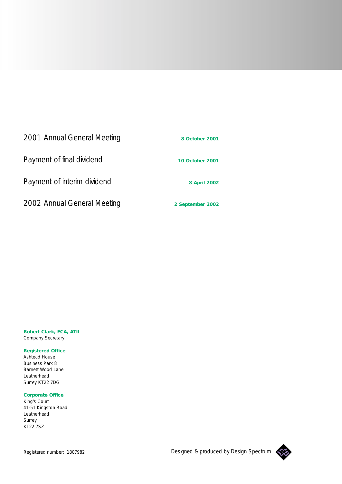| 2001 Annual General Meeting | <b>8 October 2001</b>  |
|-----------------------------|------------------------|
| Payment of final dividend   | <b>10 October 2001</b> |
| Payment of interim dividend | <b>8 April 2002</b>    |
| 2002 Annual General Meeting | 2 September 2002       |

### *Robert Clark, FCA, ATII* Company Secretary

### *Registered Office*

Ashtead House Business Park 8 Barnett Wood Lane Leatherhead Surrey KT22 7DG

### *Corporate Office*

King's Court 41-51 Kingston Road Leatherhead Surrey KT22 7SZ